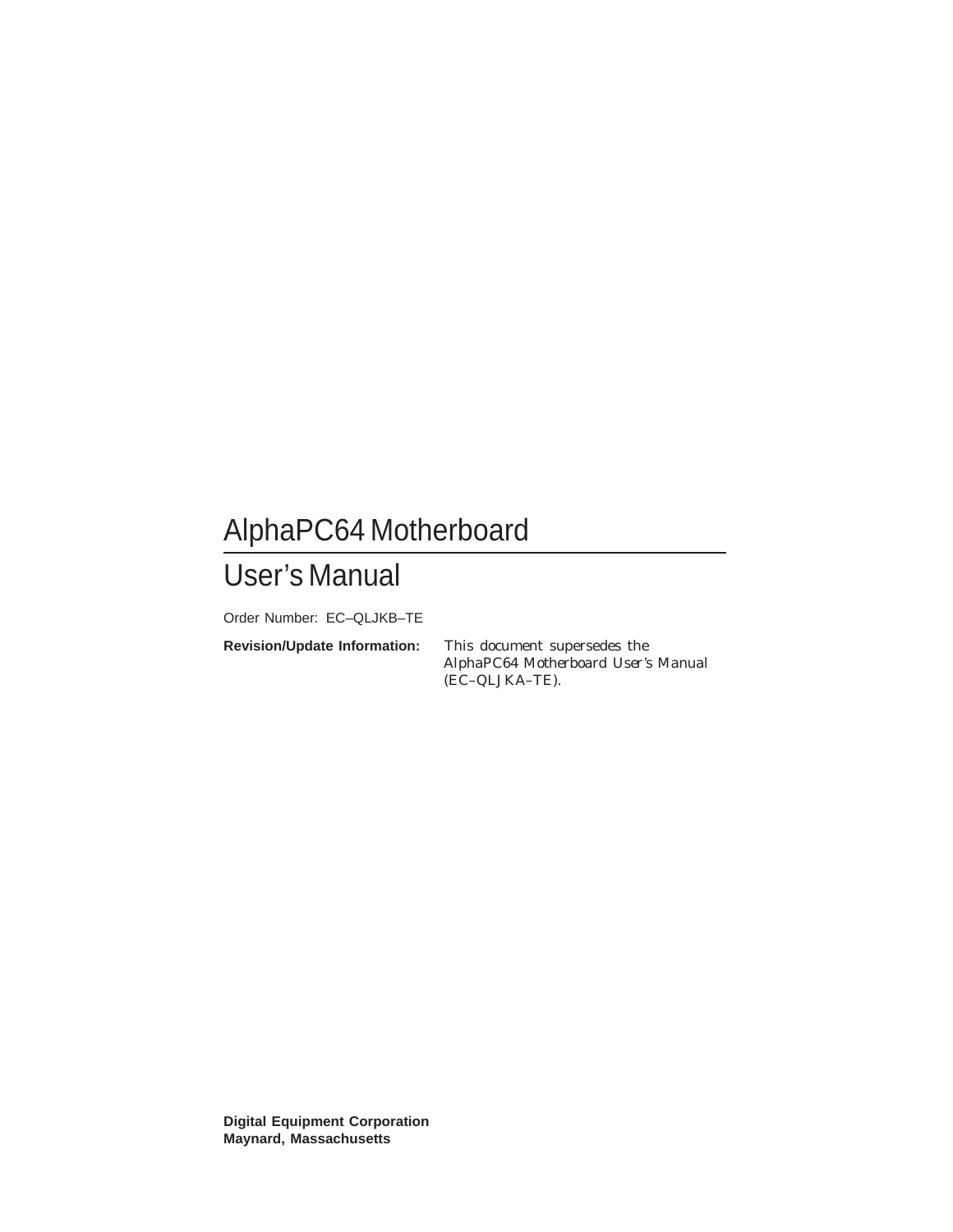# AlphaPC64 Motherboard

# User's Manual

Order Number: EC–QLJKB–TE

**Revision/Update Information:** This document supersedes the *AlphaPC64 Motherboard User's Manual* (EC–QLJKA–TE).

**Digital Equipment Corporation Maynard, Massachusetts**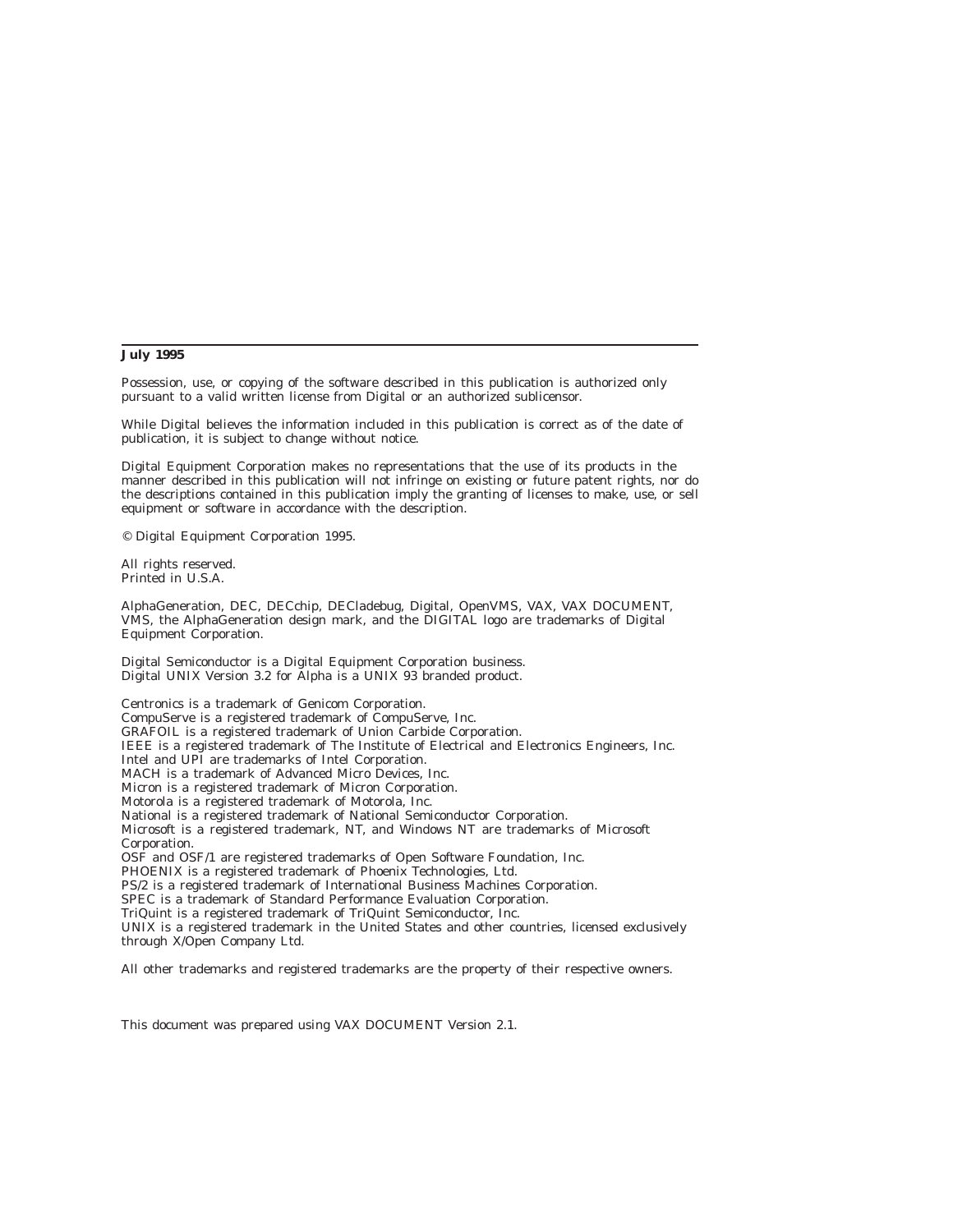#### **July 1995**

Possession, use, or copying of the software described in this publication is authorized only pursuant to a valid written license from Digital or an authorized sublicensor.

While Digital believes the information included in this publication is correct as of the date of publication, it is subject to change without notice.

Digital Equipment Corporation makes no representations that the use of its products in the manner described in this publication will not infringe on existing or future patent rights, nor do the descriptions contained in this publication imply the granting of licenses to make, use, or sell equipment or software in accordance with the description.

© Digital Equipment Corporation 1995.

All rights reserved. Printed in U.S.A.

AlphaGeneration, DEC, DECchip, DECladebug, Digital, OpenVMS, VAX, VAX DOCUMENT, VMS, the AlphaGeneration design mark, and the DIGITAL logo are trademarks of Digital Equipment Corporation.

Digital Semiconductor is a Digital Equipment Corporation business. Digital UNIX Version 3.2 for Alpha is a UNIX 93 branded product.

Centronics is a trademark of Genicom Corporation. CompuServe is a registered trademark of CompuServe, Inc. GRAFOIL is a registered trademark of Union Carbide Corporation. IEEE is a registered trademark of The Institute of Electrical and Electronics Engineers, Inc. Intel and UPI are trademarks of Intel Corporation. MACH is a trademark of Advanced Micro Devices, Inc. Micron is a registered trademark of Micron Corporation. Motorola is a registered trademark of Motorola, Inc. National is a registered trademark of National Semiconductor Corporation. Microsoft is a registered trademark, NT, and Windows NT are trademarks of Microsoft Corporation. OSF and OSF/1 are registered trademarks of Open Software Foundation, Inc. PHOENIX is a registered trademark of Phoenix Technologies, Ltd. PS/2 is a registered trademark of International Business Machines Corporation. SPEC is a trademark of Standard Performance Evaluation Corporation. TriQuint is a registered trademark of TriQuint Semiconductor, Inc. UNIX is a registered trademark in the United States and other countries, licensed exclusively through X/Open Company Ltd.

All other trademarks and registered trademarks are the property of their respective owners.

This document was prepared using VAX DOCUMENT Version 2.1.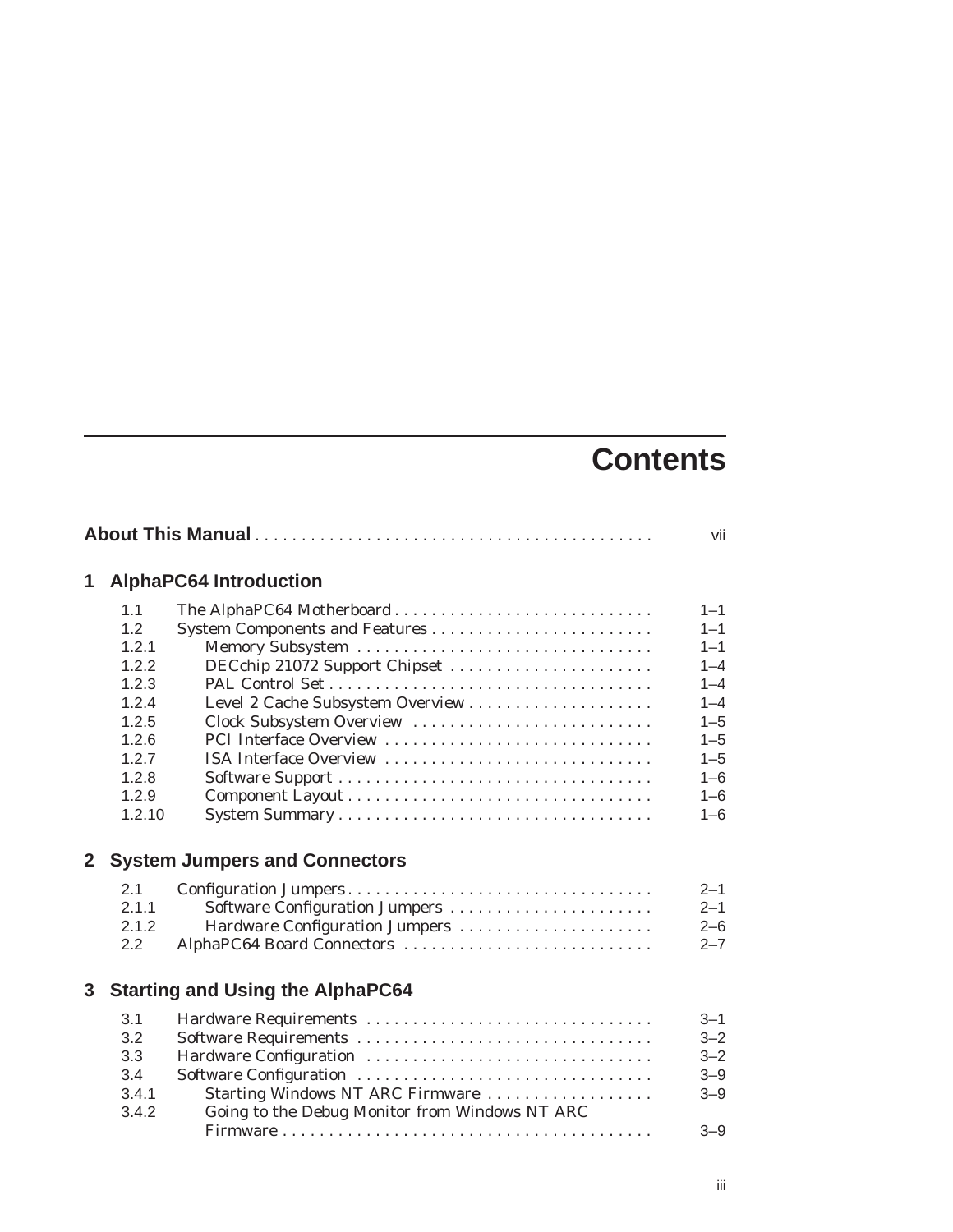# **Contents**

|                |        |                                                | vii     |
|----------------|--------|------------------------------------------------|---------|
| 1              |        | <b>AlphaPC64 Introduction</b>                  |         |
|                | 1.1    | The AlphaPC64 Motherboard                      | $1 - 1$ |
|                | 1.2    |                                                | $1 - 1$ |
|                | 1.2.1  |                                                | $1 - 1$ |
|                | 1.2.2  | DECchip 21072 Support Chipset                  | $1 - 4$ |
|                | 1.2.3  |                                                | $1 - 4$ |
|                | 1.2.4  |                                                | $1 - 4$ |
|                | 1.2.5  | Clock Subsystem Overview                       | $1 - 5$ |
|                | 1.2.6  | PCI Interface Overview                         | $1 - 5$ |
|                | 1.2.7  | ISA Interface Overview                         | $1 - 5$ |
|                | 1.2.8  |                                                | $1 - 6$ |
|                | 1.2.9  |                                                | $1 - 6$ |
|                | 1.2.10 |                                                | $1 - 6$ |
| $\mathbf{2}$   |        | <b>System Jumpers and Connectors</b>           |         |
|                | 2.1    |                                                | $2 - 1$ |
|                | 2.1.1  | Software Configuration Jumpers                 | $2 - 1$ |
|                | 2.1.2  | Hardware Configuration Jumpers                 | $2 - 6$ |
|                | 2.2    | AlphaPC64 Board Connectors                     | $2 - 7$ |
| 3 <sup>1</sup> |        | <b>Starting and Using the AlphaPC64</b>        |         |
|                | 3.1    | Hardware Requirements                          | $3 - 1$ |
|                | 3.2    |                                                | $3 - 2$ |
|                | 3.3    | Hardware Configuration                         | $3 - 2$ |
|                | 3.4    | Software Configuration                         | $3 - 9$ |
|                | 3.4.1  | Starting Windows NT ARC Firmware               | $3 - 9$ |
|                | 3.4.2  | Going to the Debug Monitor from Windows NT ARC |         |
|                |        |                                                | $3 - 9$ |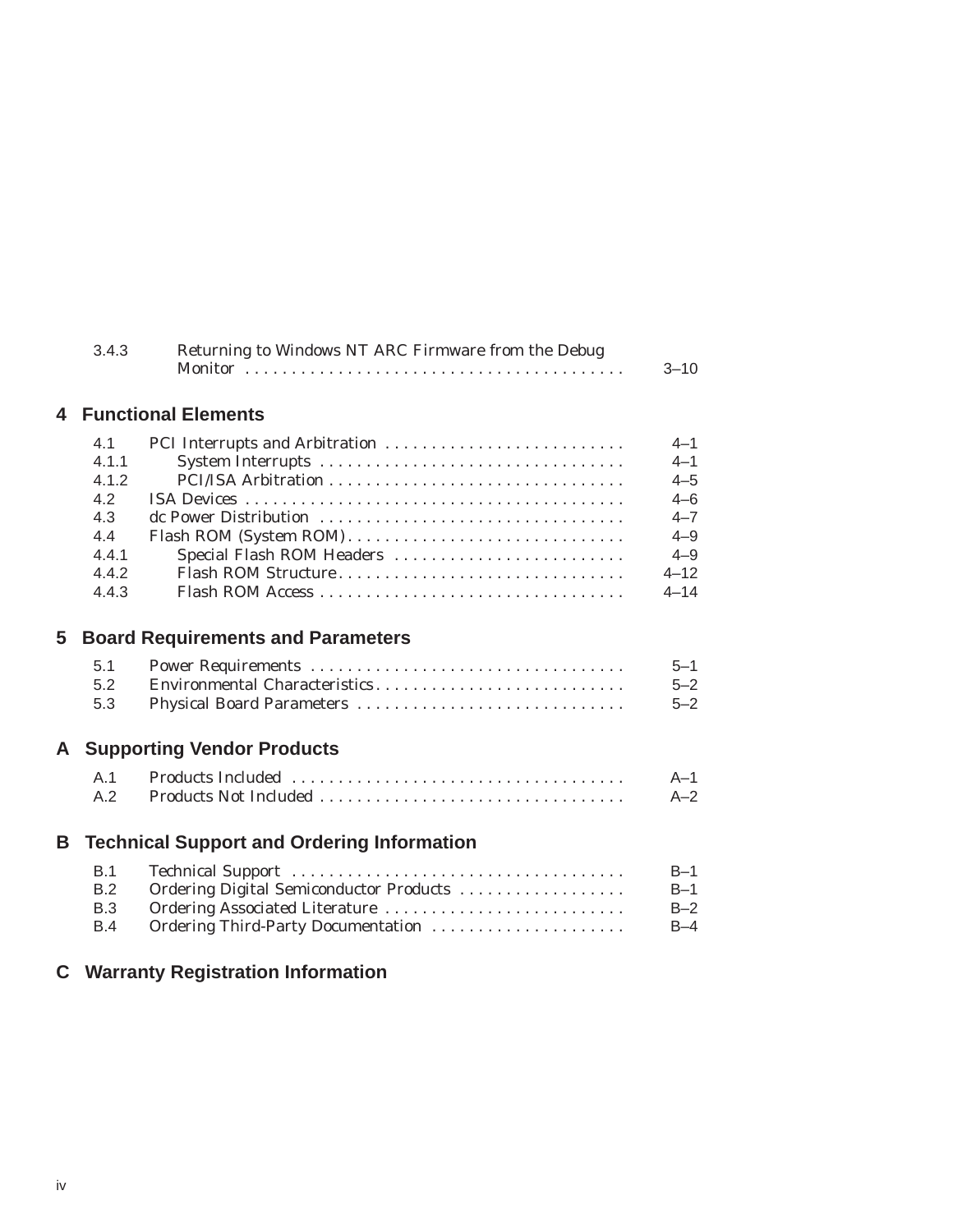|    | 3.4.3                                                                 | Returning to Windows NT ARC Firmware from the Debug                                                             | $3 - 10$                                                                                          |  |  |  |  |
|----|-----------------------------------------------------------------------|-----------------------------------------------------------------------------------------------------------------|---------------------------------------------------------------------------------------------------|--|--|--|--|
| 4  |                                                                       | <b>Functional Elements</b>                                                                                      |                                                                                                   |  |  |  |  |
|    | 4.1<br>4.1.1<br>4.1.2<br>4.2<br>4.3<br>4.4<br>4.4.1<br>4.4.2<br>4.4.3 | dc Power Distribution<br>Flash ROM (System ROM)<br>Special Flash ROM Headers<br>Flash ROM Structure             | $4 - 1$<br>$4 - 1$<br>$4 - 5$<br>$4 - 6$<br>$4 - 7$<br>$4 - 9$<br>$4 - 9$<br>$4 - 12$<br>$4 - 14$ |  |  |  |  |
| 5  | <b>Board Requirements and Parameters</b>                              |                                                                                                                 |                                                                                                   |  |  |  |  |
|    | 5.1<br>5.2<br>5.3                                                     | Environmental Characteristics<br>Physical Board Parameters                                                      | $5 - 1$<br>$5 - 2$<br>$5 - 2$                                                                     |  |  |  |  |
| A  |                                                                       | <b>Supporting Vendor Products</b>                                                                               |                                                                                                   |  |  |  |  |
|    | A.1<br>A.2                                                            | Products Not Included                                                                                           | $A-1$<br>$A-2$                                                                                    |  |  |  |  |
| B. |                                                                       | <b>Technical Support and Ordering Information</b>                                                               |                                                                                                   |  |  |  |  |
|    | B.1<br>B.2<br>B.3<br>B.4                                              | Ordering Digital Semiconductor Products<br>Ordering Associated Literature<br>Ordering Third-Party Documentation | $B-1$<br>$B-1$<br>$B-2$<br>$B-4$                                                                  |  |  |  |  |
|    |                                                                       | <b>C</b> Warranty Registration Information                                                                      |                                                                                                   |  |  |  |  |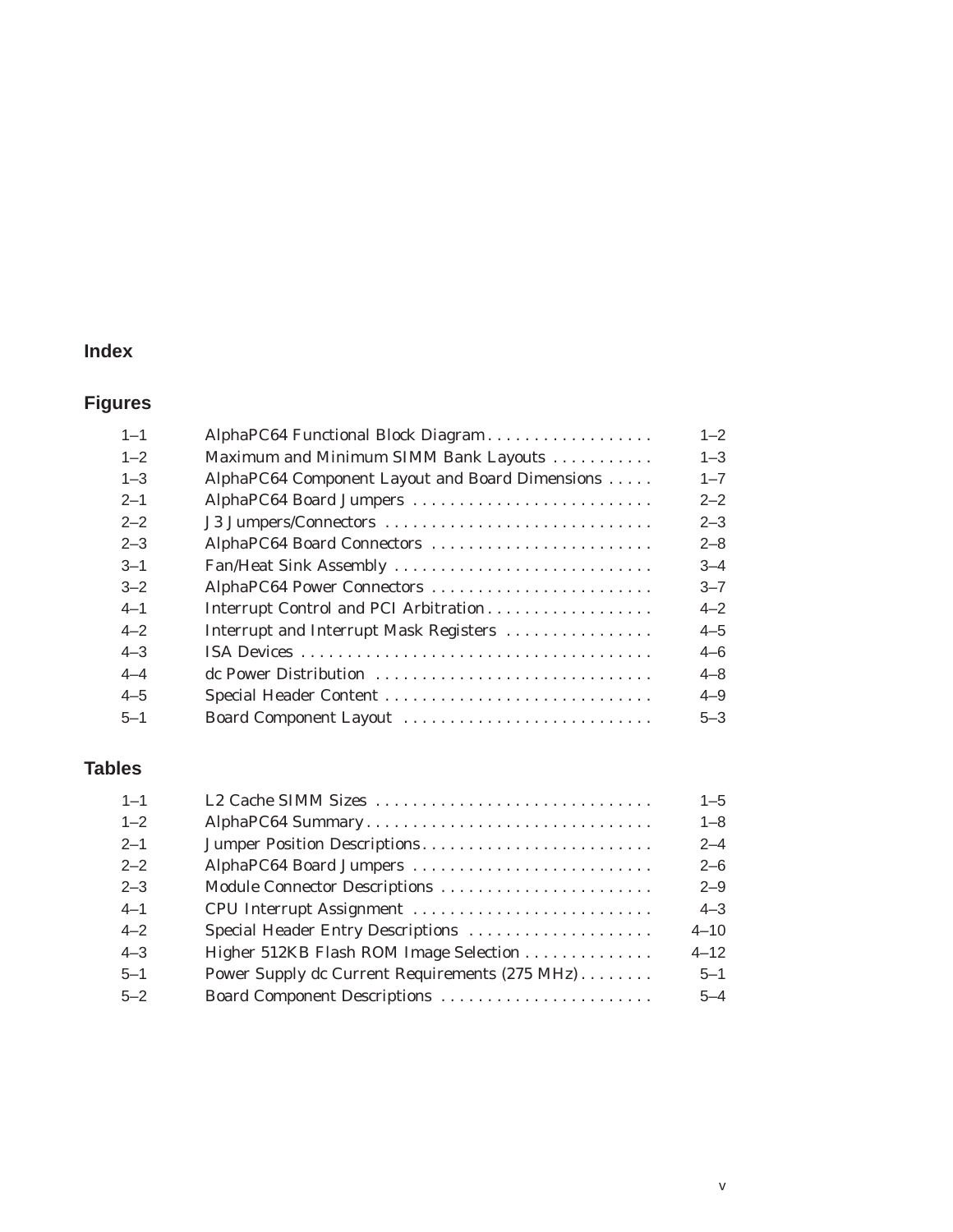# **Index**

# **Figures**

| $1 - 1$ | AlphaPC64 Functional Block Diagram              | $1 - 2$ |
|---------|-------------------------------------------------|---------|
| $1 - 2$ | Maximum and Minimum SIMM Bank Layouts           | $1 - 3$ |
| $1 - 3$ | AlphaPC64 Component Layout and Board Dimensions | $1 - 7$ |
| $2 - 1$ | AlphaPC64 Board Jumpers                         | $2 - 2$ |
| $2 - 2$ | J3 Jumpers/Connectors                           | $2 - 3$ |
| $2 - 3$ | AlphaPC64 Board Connectors                      | $2 - 8$ |
| $3 - 1$ | Fan/Heat Sink Assembly                          | $3 - 4$ |
| $3 - 2$ | AlphaPC64 Power Connectors                      | $3 - 7$ |
| $4 - 1$ | Interrupt Control and PCI Arbitration           | $4 - 2$ |
| $4 - 2$ | Interrupt and Interrupt Mask Registers          | $4 - 5$ |
| $4 - 3$ |                                                 | 4–6     |
| $4 - 4$ |                                                 | $4 - 8$ |
| $4 - 5$ |                                                 | $4 - 9$ |
| $5 - 1$ | Board Component Layout                          | $5 - 3$ |
|         |                                                 |         |

# **Tables**

| $1 - 1$ | L2 Cache SIMM Sizes                            | $1 - 5$  |
|---------|------------------------------------------------|----------|
| $1 - 2$ | AlphaPC64 Summary                              | $1 - 8$  |
| $2 - 1$ | Jumper Position Descriptions                   | $2 - 4$  |
| $2 - 2$ | AlphaPC64 Board Jumpers                        | $2 - 6$  |
| $2 - 3$ | Module Connector Descriptions                  | $2 - 9$  |
| $4 - 1$ | CPU Interrupt Assignment                       | $4 - 3$  |
| $4 - 2$ | Special Header Entry Descriptions              | $4 - 10$ |
| $4 - 3$ | Higher 512KB Flash ROM Image Selection         | $4 - 12$ |
| $5 - 1$ | Power Supply dc Current Requirements (275 MHz) | $5 - 1$  |
| $5 - 2$ |                                                | $5 - 4$  |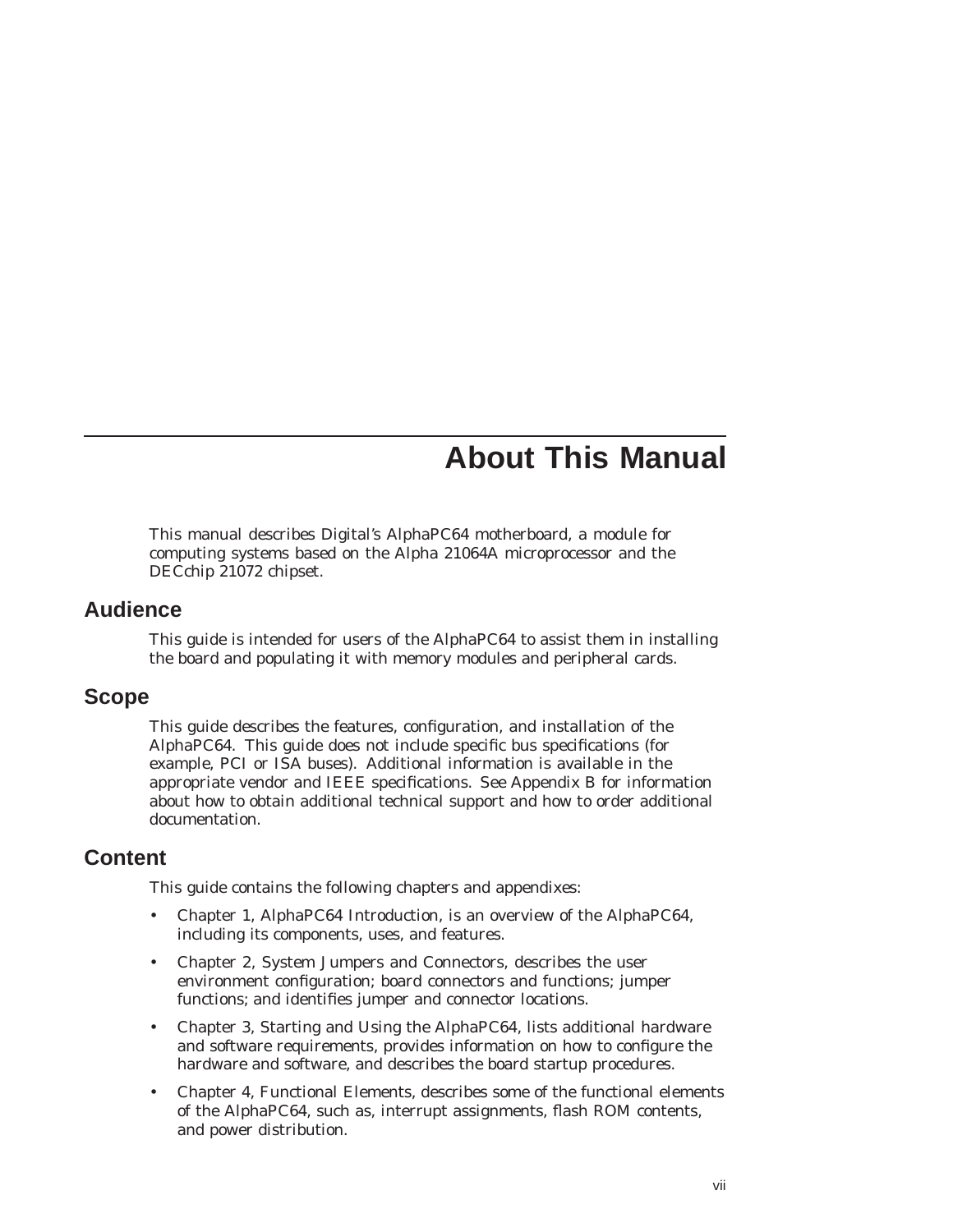# **About This Manual**

This manual describes Digital's AlphaPC64 motherboard, a module for computing systems based on the Alpha 21064A microprocessor and the DECchip 21072 chipset.

### **Audience**

This guide is intended for users of the AlphaPC64 to assist them in installing the board and populating it with memory modules and peripheral cards.

### **Scope**

This guide describes the features, configuration, and installation of the AlphaPC64. This guide does not include specific bus specifications (for example, PCI or ISA buses). Additional information is available in the appropriate vendor and IEEE specifications. See Appendix B for information about how to obtain additional technical support and how to order additional documentation.

# **Content**

This guide contains the following chapters and appendixes:

- Chapter 1, AlphaPC64 Introduction, is an overview of the AlphaPC64, including its components, uses, and features.
- Chapter 2, System Jumpers and Connectors, describes the user environment configuration; board connectors and functions; jumper functions; and identifies jumper and connector locations.
- Chapter 3, Starting and Using the AlphaPC64, lists additional hardware and software requirements, provides information on how to configure the hardware and software, and describes the board startup procedures.
- Chapter 4, Functional Elements, describes some of the functional elements of the AlphaPC64, such as, interrupt assignments, flash ROM contents, and power distribution.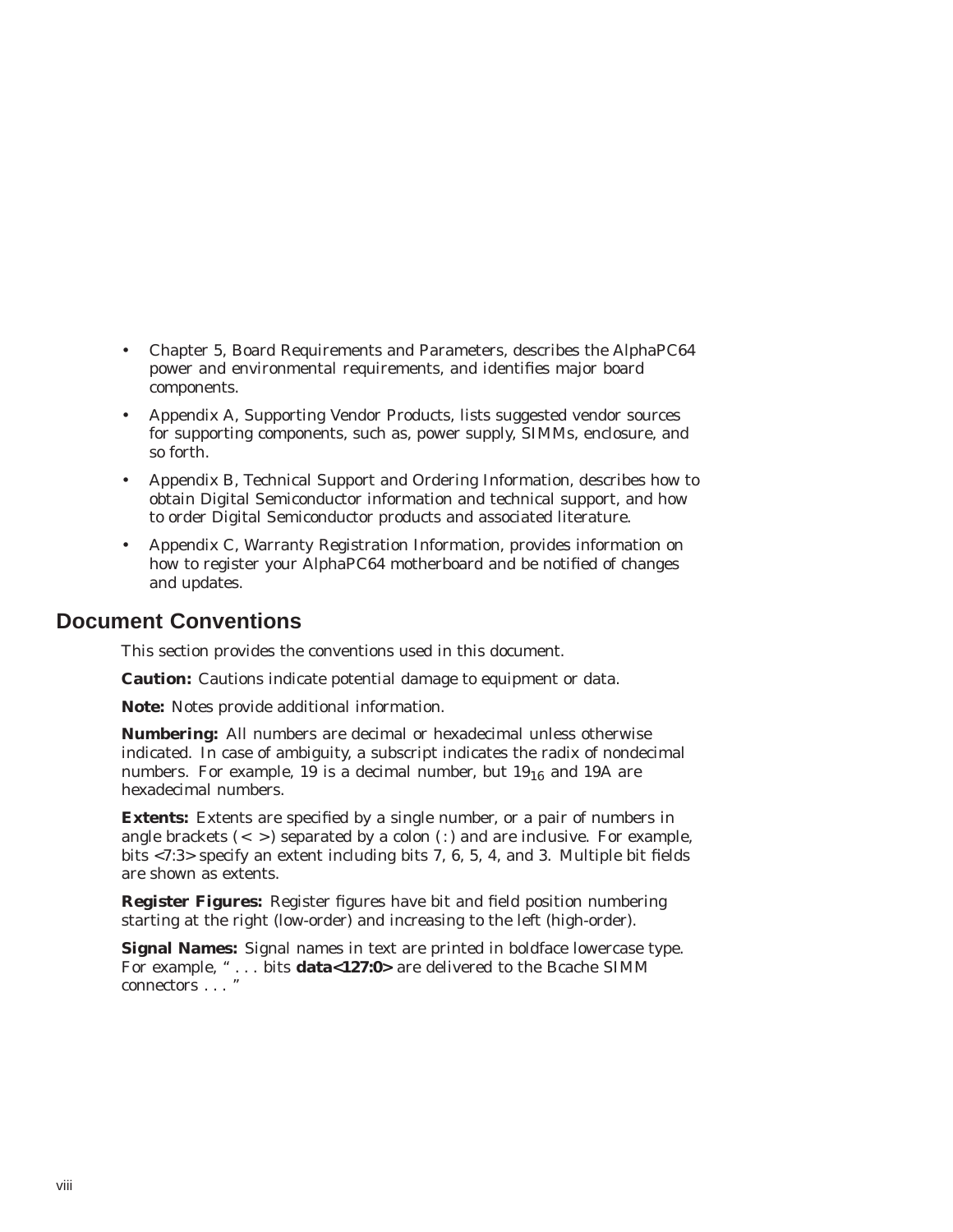- Chapter 5, Board Requirements and Parameters, describes the AlphaPC64 power and environmental requirements, and identifies major board components.
- Appendix A, Supporting Vendor Products, lists suggested vendor sources for supporting components, such as, power supply, SIMMs, enclosure, and so forth.
- Appendix B, Technical Support and Ordering Information, describes how to obtain Digital Semiconductor information and technical support, and how to order Digital Semiconductor products and associated literature.
- Appendix C, Warranty Registration Information, provides information on how to register your AlphaPC64 motherboard and be notified of changes and updates.

### **Document Conventions**

This section provides the conventions used in this document.

**Caution:** Cautions indicate potential damage to equipment or data.

**Note:** Notes provide additional information.

**Numbering:** All numbers are decimal or hexadecimal unless otherwise indicated. In case of ambiguity, a subscript indicates the radix of nondecimal numbers. For example, 19 is a decimal number, but  $19_{16}$  and 19A are hexadecimal numbers.

**Extents:** Extents are specified by a single number, or a pair of numbers in angle brackets  $\left( \langle \rangle \right)$  separated by a colon  $\left( \cdot \right)$  and are inclusive. For example, bits <7:3> specify an extent including bits 7, 6, 5, 4, and 3. Multiple bit fields are shown as extents.

**Register Figures:** Register figures have bit and field position numbering starting at the right (low-order) and increasing to the left (high-order).

**Signal Names:** Signal names in text are printed in boldface lowercase type. For example, '' . . . bits **data<127:0>** are delivered to the Bcache SIMM connectors . . . ''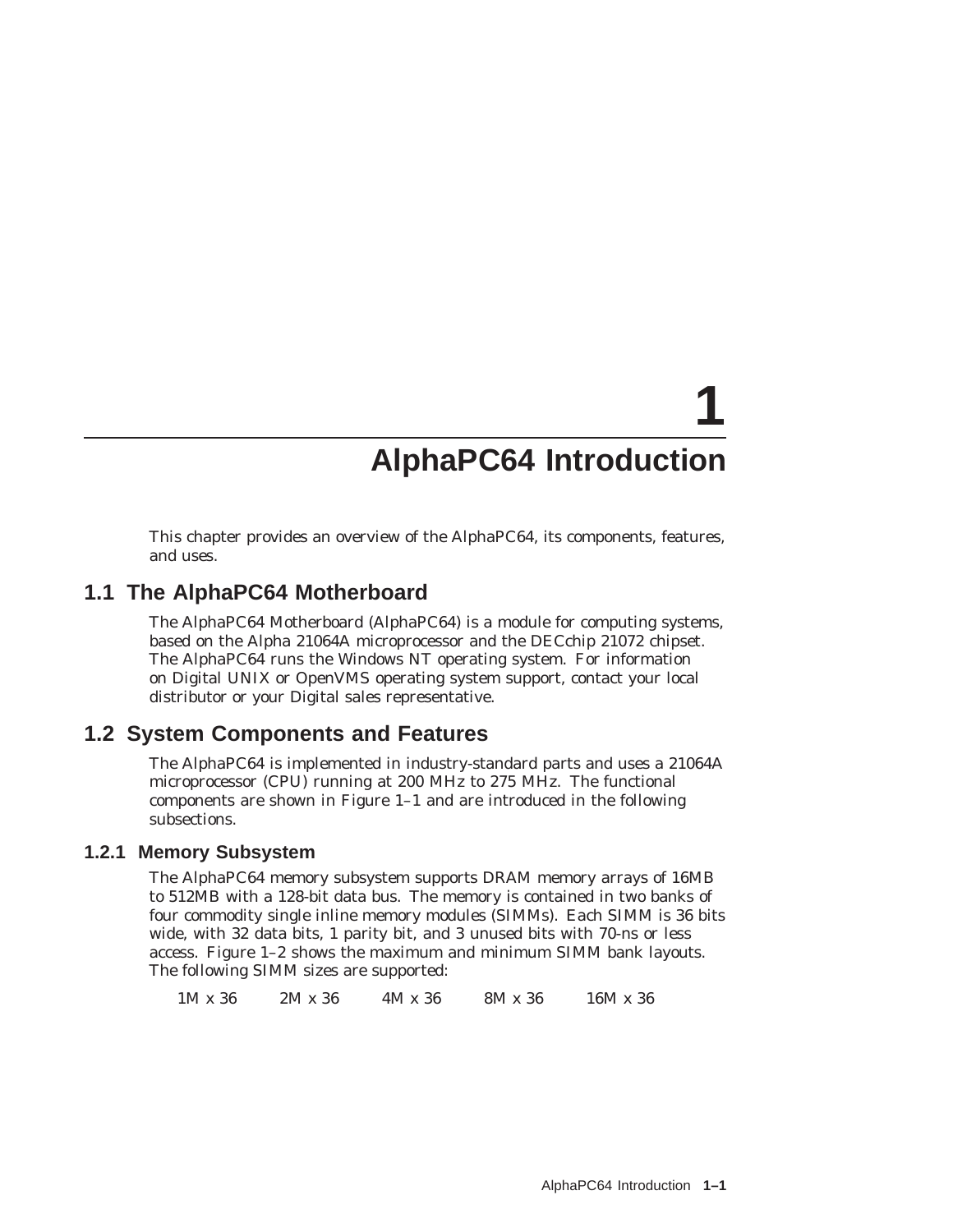# **AlphaPC64 Introduction**

**1**

This chapter provides an overview of the AlphaPC64, its components, features, and uses.

## **1.1 The AlphaPC64 Motherboard**

The AlphaPC64 Motherboard (AlphaPC64) is a module for computing systems, based on the Alpha 21064A microprocessor and the DECchip 21072 chipset. The AlphaPC64 runs the Windows NT operating system. For information on Digital UNIX or OpenVMS operating system support, contact your local distributor or your Digital sales representative.

# **1.2 System Components and Features**

The AlphaPC64 is implemented in industry-standard parts and uses a 21064A microprocessor (CPU) running at 200 MHz to 275 MHz. The functional components are shown in Figure 1–1 and are introduced in the following subsections.

### **1.2.1 Memory Subsystem**

The AlphaPC64 memory subsystem supports DRAM memory arrays of 16MB to 512MB with a 128-bit data bus. The memory is contained in two banks of four commodity single inline memory modules (SIMMs). Each SIMM is 36 bits wide, with 32 data bits, 1 parity bit, and 3 unused bits with 70-ns or less access. Figure 1–2 shows the maximum and minimum SIMM bank layouts. The following SIMM sizes are supported:

1M x 36 2M x 36 4M x 36 8M x 36 16M x 36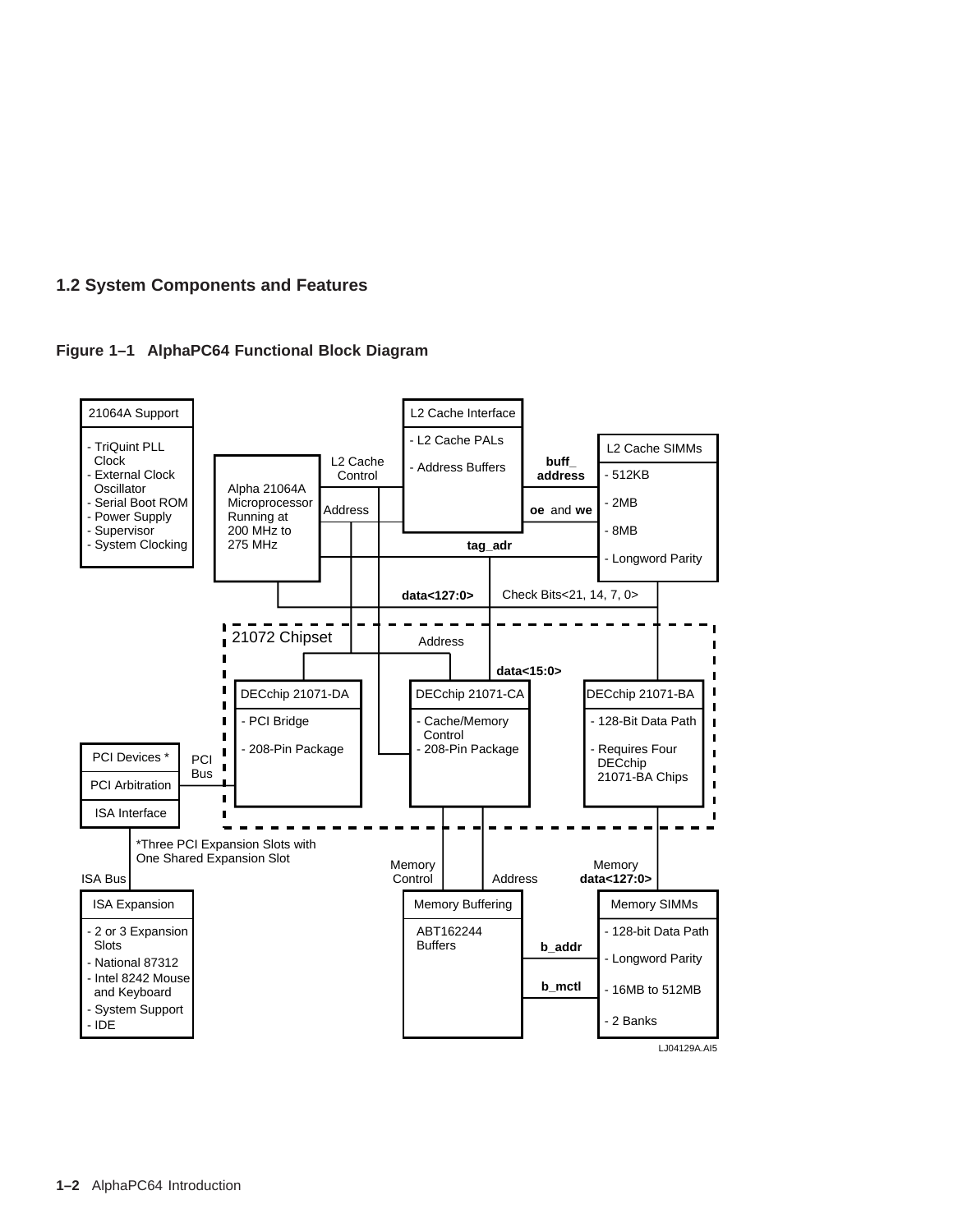



**1–2** AlphaPC64 Introduction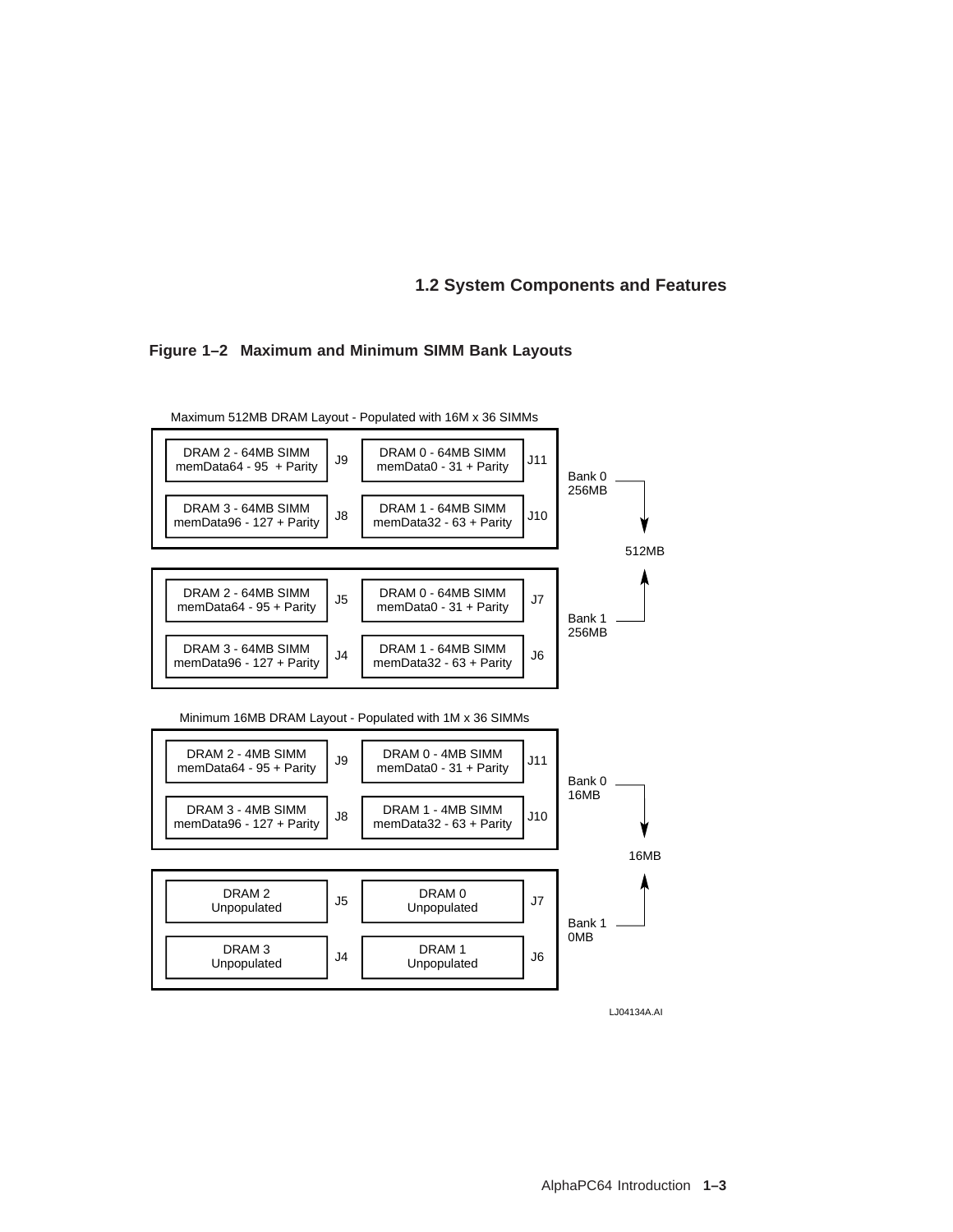#### **Figure 1–2 Maximum and Minimum SIMM Bank Layouts**

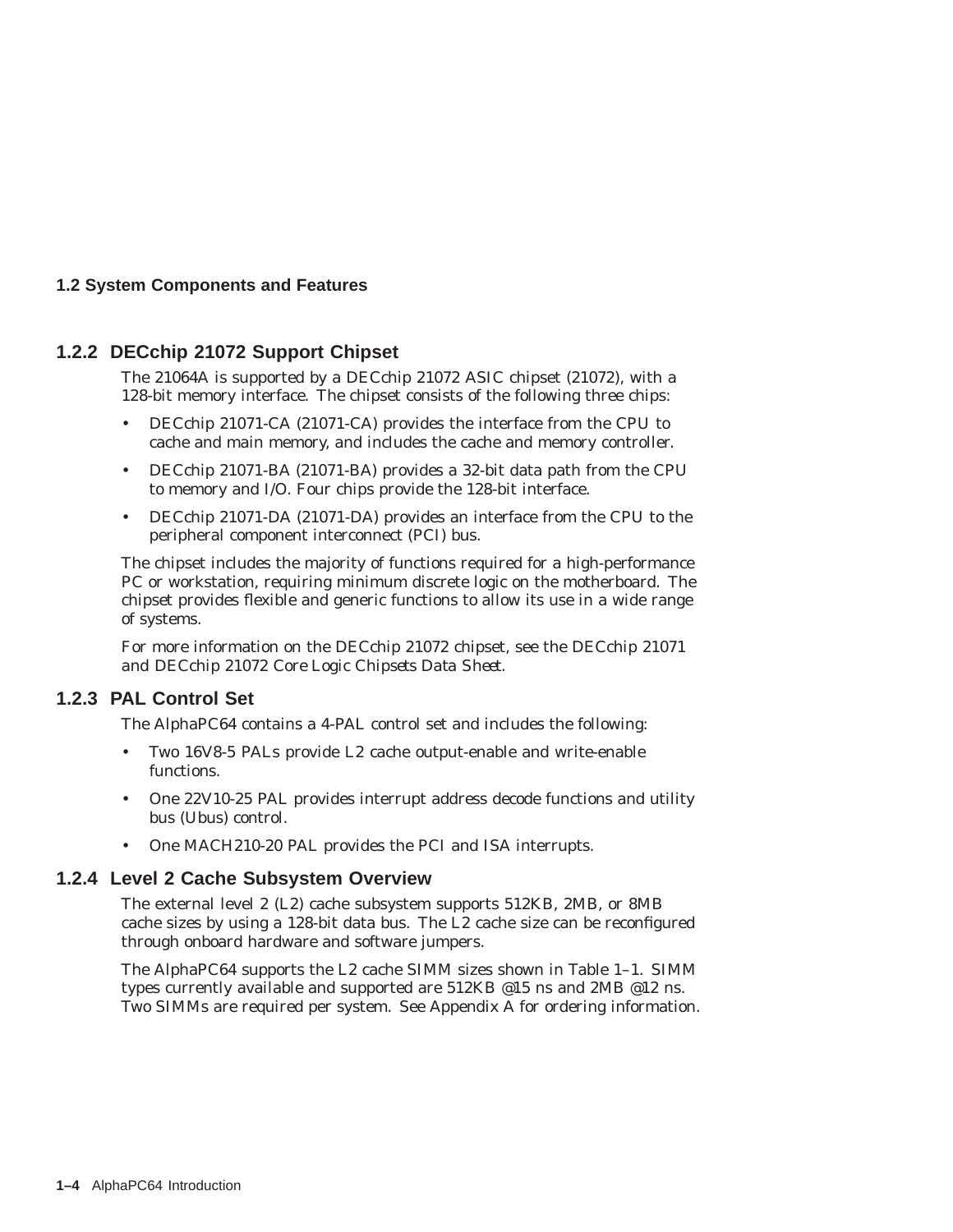### **1.2.2 DECchip 21072 Support Chipset**

The 21064A is supported by a DECchip 21072 ASIC chipset (21072), with a 128-bit memory interface. The chipset consists of the following three chips:

- DECchip 21071-CA (21071-CA) provides the interface from the CPU to cache and main memory, and includes the cache and memory controller.
- DECchip 21071-BA (21071-BA) provides a 32-bit data path from the CPU to memory and I/O. Four chips provide the 128-bit interface.
- DECchip 21071-DA (21071-DA) provides an interface from the CPU to the peripheral component interconnect (PCI) bus.

The chipset includes the majority of functions required for a high-performance PC or workstation, requiring minimum discrete logic on the motherboard. The chipset provides flexible and generic functions to allow its use in a wide range of systems.

For more information on the DECchip 21072 chipset, see the *DECchip 21071 and DECchip 21072 Core Logic Chipsets Data Sheet*.

### **1.2.3 PAL Control Set**

The AlphaPC64 contains a 4-PAL control set and includes the following:

- Two 16V8-5 PALs provide L2 cache output-enable and write-enable functions.
- One 22V10-25 PAL provides interrupt address decode functions and utility bus (Ubus) control.
- One MACH210-20 PAL provides the PCI and ISA interrupts.

### **1.2.4 Level 2 Cache Subsystem Overview**

The external level 2 (L2) cache subsystem supports 512KB, 2MB, or 8MB cache sizes by using a 128-bit data bus. The L2 cache size can be reconfigured through onboard hardware and software jumpers.

The AlphaPC64 supports the L2 cache SIMM sizes shown in Table 1–1. SIMM types currently available and supported are 512KB @15 ns and 2MB @12 ns. Two SIMMs are required per system. See Appendix A for ordering information.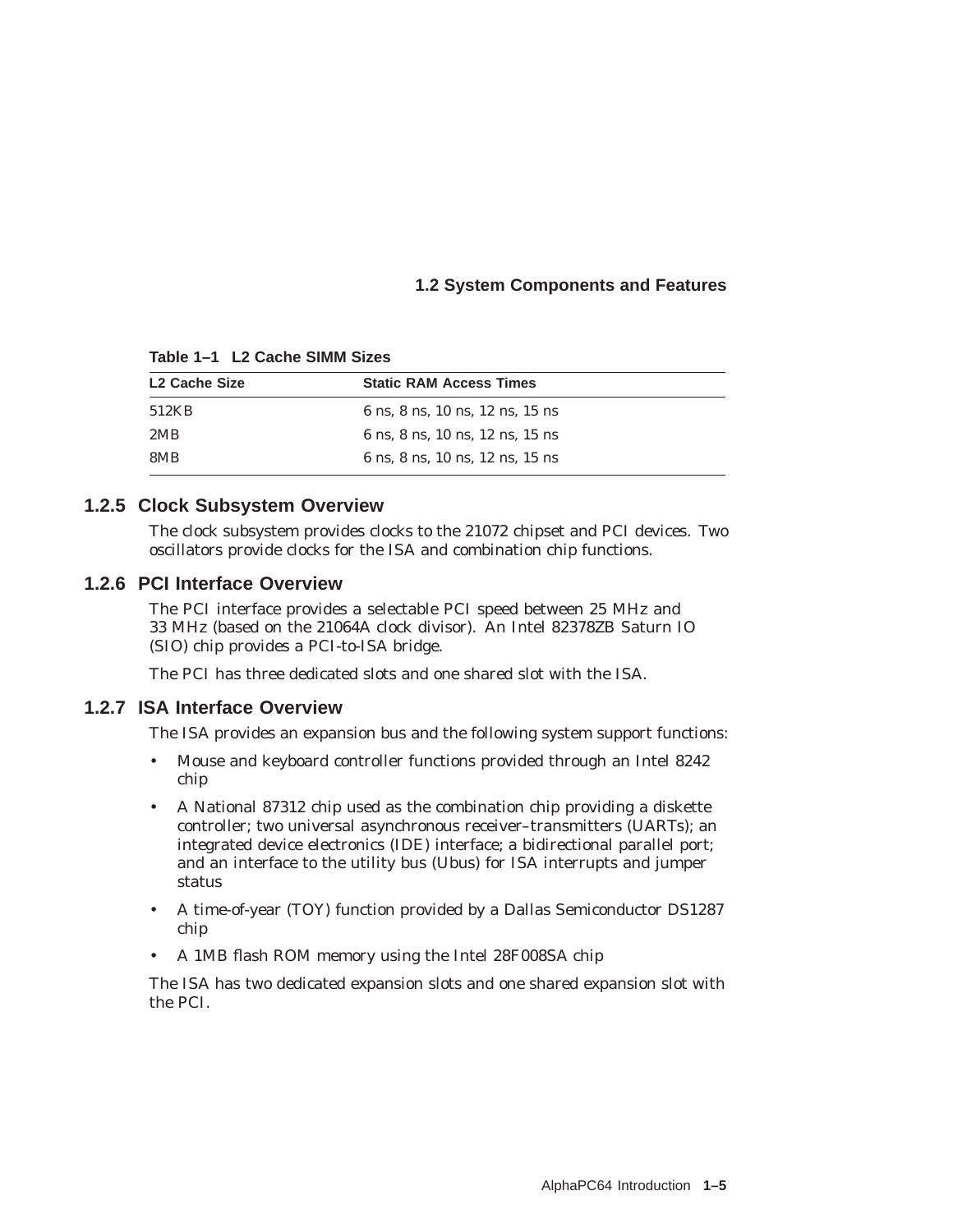| L <sub>2</sub> Cache Size | <b>Static RAM Access Times</b>  |
|---------------------------|---------------------------------|
| 512KB                     | 6 ns, 8 ns, 10 ns, 12 ns, 15 ns |
| 2MB                       | 6 ns. 8 ns. 10 ns. 12 ns. 15 ns |
| 8MB                       | 6 ns. 8 ns. 10 ns. 12 ns. 15 ns |

**Table 1–1 L2 Cache SIMM Sizes**

### **1.2.5 Clock Subsystem Overview**

The clock subsystem provides clocks to the 21072 chipset and PCI devices. Two oscillators provide clocks for the ISA and combination chip functions.

### **1.2.6 PCI Interface Overview**

The PCI interface provides a selectable PCI speed between 25 MHz and 33 MHz (based on the 21064A clock divisor). An Intel 82378ZB Saturn IO (SIO) chip provides a PCI-to-ISA bridge.

The PCI has three dedicated slots and one shared slot with the ISA.

### **1.2.7 ISA Interface Overview**

The ISA provides an expansion bus and the following system support functions:

- Mouse and keyboard controller functions provided through an Intel 8242 chip
- A National 87312 chip used as the combination chip providing a diskette controller; two universal asynchronous receiver–transmitters (UARTs); an integrated device electronics (IDE) interface; a bidirectional parallel port; and an interface to the utility bus (Ubus) for ISA interrupts and jumper status
- A time-of-year (TOY) function provided by a Dallas Semiconductor DS1287 chip
- A 1MB flash ROM memory using the Intel 28F008SA chip

The ISA has two dedicated expansion slots and one shared expansion slot with the PCI.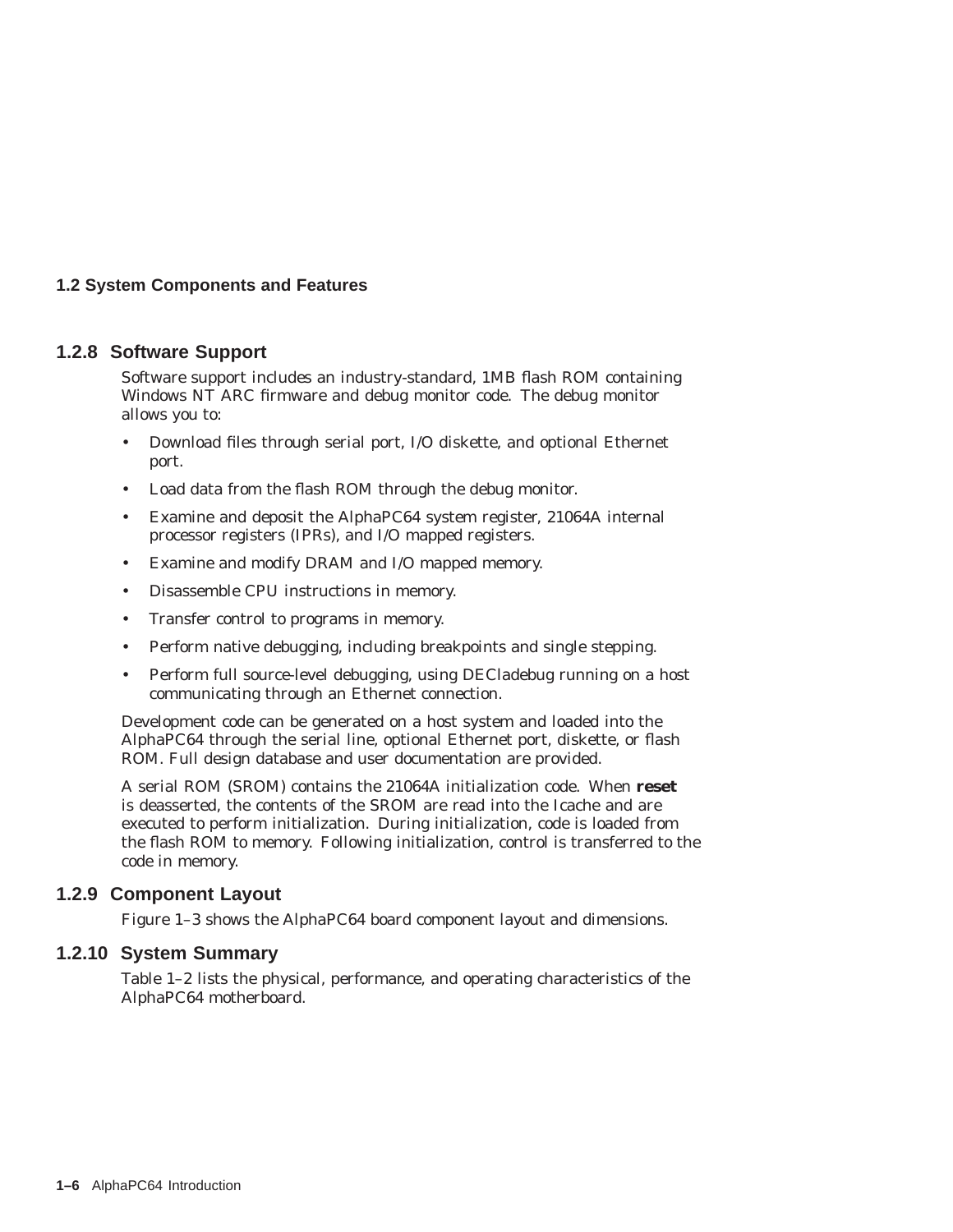### **1.2.8 Software Support**

Software support includes an industry-standard, 1MB flash ROM containing Windows NT ARC firmware and debug monitor code. The debug monitor allows you to:

- Download files through serial port, I/O diskette, and optional Ethernet port.
- Load data from the flash ROM through the debug monitor.
- Examine and deposit the AlphaPC64 system register, 21064A internal processor registers (IPRs), and I/O mapped registers.
- Examine and modify DRAM and I/O mapped memory.
- Disassemble CPU instructions in memory.
- Transfer control to programs in memory.
- Perform native debugging, including breakpoints and single stepping.
- Perform full source-level debugging, using DECladebug running on a host communicating through an Ethernet connection.

Development code can be generated on a host system and loaded into the AlphaPC64 through the serial line, optional Ethernet port, diskette, or flash ROM. Full design database and user documentation are provided.

A serial ROM (SROM) contains the 21064A initialization code. When **reset** is deasserted, the contents of the SROM are read into the Icache and are executed to perform initialization. During initialization, code is loaded from the flash ROM to memory. Following initialization, control is transferred to the code in memory.

### **1.2.9 Component Layout**

Figure 1–3 shows the AlphaPC64 board component layout and dimensions.

### **1.2.10 System Summary**

Table 1–2 lists the physical, performance, and operating characteristics of the AlphaPC64 motherboard.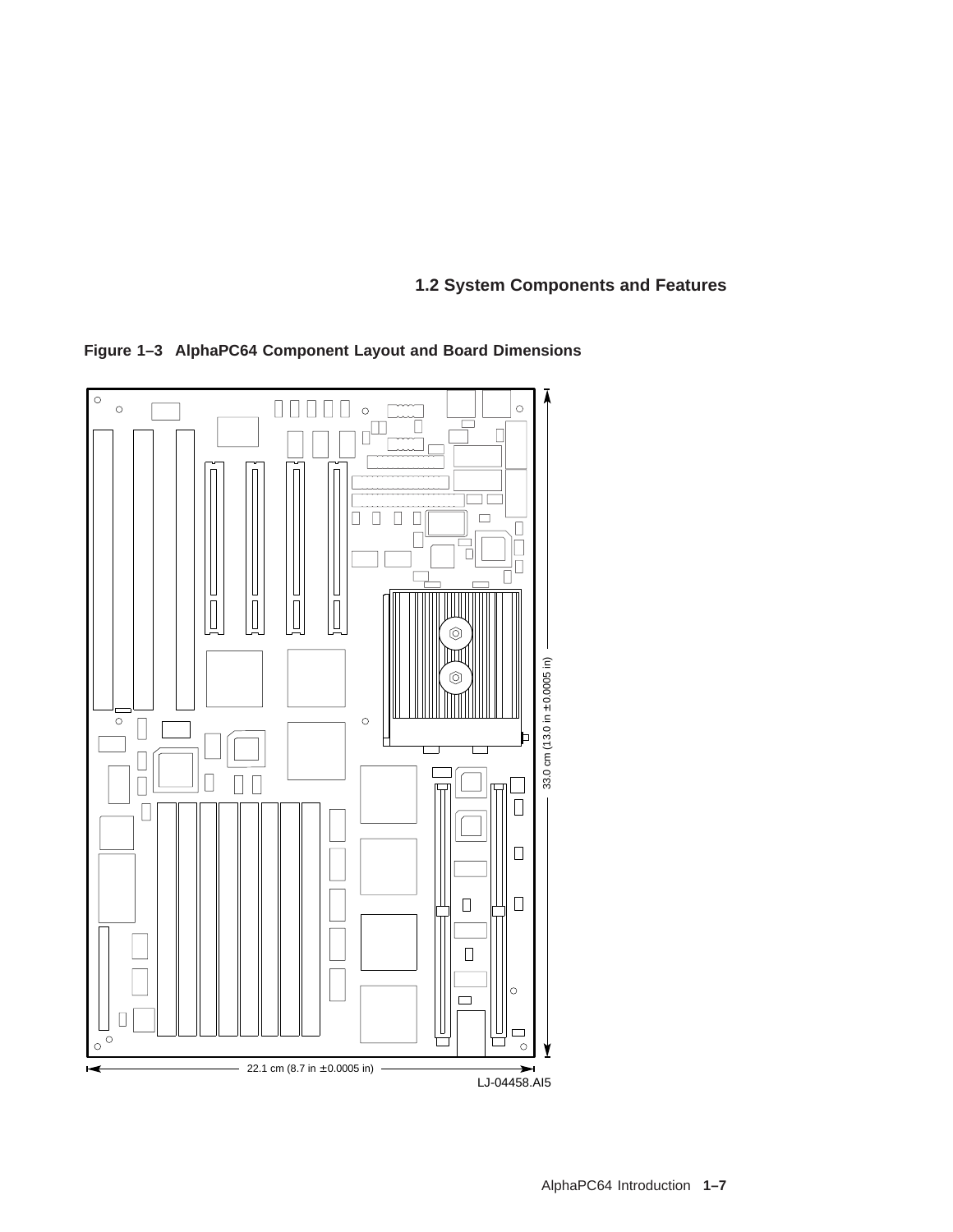**Figure 1–3 AlphaPC64 Component Layout and Board Dimensions**

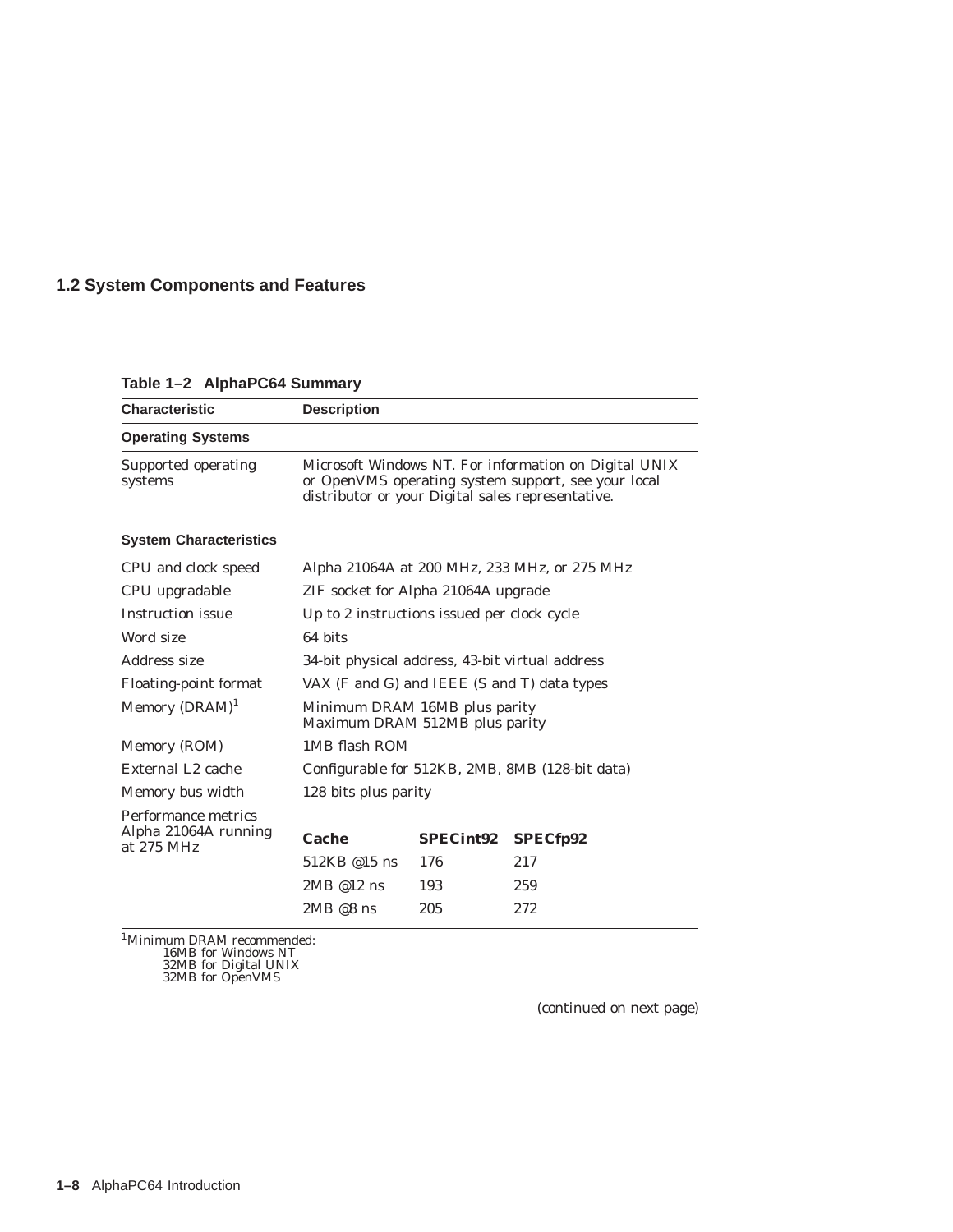**Characteristic Description Operating Systems** Supported operating systems Microsoft Windows NT. For information on Digital UNIX or OpenVMS operating system support, see your local distributor or your Digital sales representative. **System Characteristics** CPU and clock speed Alpha 21064A at 200 MHz, 233 MHz, or 275 MHz CPU upgradable ZIF socket for Alpha 21064A upgrade Instruction issue Up to 2 instructions issued per clock cycle Word size 64 bits Address size 34-bit physical address, 43-bit virtual address Floating-point format VAX (F and G) and IEEE (S and T) data types Memory  $(DRAM)^1$  Minimum DRAM 16MB plus parity Maximum DRAM 512MB plus parity Memory (ROM) 1MB flash ROM External L2 cache Configurable for 512KB, 2MB, 8MB (128-bit data) Memory bus width 128 bits plus parity Performance metrics Alpha 21064A running Alpha 21064A running<br>at 275 MHz<br>512KB @15 ns 176 217 512KB @15 ns 2MB @12 ns 193 259 2MB @8 ns 205 272

**Table 1–2 AlphaPC64 Summary**

1Minimum DRAM recommended: 16MB for Windows NT 32MB for Digital UNIX 32MB for OpenVMS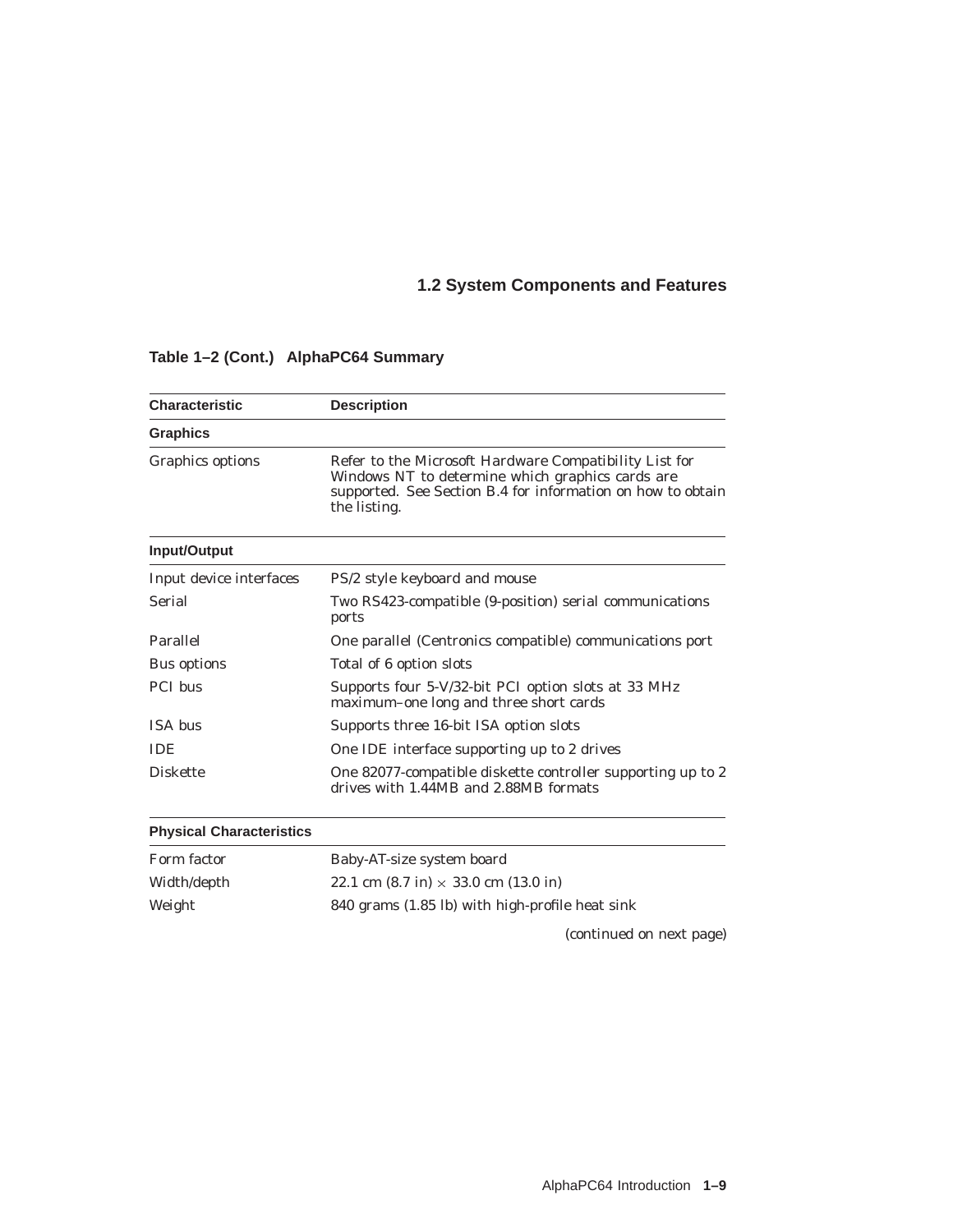| <b>Characteristic</b>           | <b>Description</b>                                                                                                                                                                               |  |  |  |  |
|---------------------------------|--------------------------------------------------------------------------------------------------------------------------------------------------------------------------------------------------|--|--|--|--|
| <b>Graphics</b>                 |                                                                                                                                                                                                  |  |  |  |  |
| Graphics options                | Refer to the Microsoft <i>Hardware Compatibility List</i> for<br>Windows NT to determine which graphics cards are<br>supported. See Section B.4 for information on how to obtain<br>the listing. |  |  |  |  |
| Input/Output                    |                                                                                                                                                                                                  |  |  |  |  |
| Input device interfaces         | PS/2 style keyboard and mouse                                                                                                                                                                    |  |  |  |  |
| <b>Serial</b>                   | Two RS423-compatible (9-position) serial communications<br>ports                                                                                                                                 |  |  |  |  |
| Parallel                        | One parallel (Centronics compatible) communications port                                                                                                                                         |  |  |  |  |
| <b>Bus options</b>              | Total of 6 option slots                                                                                                                                                                          |  |  |  |  |
| <b>PCI</b> bus                  | Supports four 5-V/32-bit PCI option slots at 33 MHz<br>maximum-one long and three short cards                                                                                                    |  |  |  |  |
| <b>ISA</b> bus                  | Supports three 16-bit ISA option slots                                                                                                                                                           |  |  |  |  |
| <b>IDE</b>                      | One IDE interface supporting up to 2 drives                                                                                                                                                      |  |  |  |  |
| <b>Diskette</b>                 | One 82077-compatible diskette controller supporting up to 2<br>drives with 1.44MB and 2.88MB formats                                                                                             |  |  |  |  |
| <b>Physical Characteristics</b> |                                                                                                                                                                                                  |  |  |  |  |
| Form factor                     | Baby-AT-size system board                                                                                                                                                                        |  |  |  |  |
| Width/depth                     | 22.1 cm $(8.7 \text{ in}) \times 33.0 \text{ cm}$ (13.0 in)                                                                                                                                      |  |  |  |  |
| Weight                          | 840 grams (1.85 lb) with high-profile heat sink                                                                                                                                                  |  |  |  |  |
|                                 | (continued on next page)                                                                                                                                                                         |  |  |  |  |

### **Table 1–2 (Cont.) AlphaPC64 Summary**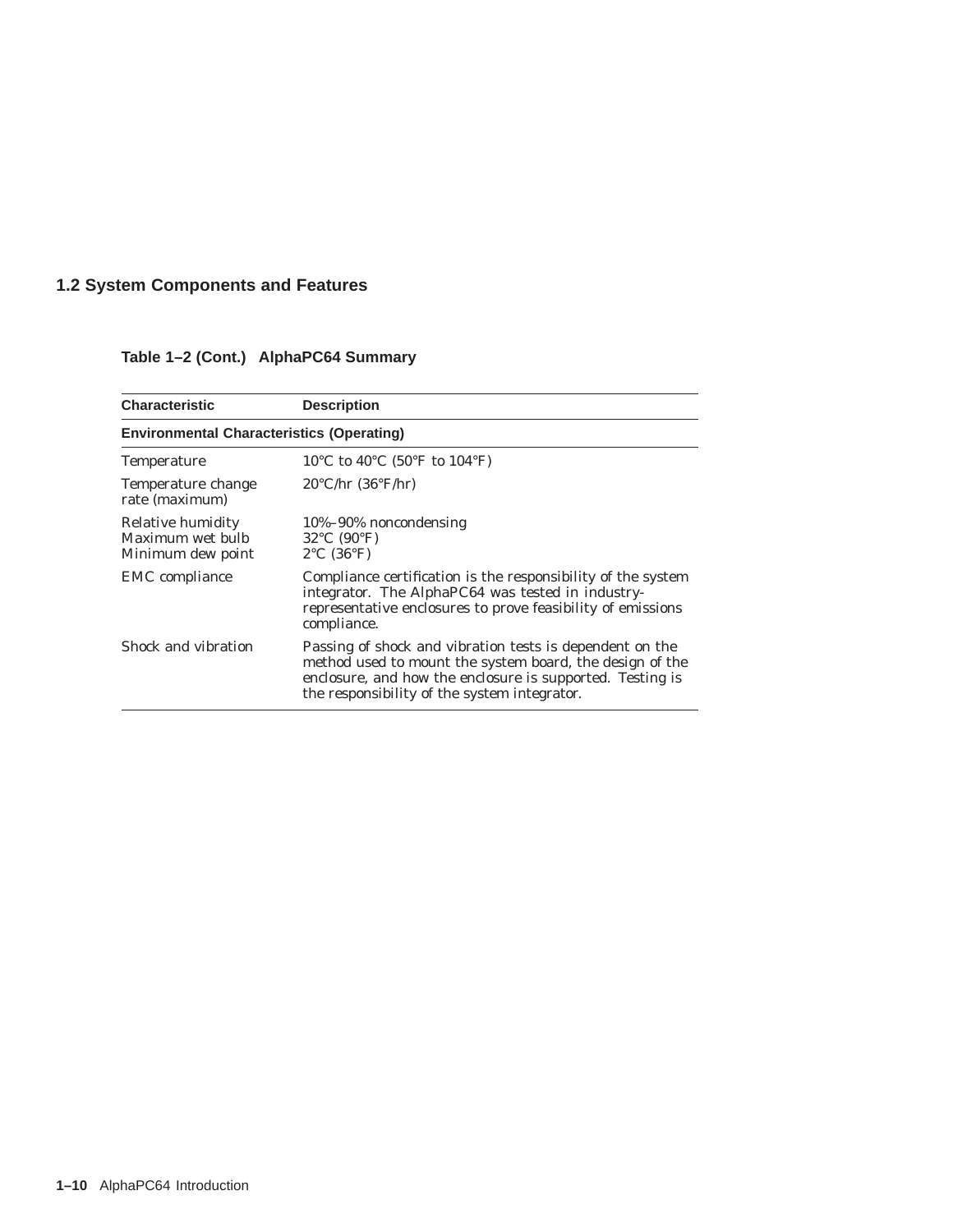| <b>Characteristic</b>                                      | <b>Description</b>                                                                                                                                                                                                                |
|------------------------------------------------------------|-----------------------------------------------------------------------------------------------------------------------------------------------------------------------------------------------------------------------------------|
| <b>Environmental Characteristics (Operating)</b>           |                                                                                                                                                                                                                                   |
| <b>Temperature</b>                                         | 10°C to 40°C (50°F to 104°F)                                                                                                                                                                                                      |
| Temperature change<br>rate (maximum)                       | $20^{\circ}$ C/hr $(36^{\circ}$ F/hr)                                                                                                                                                                                             |
| Relative humidity<br>Maximum wet bulb<br>Minimum dew point | 10%-90% noncondensing<br>$32^{\circ}$ C (90 $^{\circ}$ F)<br>$2^{\circ}$ C (36 $^{\circ}$ F)                                                                                                                                      |
| <b>EMC</b> compliance                                      | Compliance certification is the responsibility of the system<br>integrator. The AlphaPC64 was tested in industry-<br>representative enclosures to prove feasibility of emissions<br>compliance.                                   |
| Shock and vibration                                        | Passing of shock and vibration tests is dependent on the<br>method used to mount the system board, the design of the<br>enclosure, and how the enclosure is supported. Testing is<br>the responsibility of the system integrator. |

## **Table 1–2 (Cont.) AlphaPC64 Summary**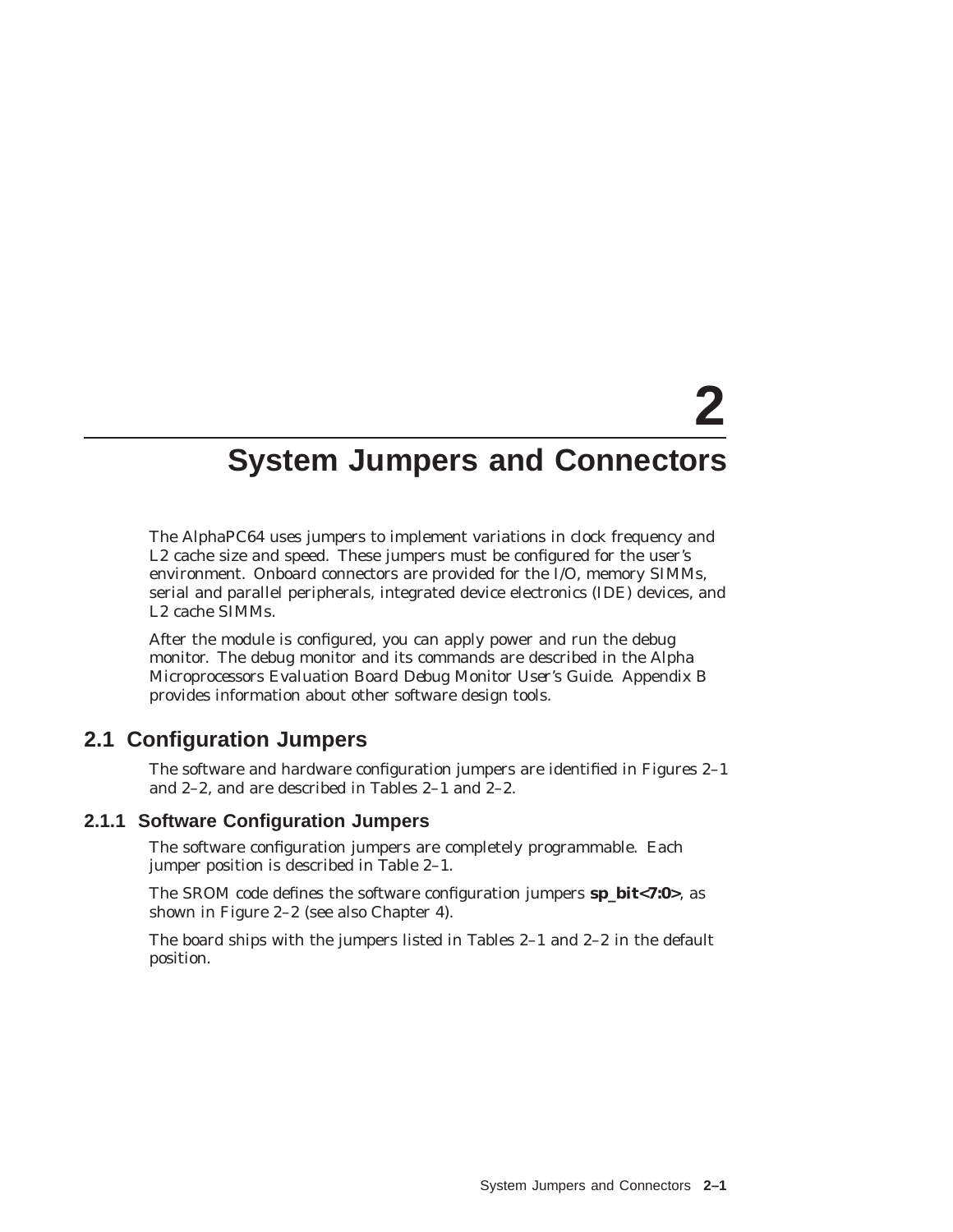# **2**

# **System Jumpers and Connectors**

The AlphaPC64 uses jumpers to implement variations in clock frequency and L2 cache size and speed. These jumpers must be configured for the user's environment. Onboard connectors are provided for the I/O, memory SIMMs, serial and parallel peripherals, integrated device electronics (IDE) devices, and L2 cache SIMMs.

After the module is configured, you can apply power and run the debug monitor. The debug monitor and its commands are described in the *Alpha Microprocessors Evaluation Board Debug Monitor User's Guide*. Appendix B provides information about other software design tools.

## **2.1 Configuration Jumpers**

The software and hardware configuration jumpers are identified in Figures 2–1 and 2–2, and are described in Tables 2–1 and 2–2.

### **2.1.1 Software Configuration Jumpers**

The software configuration jumpers are completely programmable. Each jumper position is described in Table 2–1.

The SROM code defines the software configuration jumpers **sp\_bit<7:0>**, as shown in Figure 2–2 (see also Chapter 4).

The board ships with the jumpers listed in Tables 2–1 and 2–2 in the default position.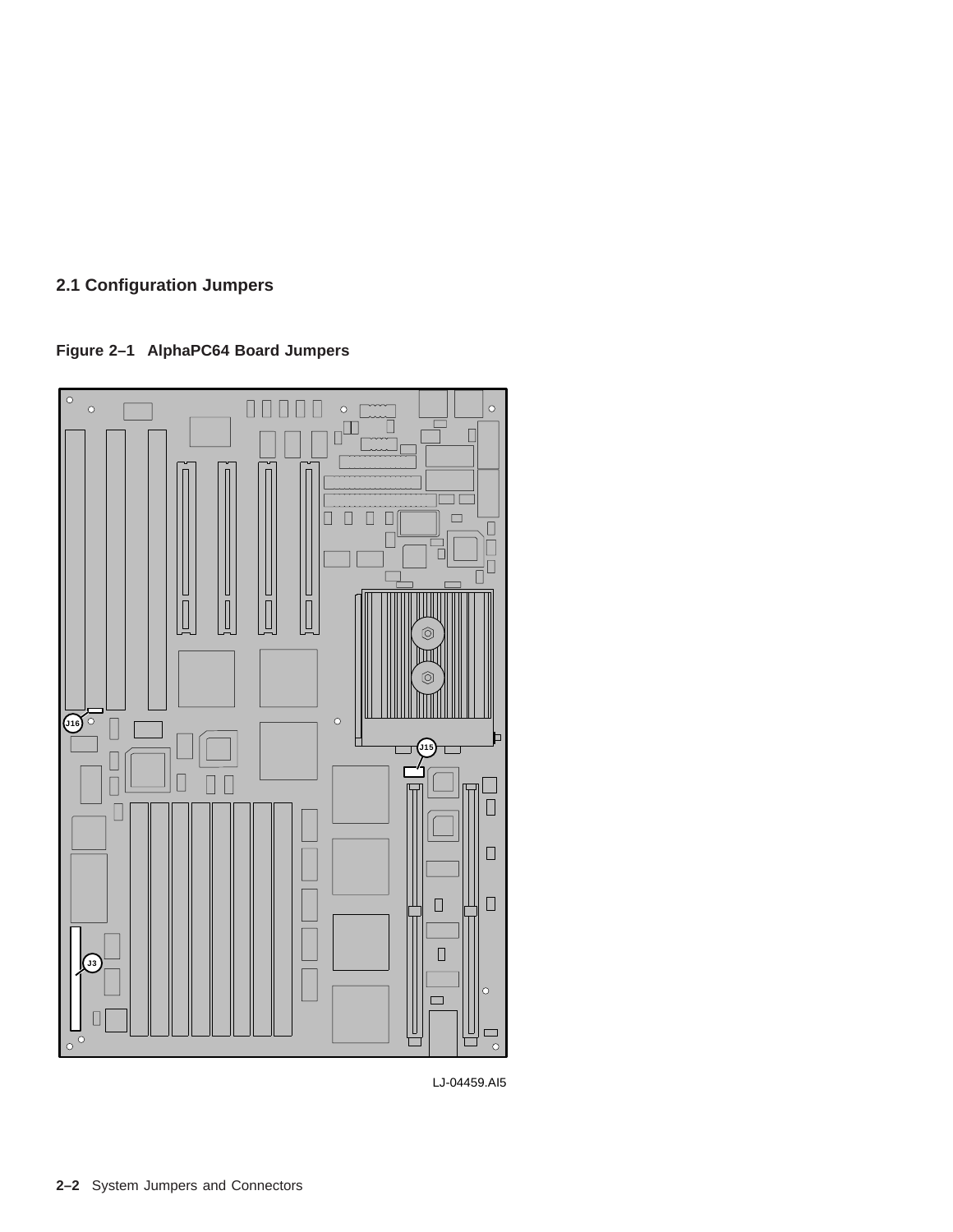**Figure 2–1 AlphaPC64 Board Jumpers**



LJ-04459.AI5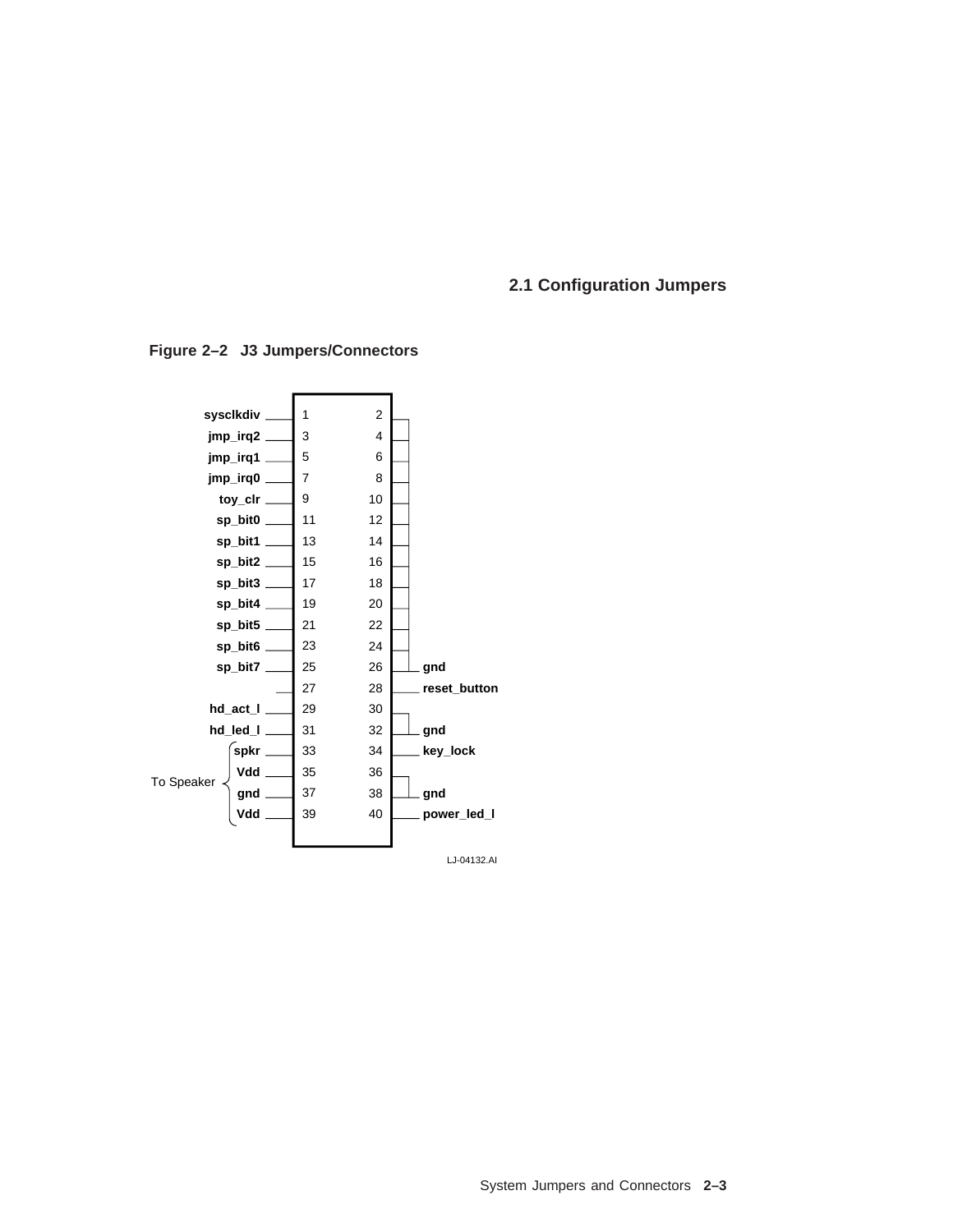

**Figure 2–2 J3 Jumpers/Connectors**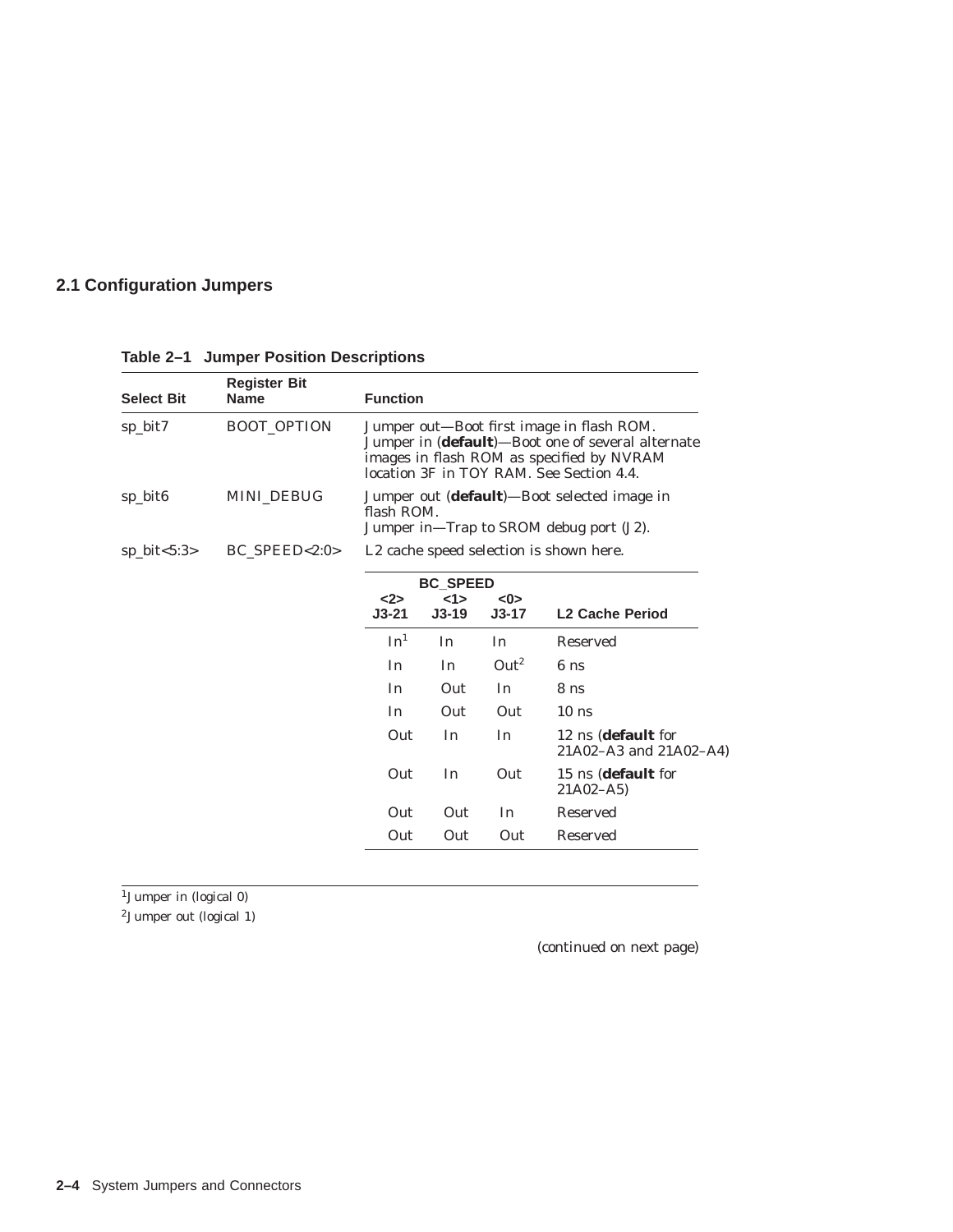| <b>Select Bit</b> | <b>Function</b> |                                                                                                                                                                                         |                 |                   |                                                      |  |
|-------------------|-----------------|-----------------------------------------------------------------------------------------------------------------------------------------------------------------------------------------|-----------------|-------------------|------------------------------------------------------|--|
| sp_bit7           | BOOT_OPTION     | Jumper out-Boot first image in flash ROM.<br>Jumper in (default)-Boot one of several alternate<br>images in flash ROM as specified by NVRAM<br>location 3F in TOY RAM. See Section 4.4. |                 |                   |                                                      |  |
| sp_bit6           | MINI_DEBUG      | Jumper out ( <b>default</b> )—Boot selected image in<br>flash ROM.<br>Jumper in—Trap to SROM debug port (J2).                                                                           |                 |                   |                                                      |  |
| $sp\_bit < 5:3>$  | $BC$ SPEED<2:0> |                                                                                                                                                                                         |                 |                   | L2 cache speed selection is shown here.              |  |
|                   |                 |                                                                                                                                                                                         | <b>BC SPEED</b> |                   |                                                      |  |
|                   |                 | $2$<br>$J3-21$                                                                                                                                                                          | 1><br>$J3-19$   | $<$ 0><br>$J3-17$ | <b>L2 Cache Period</b>                               |  |
|                   |                 | In <sup>1</sup>                                                                                                                                                                         | In              | In                | Reserved                                             |  |
|                   |                 | <b>In</b>                                                                                                                                                                               | In              | Out <sup>2</sup>  | 6 <sub>ns</sub>                                      |  |
|                   |                 | I <sub>n</sub>                                                                                                                                                                          | Out             | In                | 8 <sub>ns</sub>                                      |  |
|                   |                 | In                                                                                                                                                                                      | Out             | <b>Out</b>        | $10$ ns                                              |  |
|                   |                 | Out                                                                                                                                                                                     | In              | In                | 12 ns ( <b>default</b> for<br>21A02-A3 and 21A02-A4) |  |
|                   |                 | Out                                                                                                                                                                                     | In              | Out               | 15 ns (default for<br>$21A02 - A5$                   |  |
|                   |                 | Out                                                                                                                                                                                     | Out             | In.               | <b>Reserved</b>                                      |  |
|                   |                 | Out                                                                                                                                                                                     | Out             | Out               | Reserved                                             |  |

**Table 2–1 Jumper Position Descriptions**

 $1$ Jumper in (logical 0)

2Jumper out (logical 1)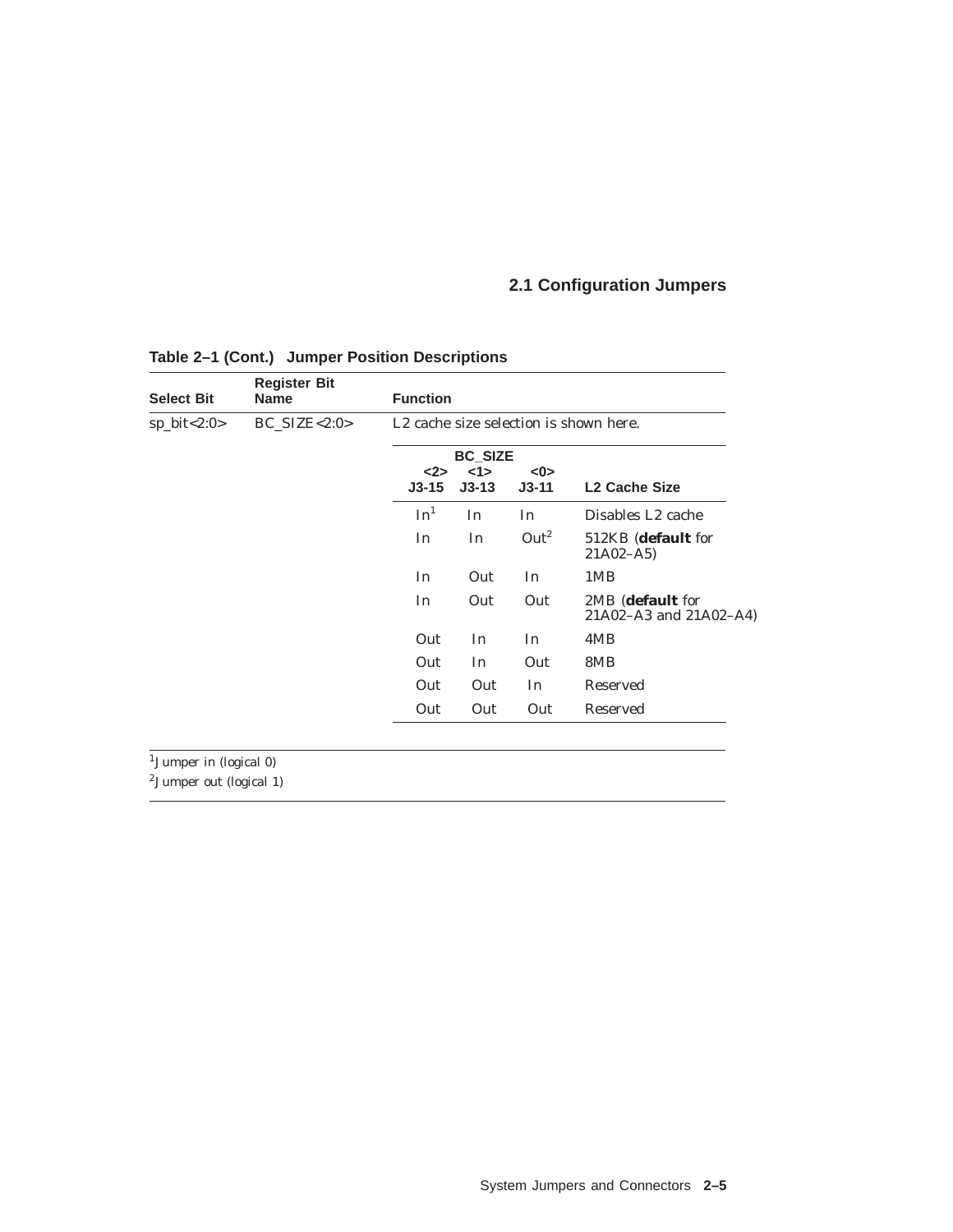| <b>Select Bit</b> | <b>Register Bit</b><br><b>Name</b> | <b>Function</b>                                    |                                |                  |                                            |  |  |
|-------------------|------------------------------------|----------------------------------------------------|--------------------------------|------------------|--------------------------------------------|--|--|
| $sp\_bit < 2:0 >$ | $BC\_SIZE < 2:0>$                  | L <sub>2</sub> cache size selection is shown here. |                                |                  |                                            |  |  |
|                   |                                    | $2$<br>$J3-15$                                     | <b>BC SIZE</b><br>1<br>$J3-13$ | < 0<br>$J3-11$   | <b>L2 Cache Size</b>                       |  |  |
|                   |                                    | In <sup>1</sup>                                    | In                             | In               | Disables L <sub>2</sub> cache              |  |  |
|                   |                                    | In                                                 | In                             | Out <sup>2</sup> | 512KB (default for<br>$21A02 - A5$         |  |  |
|                   |                                    | In                                                 | Out                            | In               | 1MB                                        |  |  |
|                   |                                    | In                                                 | Out                            | Out              | 2MB (default for<br>21A02-A3 and 21A02-A4) |  |  |
|                   |                                    | Out                                                | In                             | In               | 4MB                                        |  |  |
|                   |                                    | Out                                                | In                             | Out              | 8MB                                        |  |  |
|                   |                                    | Out                                                | Out                            | In               | Reserved                                   |  |  |
|                   |                                    | Out                                                | Out                            | Out              | <b>Reserved</b>                            |  |  |

### **Table 2–1 (Cont.) Jumper Position Descriptions**

1Jumper in (logical 0)

 $2$ Jumper out (logical 1)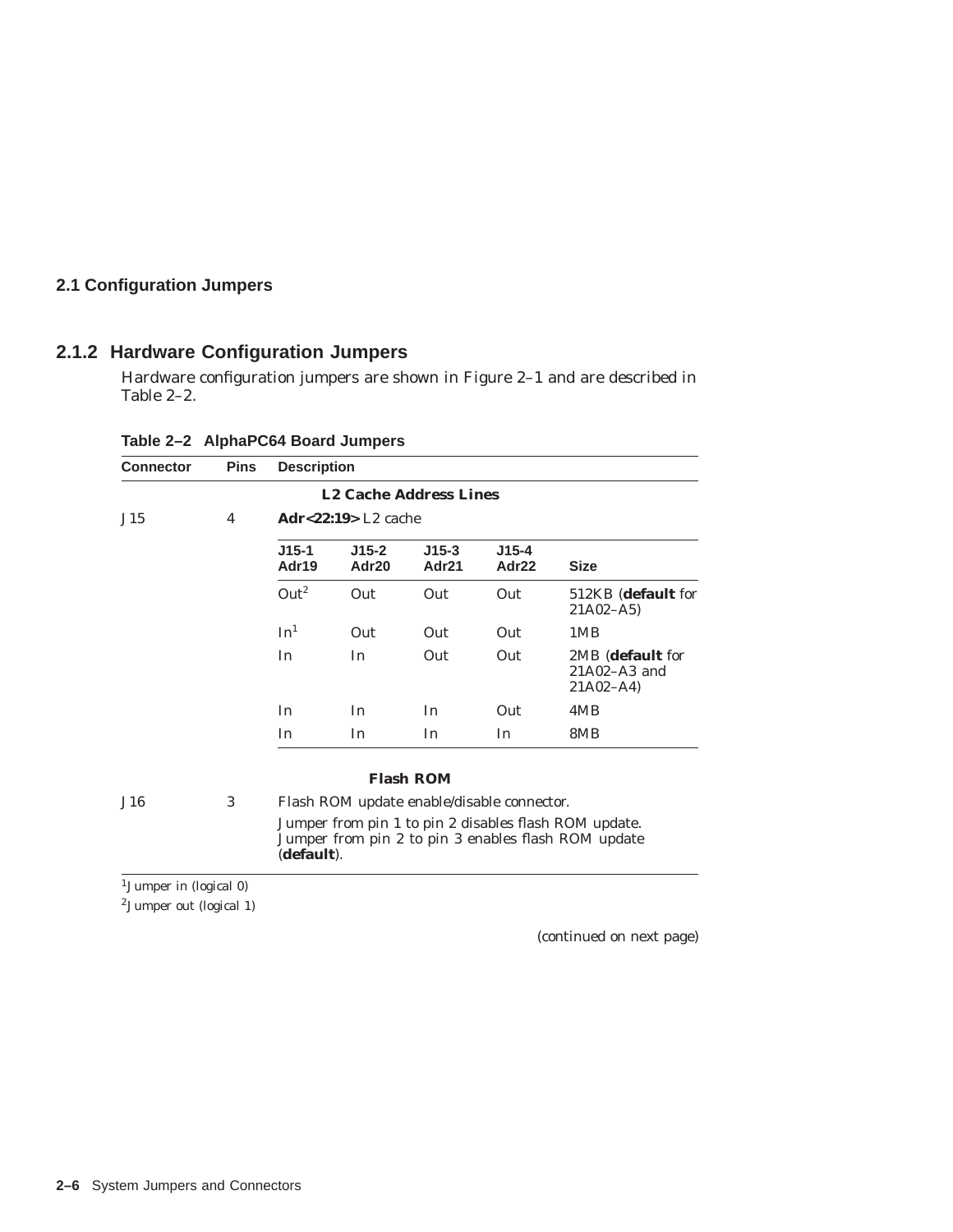### **2.1.2 Hardware Configuration Jumpers**

Hardware configuration jumpers are shown in Figure 2–1 and are described in Table 2–2.

| <b>Connector</b> | <b>Pins</b> | <b>Description</b> |                                 |                  |                    |                                                      |
|------------------|-------------|--------------------|---------------------------------|------------------|--------------------|------------------------------------------------------|
|                  |             |                    | <b>L2 Cache Address Lines</b>   |                  |                    |                                                      |
| J15              | 4           |                    | $Adr22:19$ L <sub>2</sub> cache |                  |                    |                                                      |
|                  |             | $J15-1$<br>Adr19   | $J15-2$<br>Adr20                | $J15-3$<br>Adr21 | $J15 - 4$<br>Adr22 | <b>Size</b>                                          |
|                  |             | Out <sup>2</sup>   | Out                             | Out              | Out                | 512KB (default for<br>$21A02 - A5$                   |
|                  |             | In <sup>1</sup>    | Out                             | Out              | Out                | 1MB                                                  |
|                  |             | In                 | In                              | Out              | Out                | 2MB (default for<br>$21A02 - A3$ and<br>$21A02 - A4$ |
|                  |             | In                 | In                              | In               | Out                | 4MB                                                  |
|                  |             | In                 | In                              | In               | In                 | 8MB                                                  |

**Table 2–2 AlphaPC64 Board Jumpers**

#### **Flash ROM**

J16 3 Flash ROM update enable/disable connector. Jumper from pin 1 to pin 2 disables flash ROM update. Jumper from pin 2 to pin 3 enables flash ROM update (**default**).

1Jumper in (logical 0)

2Jumper out (logical 1)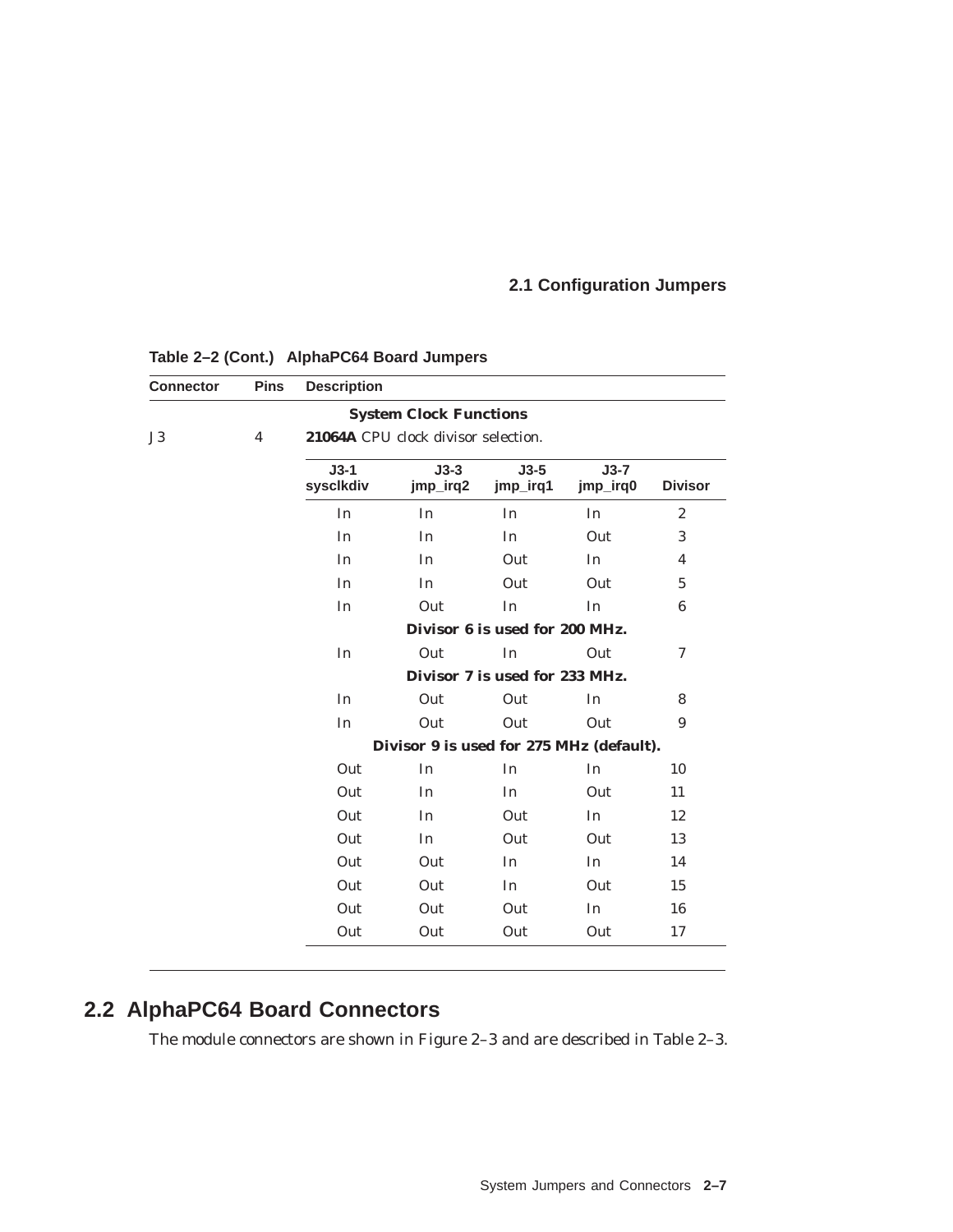| <b>Connector</b> | <b>Pins</b>                    | <b>Description</b>                       |                                     |                                |                    |                  |  |  |
|------------------|--------------------------------|------------------------------------------|-------------------------------------|--------------------------------|--------------------|------------------|--|--|
|                  |                                |                                          | <b>System Clock Functions</b>       |                                |                    |                  |  |  |
| J3               | $\overline{4}$                 |                                          | 21064A CPU clock divisor selection. |                                |                    |                  |  |  |
|                  |                                | $J3-1$<br>syscikdiv                      | $J3-3$<br>jmp_irq2                  | $J3-5$<br>jmp_irq1             | $J3-7$<br>jmp_irq0 | <b>Divisor</b>   |  |  |
|                  |                                | In                                       | In                                  | In                             | In                 | $\boldsymbol{2}$ |  |  |
|                  |                                | In                                       | In                                  | In                             | Out                | 3                |  |  |
|                  |                                | In                                       | In                                  | Out                            | In                 | 4                |  |  |
|                  |                                | In                                       | In                                  | Out                            | Out                | $\overline{5}$   |  |  |
|                  |                                | In                                       | Out                                 | In                             | In                 | 6                |  |  |
|                  |                                |                                          |                                     | Divisor 6 is used for 200 MHz. |                    |                  |  |  |
|                  |                                | In                                       | Out                                 | In                             | Out                | 7                |  |  |
|                  | Divisor 7 is used for 233 MHz. |                                          |                                     |                                |                    |                  |  |  |
|                  |                                | In                                       | Out                                 | Out                            | In                 | 8                |  |  |
|                  |                                | In                                       | Out                                 | Out                            | Out                | 9                |  |  |
|                  |                                | Divisor 9 is used for 275 MHz (default). |                                     |                                |                    |                  |  |  |
|                  |                                | Out                                      | In                                  | In                             | In                 | 10               |  |  |
|                  |                                | Out                                      | In                                  | In                             | Out                | 11               |  |  |
|                  |                                | Out                                      | In                                  | Out                            | In                 | 12               |  |  |
|                  |                                | Out                                      | In                                  | Out                            | Out                | 13               |  |  |
|                  |                                | Out                                      | Out                                 | In                             | In                 | 14               |  |  |
|                  |                                | Out                                      | Out                                 | In                             | Out                | 15               |  |  |
|                  |                                | Out                                      | Out                                 | Out                            | In                 | 16               |  |  |
|                  |                                | Out                                      | Out                                 | Out                            | Out                | 17               |  |  |

### **Table 2–2 (Cont.) AlphaPC64 Board Jumpers**

# **2.2 AlphaPC64 Board Connectors**

The module connectors are shown in Figure 2–3 and are described in Table 2–3.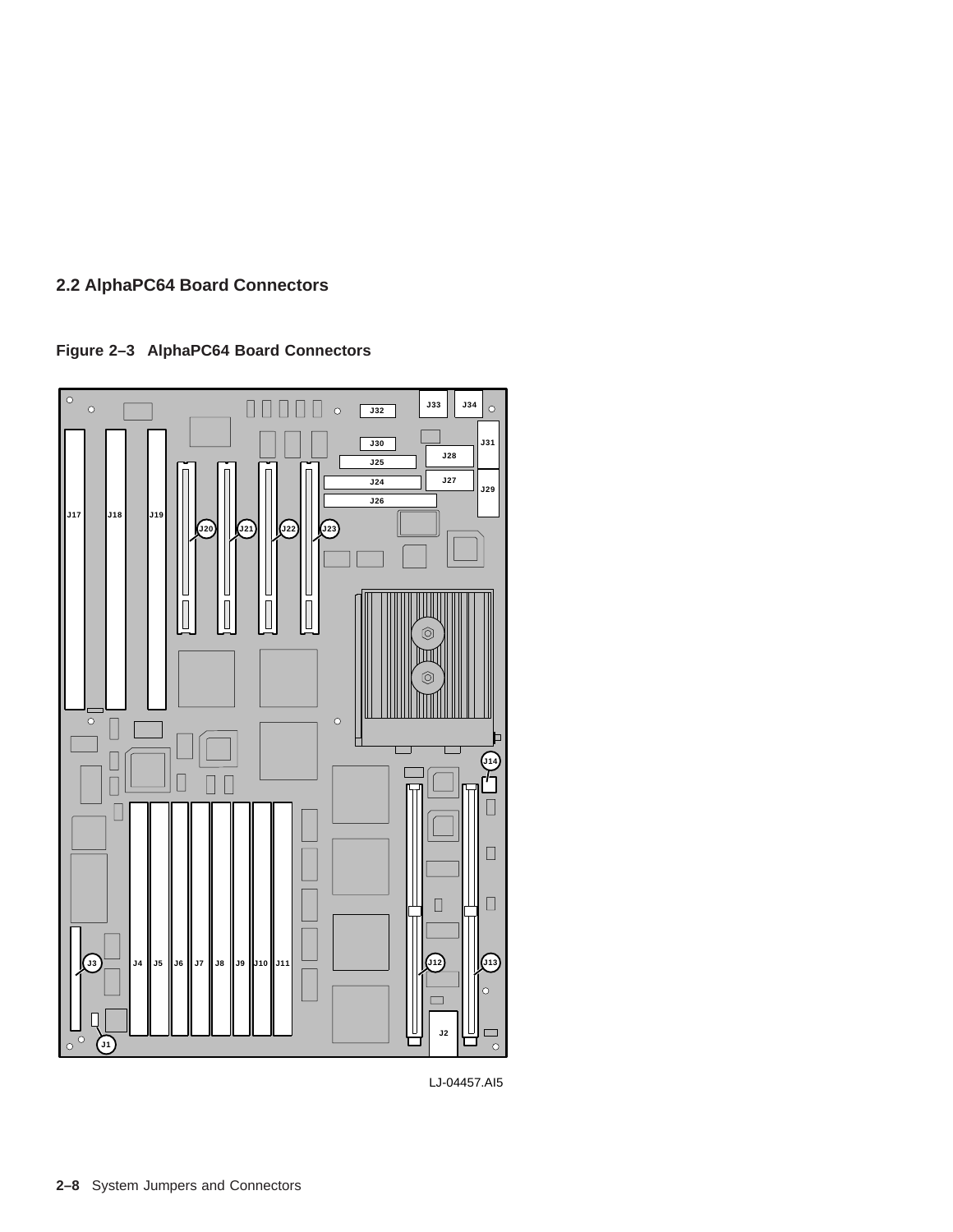**Figure 2–3 AlphaPC64 Board Connectors**



LJ-04457.AI5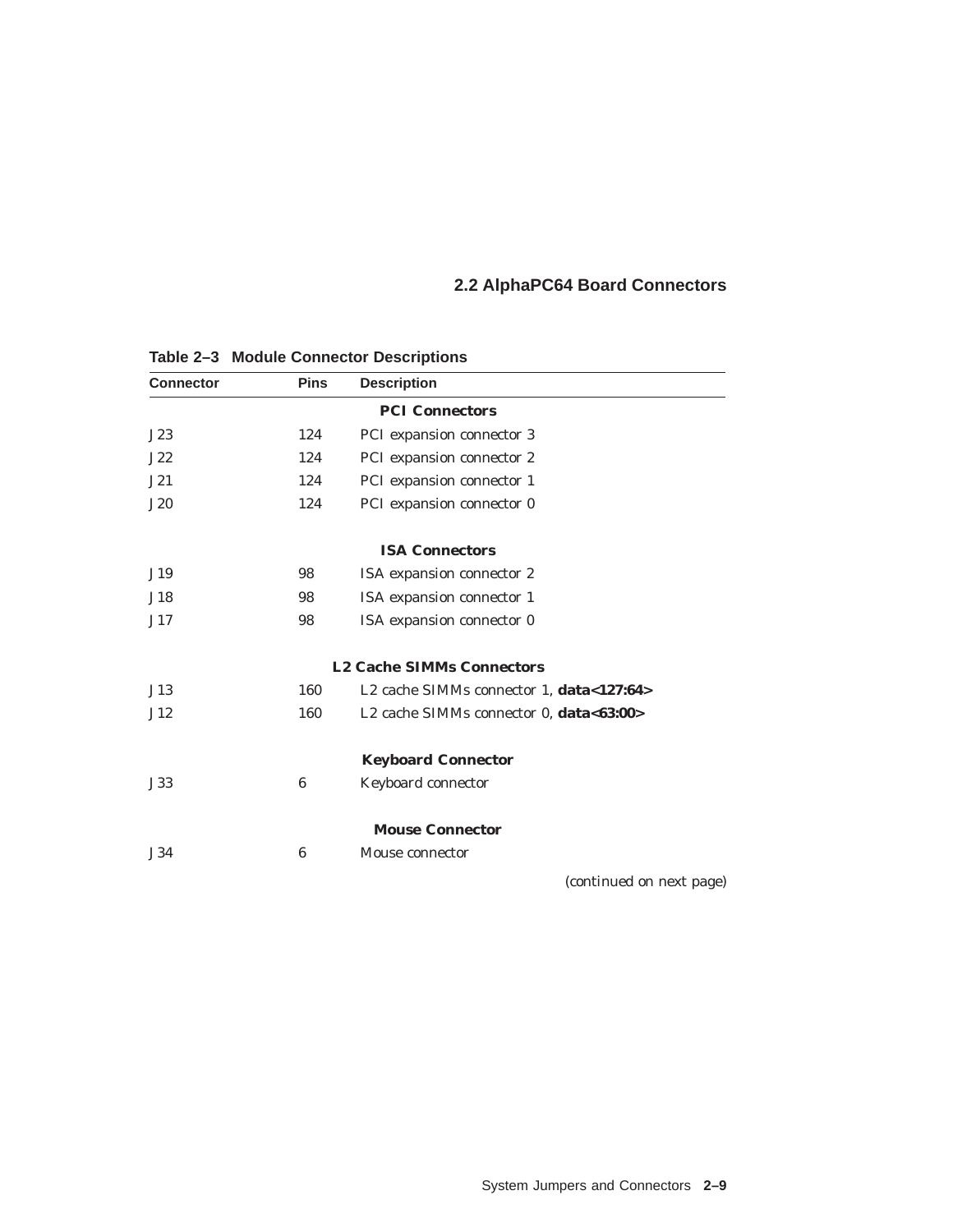| <b>Connector</b> | <b>Pins</b> | <b>Description</b>                       |
|------------------|-------------|------------------------------------------|
|                  |             | <b>PCI Connectors</b>                    |
| J23              | 124         | PCI expansion connector 3                |
| J22              | 124         | PCI expansion connector 2                |
| J21              | 124         | PCI expansion connector 1                |
| J20              | 124         | PCI expansion connector 0                |
|                  |             | <b>ISA Connectors</b>                    |
| J19              | 98          | ISA expansion connector 2                |
| J18              | 98          | ISA expansion connector 1                |
| J17              | 98          | ISA expansion connector 0                |
|                  |             | <b>L2 Cache SIMMs Connectors</b>         |
| J13              | 160         | L2 cache SIMMs connector 1, data<127:64> |
| J12              | 160         | L2 cache SIMMs connector 0, data<63:00>  |
|                  |             | <b>Keyboard Connector</b>                |
| J33              | 6           | Keyboard connector                       |
|                  |             | <b>Mouse Connector</b>                   |
| J34              | 6           | Mouse connector                          |
|                  |             | (continued on next page)                 |

**Table 2–3 Module Connector Descriptions**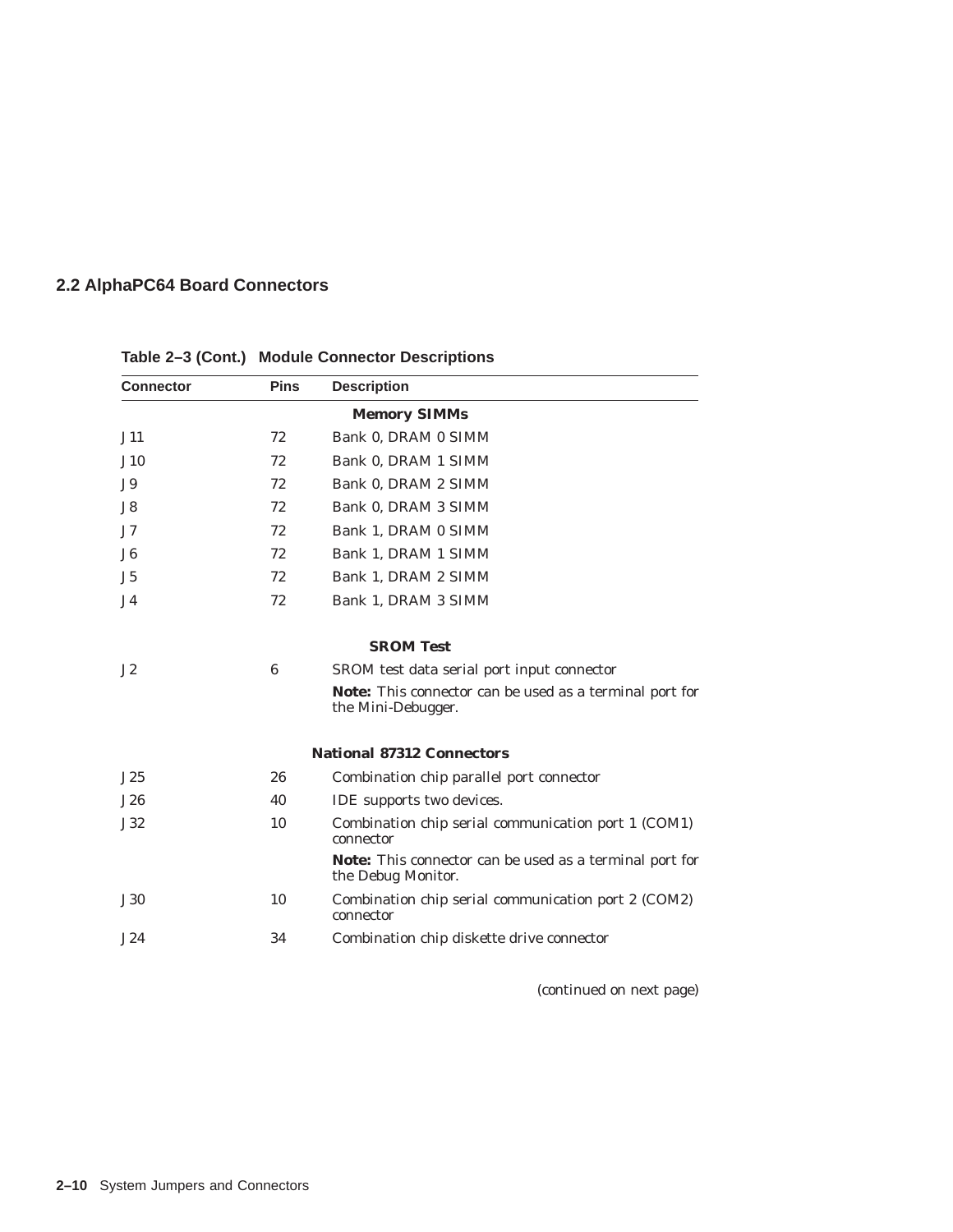| <b>Connector</b>    | <b>Pins</b> | <b>Description</b>                                                                   |  |  |  |  |
|---------------------|-------------|--------------------------------------------------------------------------------------|--|--|--|--|
| <b>Memory SIMMs</b> |             |                                                                                      |  |  |  |  |
| J11                 | 72          | Bank 0, DRAM 0 SIMM                                                                  |  |  |  |  |
| J10                 | 72          | Bank 0, DRAM 1 SIMM                                                                  |  |  |  |  |
| J9                  | 72          | Bank 0, DRAM 2 SIMM                                                                  |  |  |  |  |
| J8                  | 72          | Bank 0, DRAM 3 SIMM                                                                  |  |  |  |  |
| J7                  | 72          | Bank 1, DRAM 0 SIMM                                                                  |  |  |  |  |
| J <sub>6</sub>      | 72          | Bank 1, DRAM 1 SIMM                                                                  |  |  |  |  |
| J5                  | 72          | Bank 1, DRAM 2 SIMM                                                                  |  |  |  |  |
| J <sub>4</sub>      | 72          | Bank 1, DRAM 3 SIMM                                                                  |  |  |  |  |
|                     |             | <b>SROM Test</b>                                                                     |  |  |  |  |
| J2                  | 6           | SROM test data serial port input connector                                           |  |  |  |  |
|                     |             | <b>Note:</b> This connector can be used as a terminal port for<br>the Mini-Debugger. |  |  |  |  |
|                     |             | <b>National 87312 Connectors</b>                                                     |  |  |  |  |
| J25                 | 26          | Combination chip parallel port connector                                             |  |  |  |  |
| J26                 | 40          | IDE supports two devices.                                                            |  |  |  |  |
| J32                 | 10          | Combination chip serial communication port 1 (COM1)<br>connector                     |  |  |  |  |
|                     |             | Note: This connector can be used as a terminal port for<br>the Debug Monitor.        |  |  |  |  |
| J30                 | 10          | Combination chip serial communication port 2 (COM2)<br>connector                     |  |  |  |  |
| J24                 | 34          | Combination chip diskette drive connector                                            |  |  |  |  |

**Table 2–3 (Cont.) Module Connector Descriptions**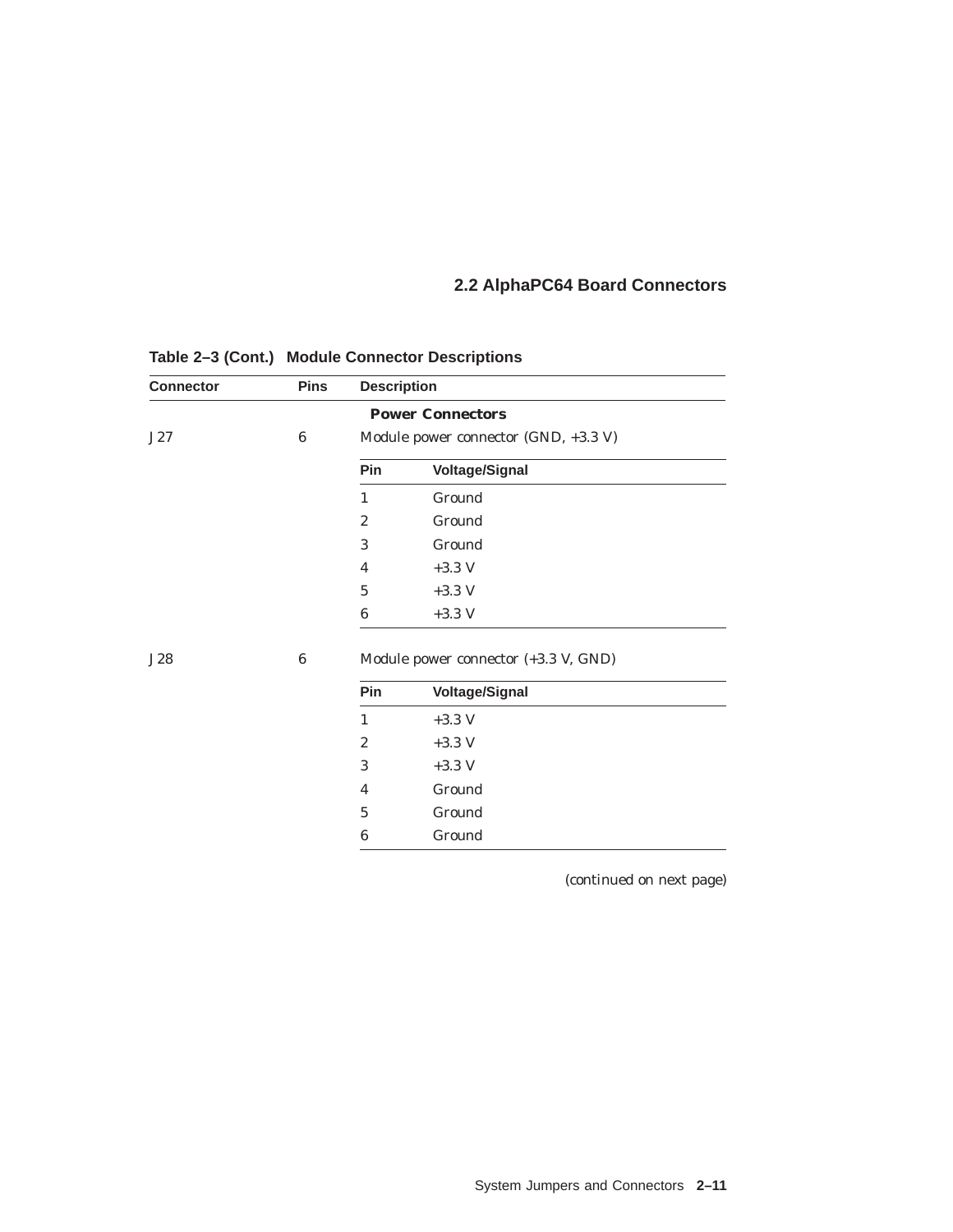| <b>Connector</b> | <b>Pins</b> | <b>Description</b>                   |                         |  |
|------------------|-------------|--------------------------------------|-------------------------|--|
|                  |             |                                      | <b>Power Connectors</b> |  |
| J27              | 6           | Module power connector (GND, +3.3 V) |                         |  |
|                  |             | Pin                                  | <b>Voltage/Signal</b>   |  |
|                  |             | 1                                    | Ground                  |  |
|                  |             | $\overline{2}$                       | Ground                  |  |
|                  |             | 3                                    | Ground                  |  |
|                  |             | 4                                    | $+3.3$ V                |  |
|                  |             | $\overline{5}$                       | $+3.3$ V                |  |
|                  |             | 6                                    | $+3.3$ V                |  |
| J28              | 6           | Module power connector (+3.3 V, GND) |                         |  |
|                  |             | Pin                                  | <b>Voltage/Signal</b>   |  |
|                  |             | $\mathbf{1}$                         | $+3.3$ V                |  |
|                  |             | $\overline{2}$                       | $+3.3$ V                |  |
|                  |             | 3                                    | $+3.3$ V                |  |
|                  |             | 4                                    | Ground                  |  |
|                  |             | $\overline{5}$                       | Ground                  |  |
|                  |             | 6                                    | Ground                  |  |

**Table 2–3 (Cont.) Module Connector Descriptions**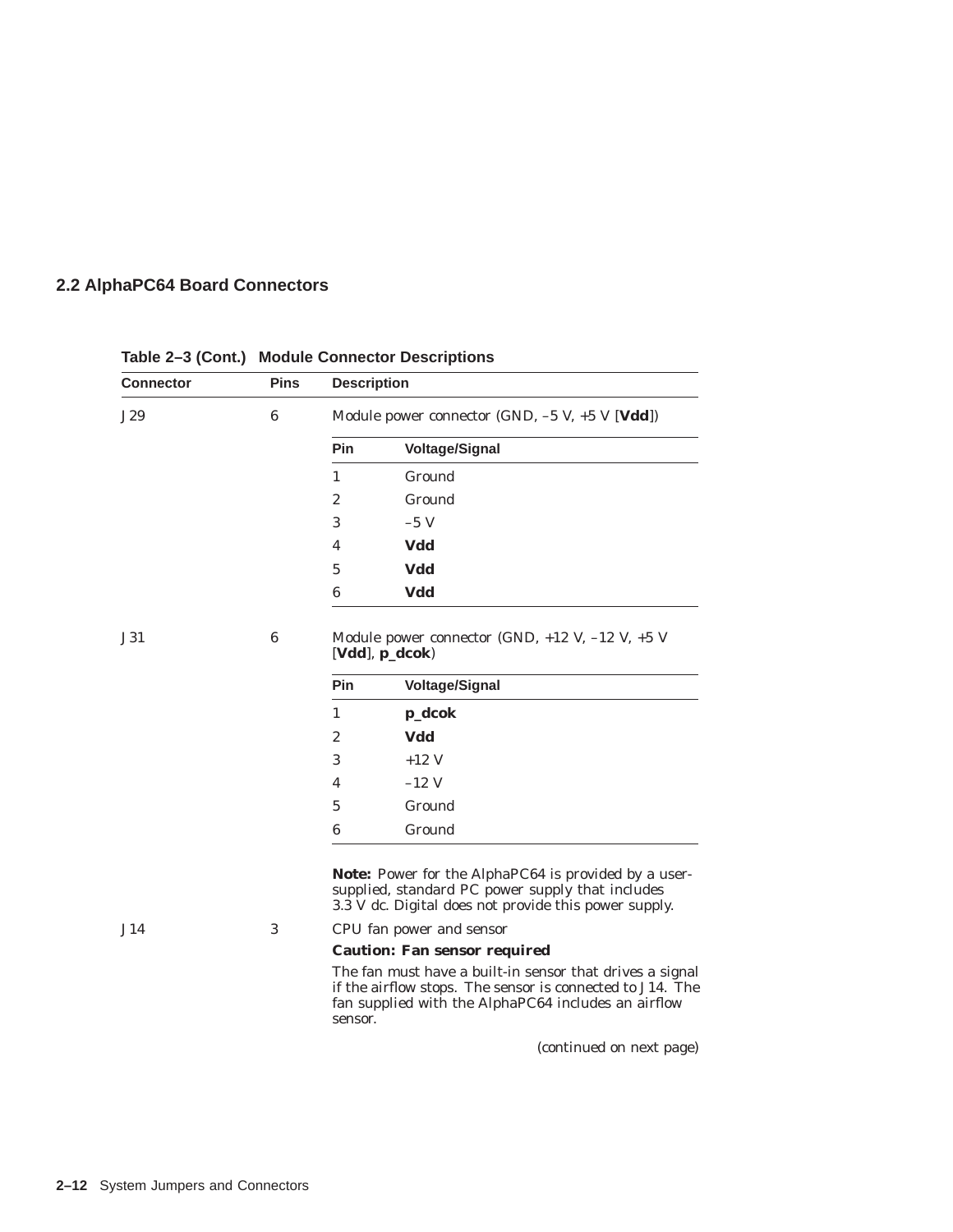| <b>Connector</b> | <b>Pins</b>                                                                                                                                                                                    | <b>Description</b>                                                      |                                                                                                                                                                          |  |
|------------------|------------------------------------------------------------------------------------------------------------------------------------------------------------------------------------------------|-------------------------------------------------------------------------|--------------------------------------------------------------------------------------------------------------------------------------------------------------------------|--|
| J29              | $6\phantom{1}6$                                                                                                                                                                                | Module power connector (GND, $-5$ V, $+5$ V [ <b>Vdd</b> ])             |                                                                                                                                                                          |  |
|                  |                                                                                                                                                                                                | Pin                                                                     | <b>Voltage/Signal</b>                                                                                                                                                    |  |
|                  |                                                                                                                                                                                                | 1                                                                       | Ground                                                                                                                                                                   |  |
|                  |                                                                                                                                                                                                | $\overline{2}$                                                          | Ground                                                                                                                                                                   |  |
|                  |                                                                                                                                                                                                | 3                                                                       | $-5$ V                                                                                                                                                                   |  |
|                  |                                                                                                                                                                                                | 4                                                                       | Vdd                                                                                                                                                                      |  |
|                  |                                                                                                                                                                                                | 5                                                                       | Vdd                                                                                                                                                                      |  |
|                  |                                                                                                                                                                                                | 6                                                                       | Vdd                                                                                                                                                                      |  |
| J31              | $6\phantom{1}6$                                                                                                                                                                                | Module power connector (GND, $+12$ V, $-12$ V, $+5$ V<br>[Vdd], p_dcok) |                                                                                                                                                                          |  |
|                  |                                                                                                                                                                                                | Pin                                                                     | <b>Voltage/Signal</b>                                                                                                                                                    |  |
|                  |                                                                                                                                                                                                | 1                                                                       | p_dcok                                                                                                                                                                   |  |
|                  |                                                                                                                                                                                                | $\mathbf{2}$                                                            | Vdd                                                                                                                                                                      |  |
|                  |                                                                                                                                                                                                | 3                                                                       | $+12$ V                                                                                                                                                                  |  |
|                  |                                                                                                                                                                                                | 4                                                                       | $-12$ V                                                                                                                                                                  |  |
|                  |                                                                                                                                                                                                | 5                                                                       | Ground                                                                                                                                                                   |  |
|                  |                                                                                                                                                                                                | 6                                                                       | Ground                                                                                                                                                                   |  |
|                  |                                                                                                                                                                                                |                                                                         | <b>Note:</b> Power for the AlphaPC64 is provided by a user-<br>supplied, standard PC power supply that includes<br>3.3 V dc. Digital does not provide this power supply. |  |
| J14              | 3                                                                                                                                                                                              | CPU fan power and sensor                                                |                                                                                                                                                                          |  |
|                  |                                                                                                                                                                                                | <b>Caution: Fan sensor required</b>                                     |                                                                                                                                                                          |  |
|                  | The fan <i>must</i> have a built-in sensor that drives a signal<br>if the airflow stops. The sensor is connected to J14. The<br>fan supplied with the AlphaPC64 includes an airflow<br>sensor. |                                                                         |                                                                                                                                                                          |  |

### **Table 2–3 (Cont.) Module Connector Descriptions**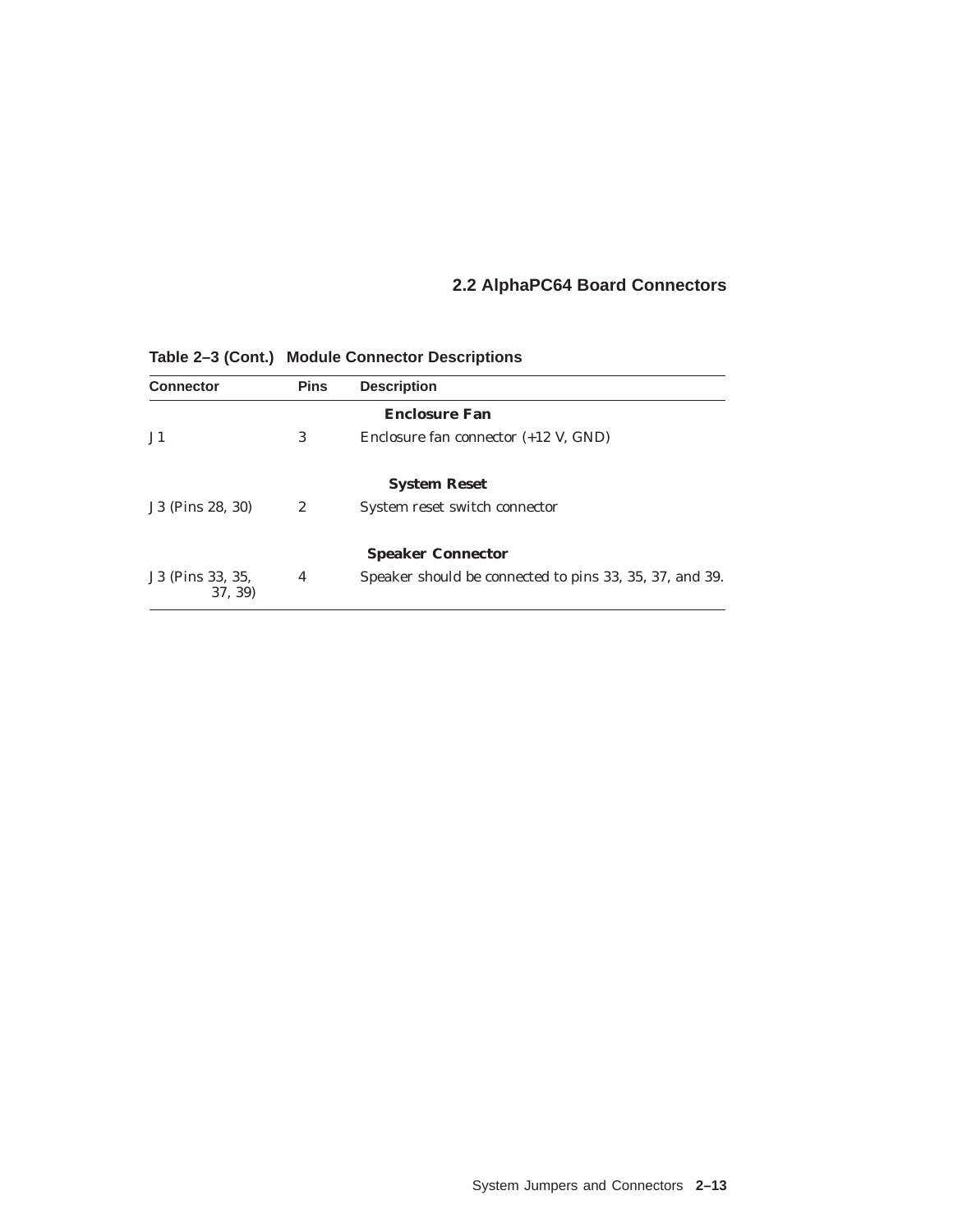| <b>Connector</b>            | <b>Pins</b> | <b>Description</b>                                      |  |  |  |  |  |
|-----------------------------|-------------|---------------------------------------------------------|--|--|--|--|--|
| <b>Enclosure Fan</b>        |             |                                                         |  |  |  |  |  |
| J <sub>1</sub>              | 3           | Enclosure fan connector $(+12 \text{ V}, \text{GND})$   |  |  |  |  |  |
|                             |             | <b>System Reset</b>                                     |  |  |  |  |  |
| J3 (Pins 28, 30)            | 2           | System reset switch connector                           |  |  |  |  |  |
|                             |             | <b>Speaker Connector</b>                                |  |  |  |  |  |
| J3 (Pins 33, 35,<br>37, 39) | 4           | Speaker should be connected to pins 33, 35, 37, and 39. |  |  |  |  |  |

**Table 2–3 (Cont.) Module Connector Descriptions**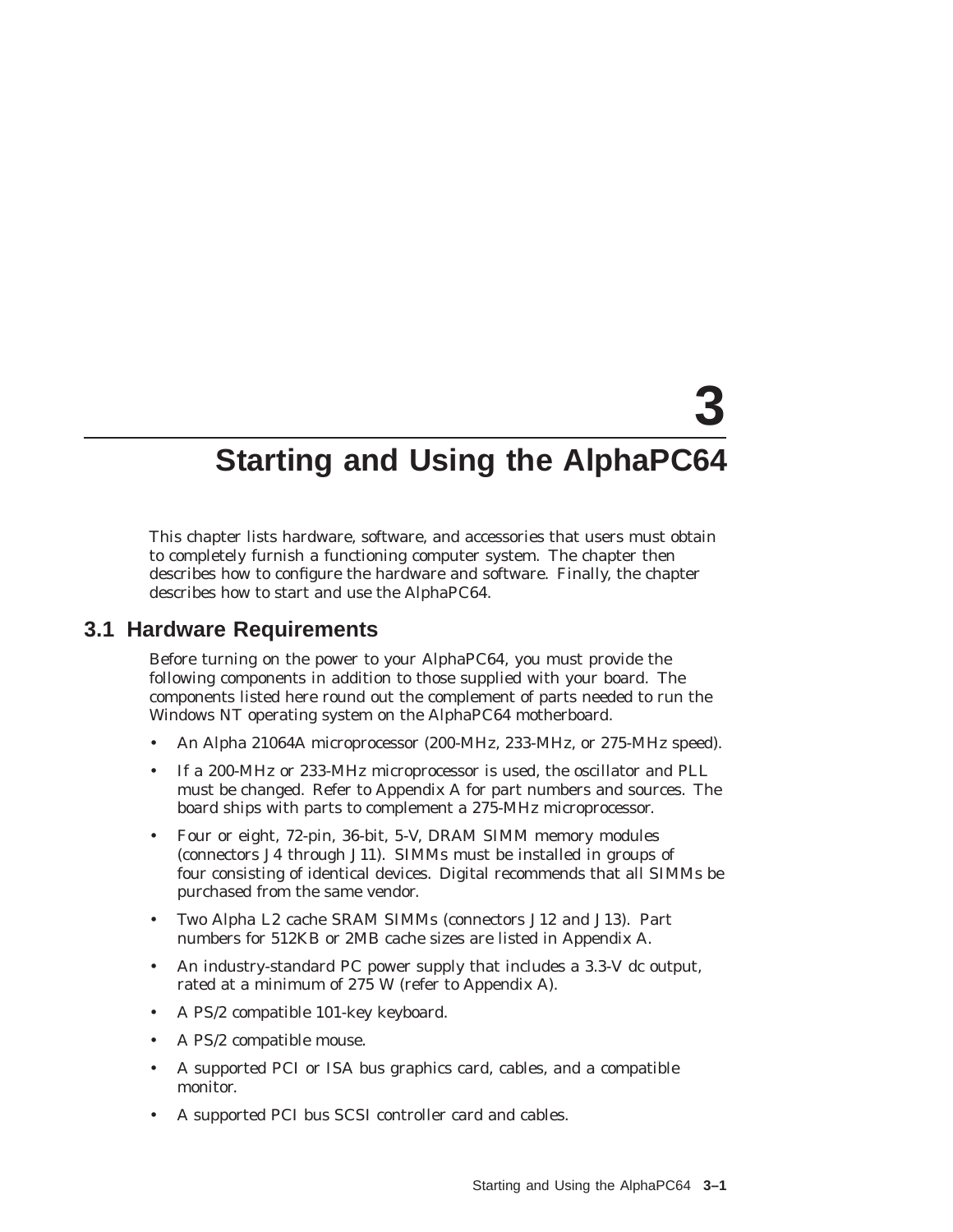# **3**

# **Starting and Using the AlphaPC64**

This chapter lists hardware, software, and accessories that users must obtain to completely furnish a functioning computer system. The chapter then describes how to configure the hardware and software. Finally, the chapter describes how to start and use the AlphaPC64.

### **3.1 Hardware Requirements**

Before turning on the power to your AlphaPC64, you must provide the following components in addition to those supplied with your board. The components listed here round out the complement of parts needed to run the Windows NT operating system on the AlphaPC64 motherboard.

- An Alpha 21064A microprocessor (200-MHz, 233-MHz, or 275-MHz speed).
- If a 200-MHz or 233-MHz microprocessor is used, the oscillator and PLL must be changed. Refer to Appendix A for part numbers and sources. The board ships with parts to complement a 275-MHz microprocessor.
- Four or eight, 72-pin, 36-bit, 5-V, DRAM SIMM memory modules (connectors J4 through J11). SIMMs must be installed in groups of four consisting of identical devices. Digital recommends that all SIMMs be purchased from the same vendor.
- Two Alpha L2 cache SRAM SIMMs (connectors J12 and J13). Part numbers for 512KB or 2MB cache sizes are listed in Appendix A.
- An industry-standard PC power supply that includes a 3.3-V dc output, rated at a minimum of 275 W (refer to Appendix A).
- A PS/2 compatible 101-key keyboard.
- A PS/2 compatible mouse.
- A supported PCI or ISA bus graphics card, cables, and a compatible monitor.
- A supported PCI bus SCSI controller card and cables.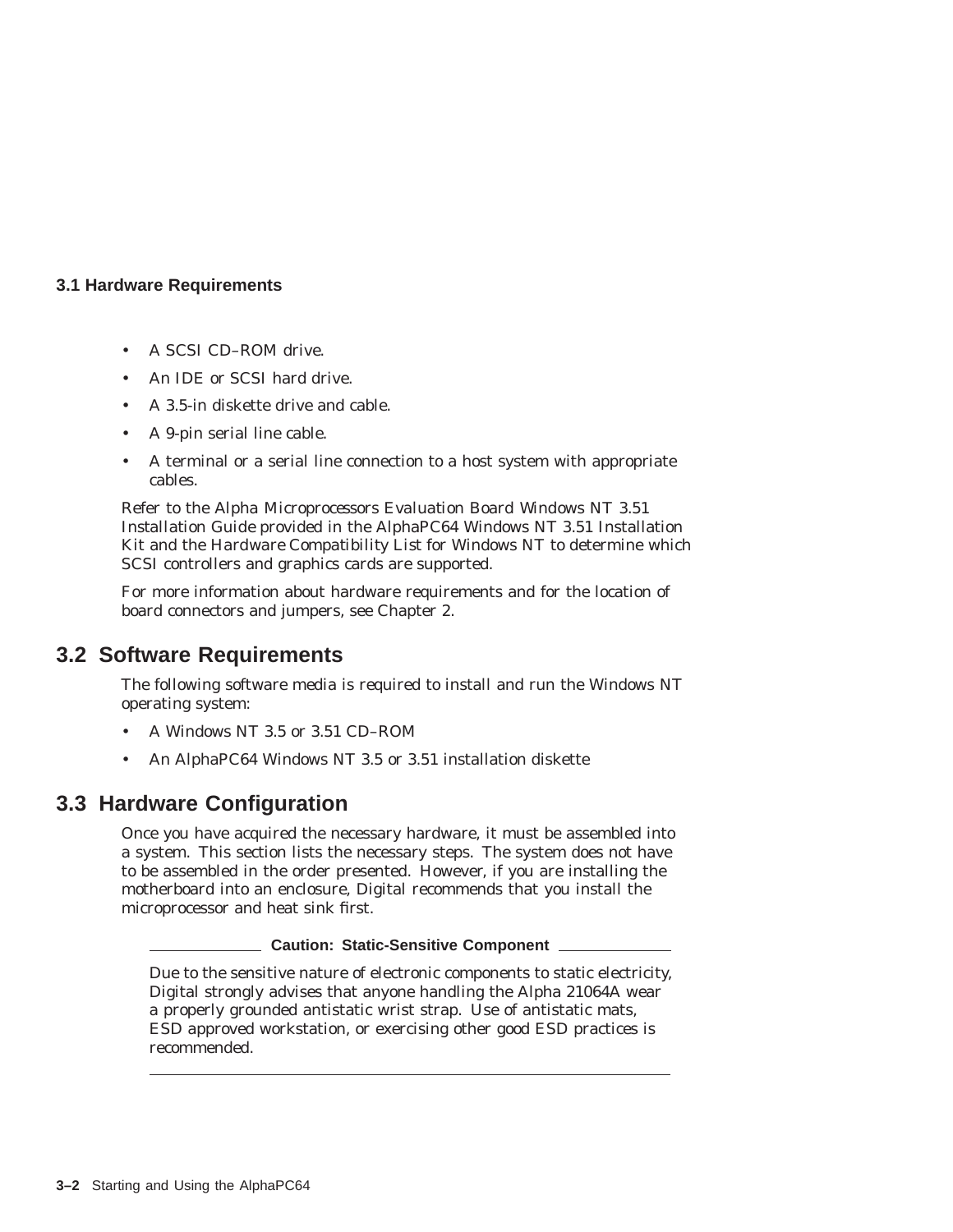### **3.1 Hardware Requirements**

- A SCSI CD–ROM drive.
- An IDE or SCSI hard drive.
- A 3.5-in diskette drive and cable.
- A 9-pin serial line cable.
- A terminal or a serial line connection to a host system with appropriate cables.

Refer to the *Alpha Microprocessors Evaluation Board Windows NT 3.51 Installation Guide* provided in the AlphaPC64 Windows NT 3.51 Installation Kit and the *Hardware Compatibility List* for Windows NT to determine which SCSI controllers and graphics cards are supported.

For more information about hardware requirements and for the location of board connectors and jumpers, see Chapter 2.

# **3.2 Software Requirements**

The following software media is required to install and run the Windows NT operating system:

- A Windows NT 3.5 or 3.51 CD–ROM
- An AlphaPC64 Windows NT 3.5 or 3.51 installation diskette

# **3.3 Hardware Configuration**

Once you have acquired the necessary hardware, it must be assembled into a system. This section lists the necessary steps. The system does not have to be assembled in the order presented. However, if you are installing the motherboard into an enclosure, Digital recommends that you install the microprocessor and heat sink first.

### **Caution: Static-Sensitive Component**

Due to the sensitive nature of electronic components to static electricity, Digital strongly advises that anyone handling the Alpha 21064A wear a properly grounded antistatic wrist strap. Use of antistatic mats, ESD approved workstation, or exercising other good ESD practices is recommended.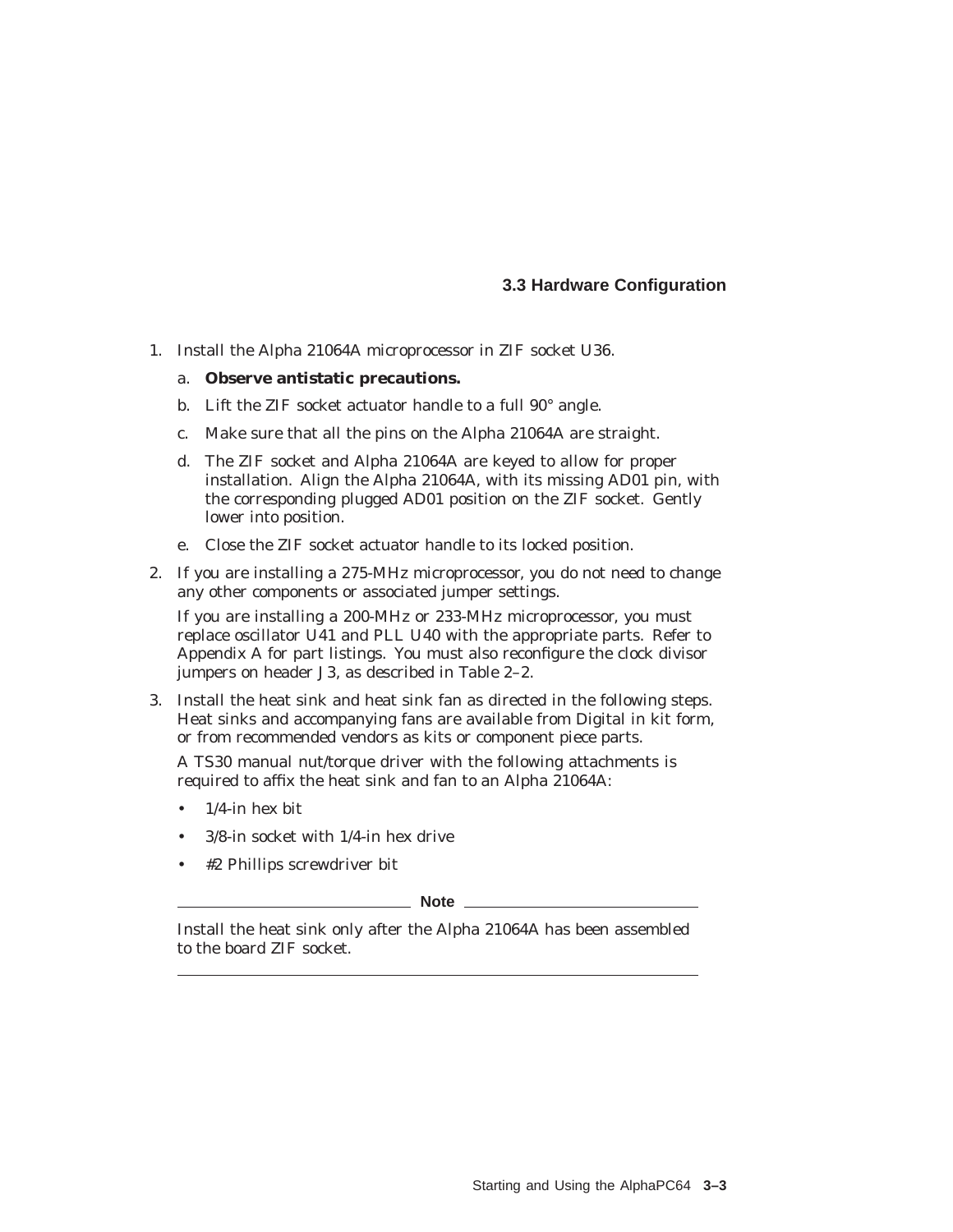### **3.3 Hardware Configuration**

1. Install the Alpha 21064A microprocessor in ZIF socket U36.

#### a. **Observe antistatic precautions.**

- b. Lift the ZIF socket actuator handle to a full 90° angle.
- c. Make sure that all the pins on the Alpha 21064A are straight.
- d. The ZIF socket and Alpha 21064A are keyed to allow for proper installation. Align the Alpha 21064A, with its missing AD01 pin, with the corresponding plugged AD01 position on the ZIF socket. Gently lower into position.
- e. Close the ZIF socket actuator handle to its locked position.
- 2. If you are installing a 275-MHz microprocessor, you do not need to change any other components or associated jumper settings.

If you are installing a 200-MHz or 233-MHz microprocessor, you must replace oscillator U41 and PLL U40 with the appropriate parts. Refer to Appendix A for part listings. You must also reconfigure the clock divisor jumpers on header J3, as described in Table 2–2.

3. Install the heat sink and heat sink fan as directed in the following steps. Heat sinks and accompanying fans are available from Digital in kit form, or from recommended vendors as kits or component piece parts.

A TS30 manual nut/torque driver with the following attachments is required to affix the heat sink and fan to an Alpha 21064A:

- $1/4$ -in hex bit
- 3/8-in socket with 1/4-in hex drive
- #2 Phillips screwdriver bit

**Note** \_\_\_\_\_

Install the heat sink only after the Alpha 21064A has been assembled to the board ZIF socket.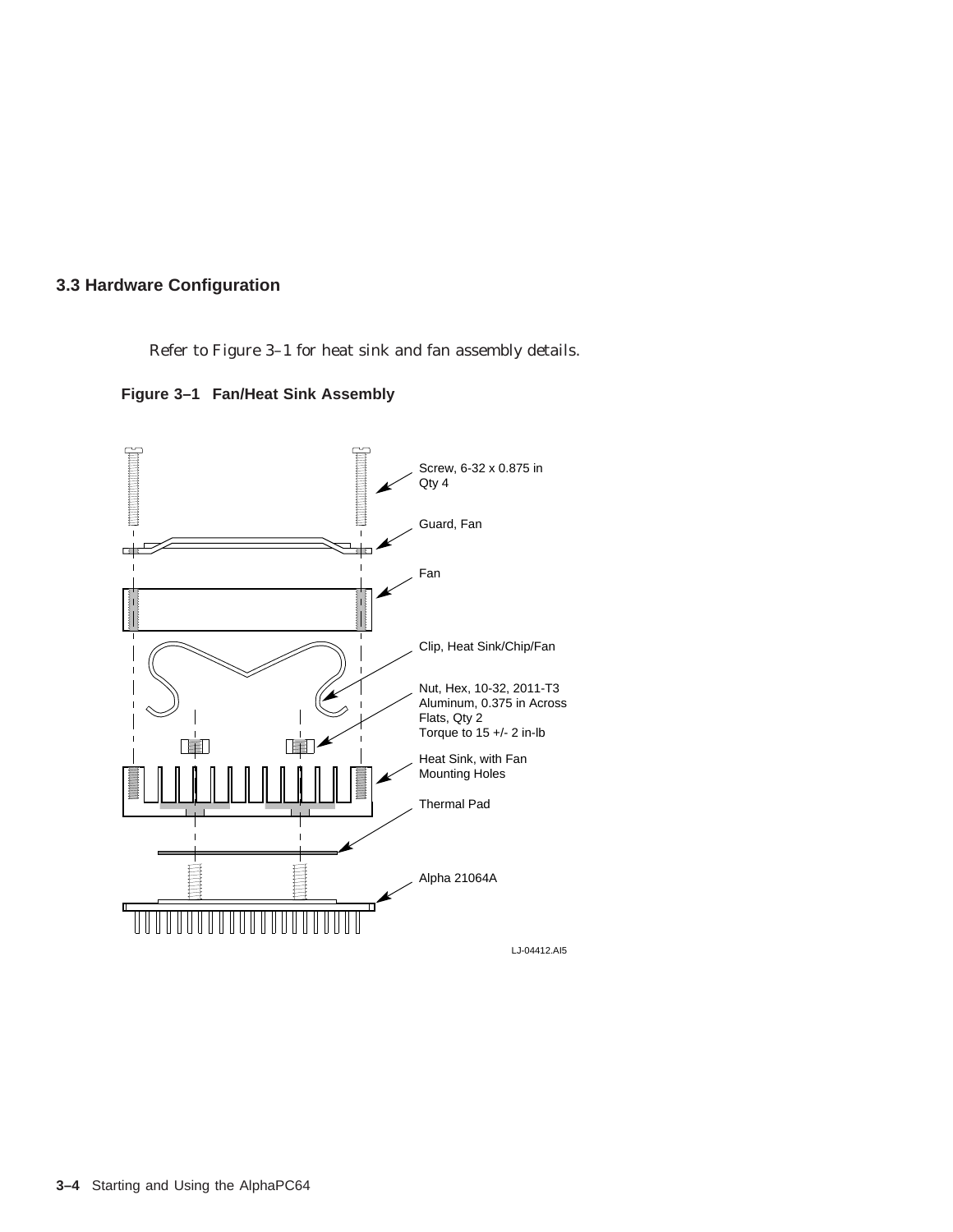### **3.3 Hardware Configuration**

Refer to Figure 3–1 for heat sink and fan assembly details.



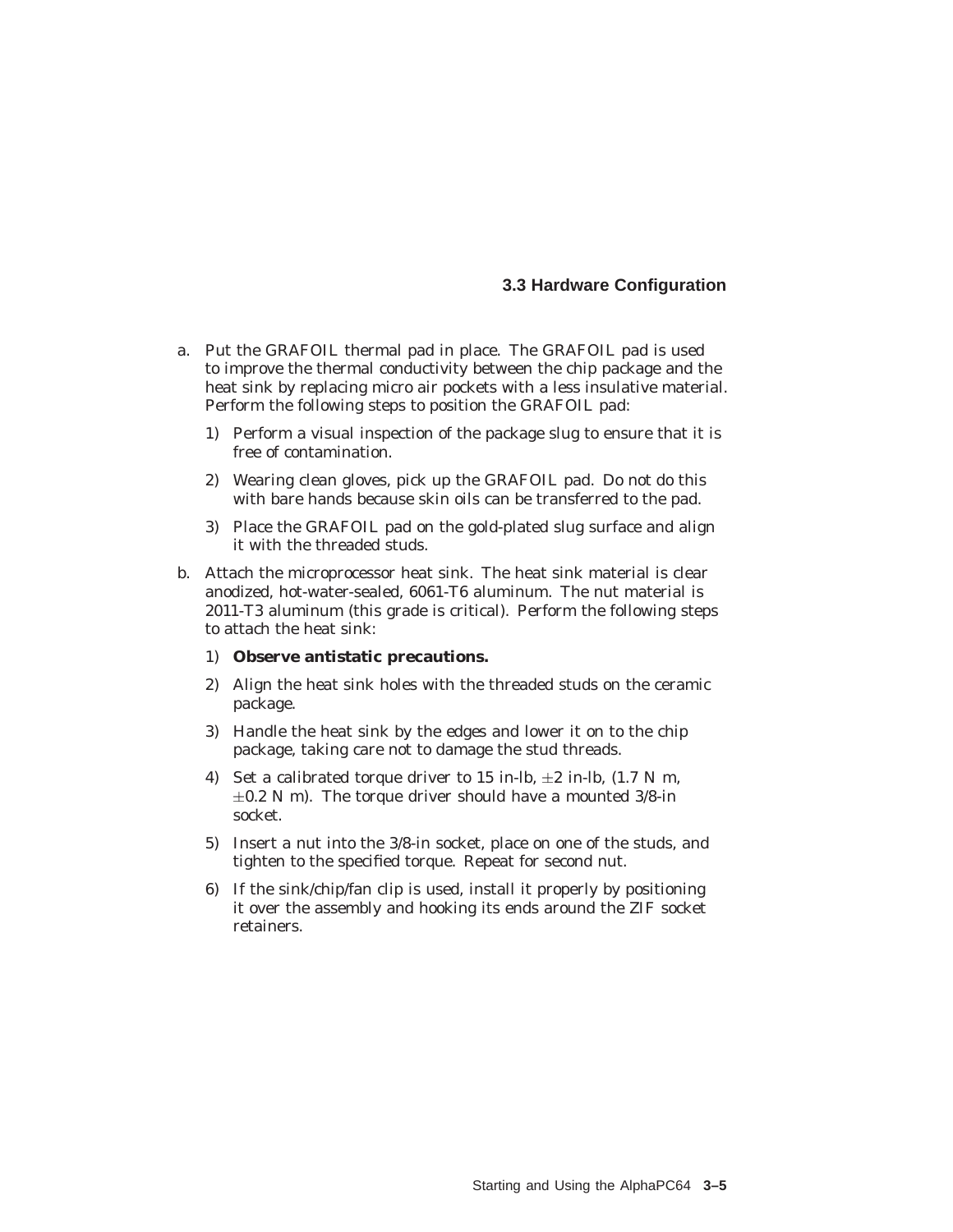- a. Put the GRAFOIL thermal pad in place. The GRAFOIL pad is used to improve the thermal conductivity between the chip package and the heat sink by replacing micro air pockets with a less insulative material. Perform the following steps to position the GRAFOIL pad:
	- 1) Perform a visual inspection of the package slug to ensure that it is free of contamination.
	- 2) Wearing clean gloves, pick up the GRAFOIL pad. Do *not* do this with bare hands because skin oils can be transferred to the pad.
	- 3) Place the GRAFOIL pad on the gold-plated slug surface and align it with the threaded studs.
- b. Attach the microprocessor heat sink. The heat sink material is clear anodized, hot-water-sealed, 6061-T6 aluminum. The nut material is 2011-T3 aluminum (this grade is critical). Perform the following steps to attach the heat sink:
	- 1) **Observe antistatic precautions.**
	- 2) Align the heat sink holes with the threaded studs on the ceramic package.
	- 3) Handle the heat sink by the edges and lower it on to the chip package, taking care not to damage the stud threads.
	- 4) Set a calibrated torque driver to 15 in-lb,  $\pm 2$  in-lb, (1.7 N m,  $\pm 0.2$  N m). The torque driver should have a mounted 3/8-in socket.
	- 5) Insert a nut into the 3/8-in socket, place on one of the studs, and tighten to the specified torque. Repeat for second nut.
	- 6) If the sink/chip/fan clip is used, install it properly by positioning it over the assembly and hooking its ends around the ZIF socket retainers.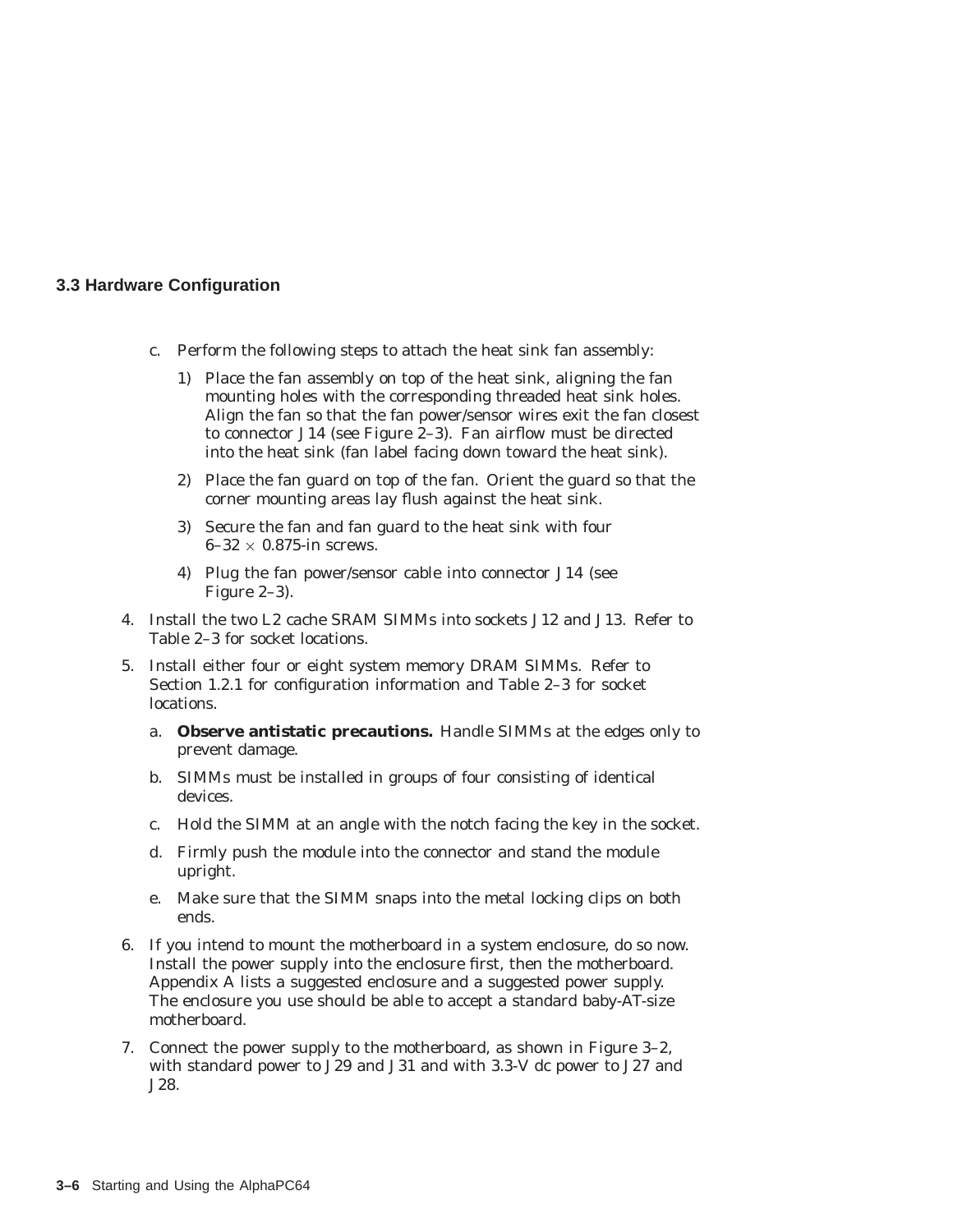- c. Perform the following steps to attach the heat sink fan assembly:
	- 1) Place the fan assembly on top of the heat sink, aligning the fan mounting holes with the corresponding threaded heat sink holes. Align the fan so that the fan power/sensor wires exit the fan closest to connector J14 (see Figure 2–3). Fan airflow must be directed into the heat sink (fan label facing down toward the heat sink).
	- 2) Place the fan guard on top of the fan. Orient the guard so that the corner mounting areas lay flush against the heat sink.
	- 3) Secure the fan and fan guard to the heat sink with four  $6-32 \times 0.875$ -in screws.
	- 4) Plug the fan power/sensor cable into connector J14 (see Figure 2–3).
- 4. Install the two L2 cache SRAM SIMMs into sockets J12 and J13. Refer to Table 2–3 for socket locations.
- 5. Install either four or eight system memory DRAM SIMMs. Refer to Section 1.2.1 for configuration information and Table 2–3 for socket locations.
	- a. **Observe antistatic precautions.** Handle SIMMs at the edges only to prevent damage.
	- b. SIMMs must be installed in groups of four consisting of identical devices.
	- c. Hold the SIMM at an angle with the notch facing the key in the socket.
	- d. Firmly push the module into the connector and stand the module upright.
	- e. Make sure that the SIMM snaps into the metal locking clips on both ends.
- 6. If you intend to mount the motherboard in a system enclosure, do so now. Install the power supply into the enclosure first, then the motherboard. Appendix A lists a suggested enclosure and a suggested power supply. The enclosure you use should be able to accept a standard baby-AT-size motherboard.
- 7. Connect the power supply to the motherboard, as shown in Figure 3–2, with standard power to J29 and J31 and with 3.3-V dc power to J27 and J28.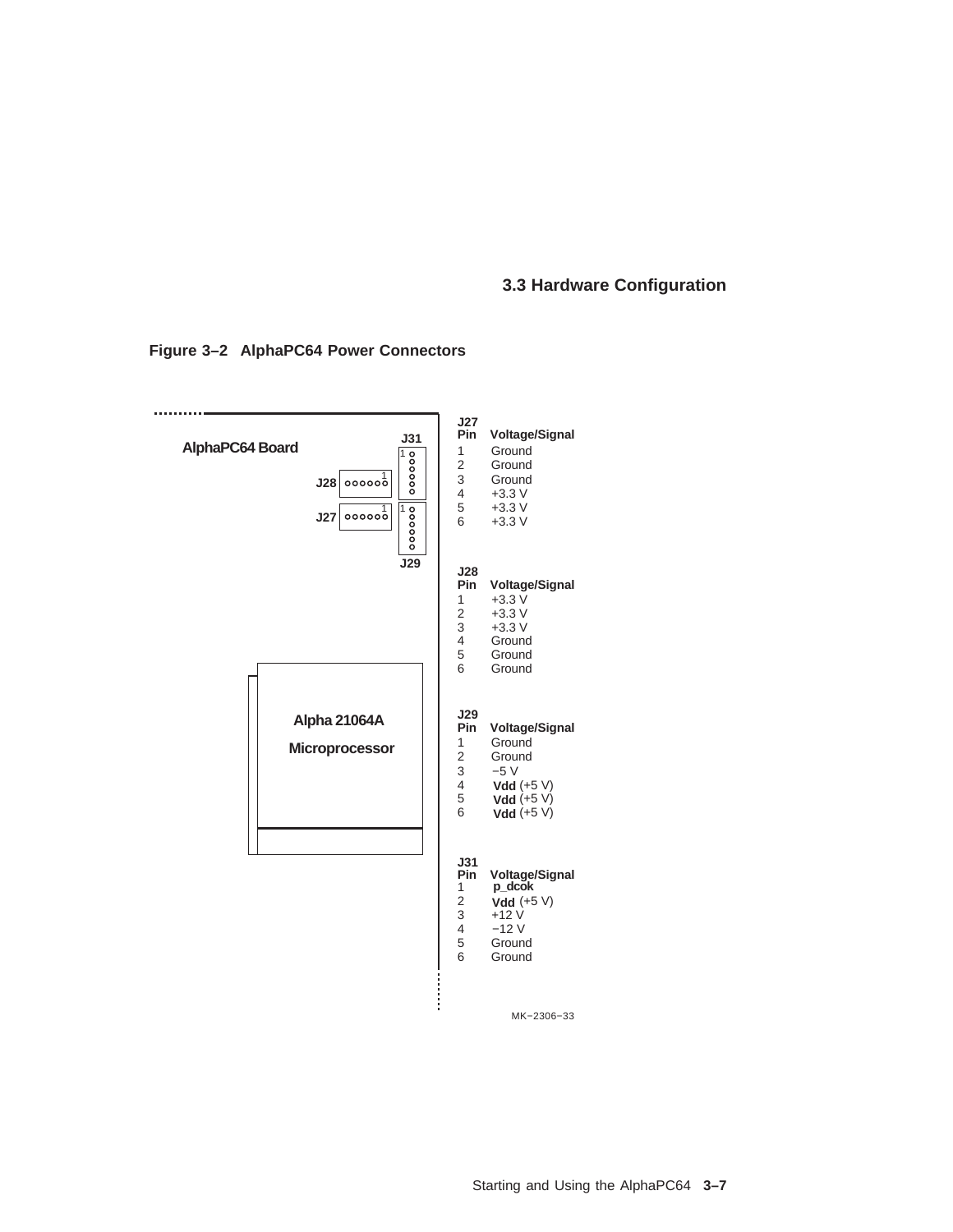#### .......... **J27 Pin Voltage/Signal J31 AlphaPC64 Board** 1 Ground<br>2 Ground  $\begin{array}{c}\n\hline\n1 \\
\hline\n\end{array}$ 2 Ground<br>3 Ground 1 **J28** 3 Ground<br>4  $+3.3$  V  $+3.3 V$  $100000$  $5 +3.3 \text{ V}$ <br>6  $+3.3 \text{ V}$ 1 **J27**  $+3.3$  V **J29 J28 Pin Voltage/Signal** 1  $+3.3 \text{ V}$  $2 +3.3 \text{ V}$ <br>3  $+3.3 \text{ V}$ <br>4 Ground 2 +3.3 V 4 Ground<br>5 Ground<br>6 Ground Ground **Ground Alpha 21064A J29 Pin Voltage/Signal** 1 Ground<br>2 Ground **Microprocessor** 2 Ground<br>3  $-5$  V  $3 -5 \nV$ <br>
4 Vdd (<br>
5 Vdd (<br>
6 Vdd ( 4 **Vdd**  $(+5 V)$ **Vdd** 5 **Vdd**  $(+5 V)$ **Vdd** 6 **Vdd** (+5 V) **J31 p\_dcok Pin Voltage/Signal**  $\begin{array}{c} 1 \\ 2 \\ 3 \end{array}$ 2 **Vdd** (+5 V)  $3 +12V$ <br>  $4 -12V$ <br>  $5$  Ground 4 −12 V 5 Ground<br>6 Ground **Ground** İ MK−2306−33

#### **Figure 3–2 AlphaPC64 Power Connectors**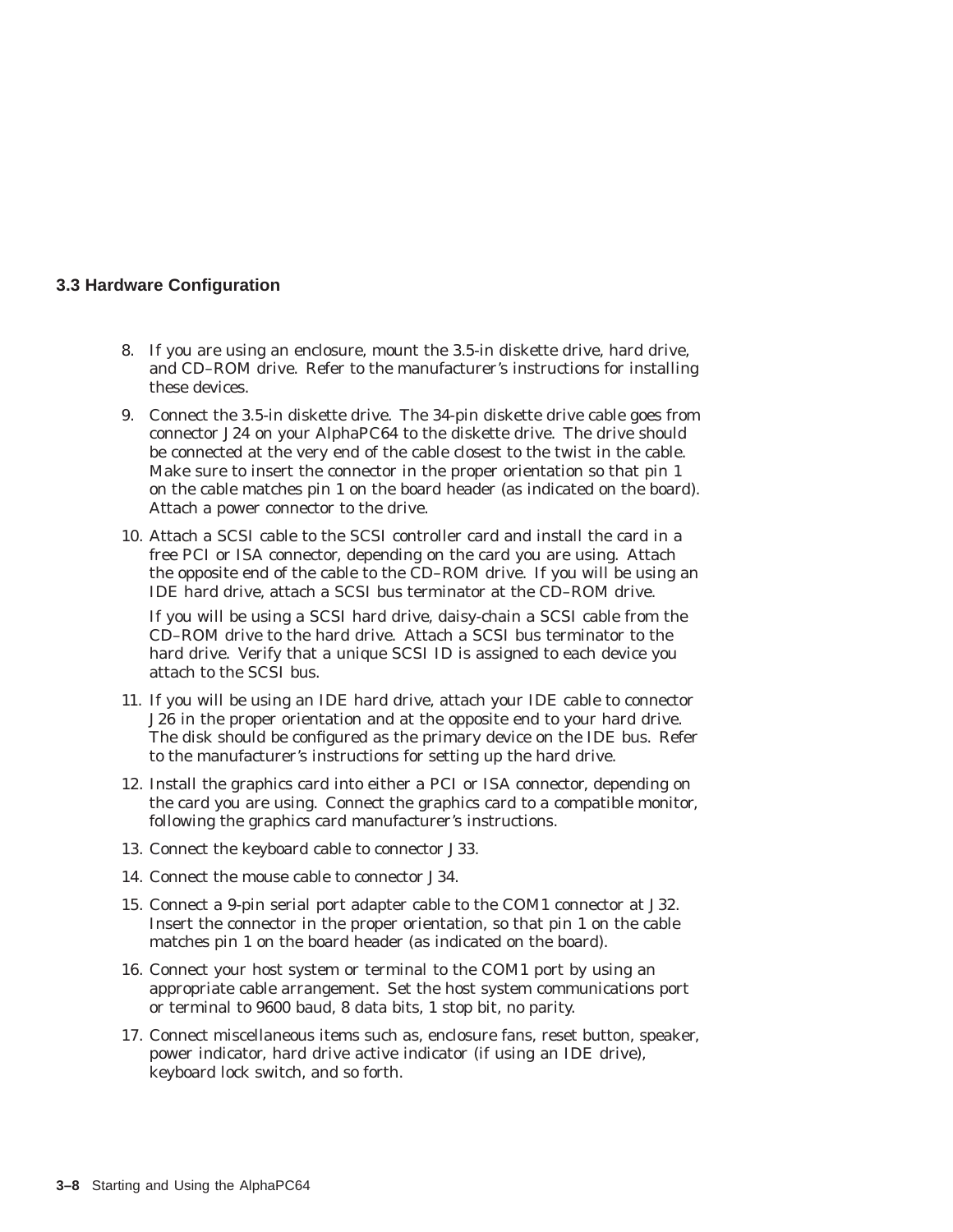- 8. If you are using an enclosure, mount the 3.5-in diskette drive, hard drive, and CD–ROM drive. Refer to the manufacturer's instructions for installing these devices.
- 9. Connect the 3.5-in diskette drive. The 34-pin diskette drive cable goes from connector J24 on your AlphaPC64 to the diskette drive. The drive should be connected at the very end of the cable closest to the twist in the cable. Make sure to insert the connector in the proper orientation so that pin 1 on the cable matches pin 1 on the board header (as indicated on the board). Attach a power connector to the drive.
- 10. Attach a SCSI cable to the SCSI controller card and install the card in a free PCI or ISA connector, depending on the card you are using. Attach the opposite end of the cable to the CD–ROM drive. If you will be using an IDE hard drive, attach a SCSI bus terminator at the CD–ROM drive.

If you will be using a SCSI hard drive, daisy-chain a SCSI cable from the CD–ROM drive to the hard drive. Attach a SCSI bus terminator to the hard drive. Verify that a unique SCSI ID is assigned to each device you attach to the SCSI bus.

- 11. If you will be using an IDE hard drive, attach your IDE cable to connector J26 in the proper orientation and at the opposite end to your hard drive. The disk should be configured as the primary device on the IDE bus. Refer to the manufacturer's instructions for setting up the hard drive.
- 12. Install the graphics card into either a PCI or ISA connector, depending on the card you are using. Connect the graphics card to a compatible monitor, following the graphics card manufacturer's instructions.
- 13. Connect the keyboard cable to connector J33.
- 14. Connect the mouse cable to connector J34.
- 15. Connect a 9-pin serial port adapter cable to the COM1 connector at J32. Insert the connector in the proper orientation, so that pin 1 on the cable matches pin 1 on the board header (as indicated on the board).
- 16. Connect your host system or terminal to the COM1 port by using an appropriate cable arrangement. Set the host system communications port or terminal to 9600 baud, 8 data bits, 1 stop bit, no parity.
- 17. Connect miscellaneous items such as, enclosure fans, reset button, speaker, power indicator, hard drive active indicator (if using an IDE drive), keyboard lock switch, and so forth.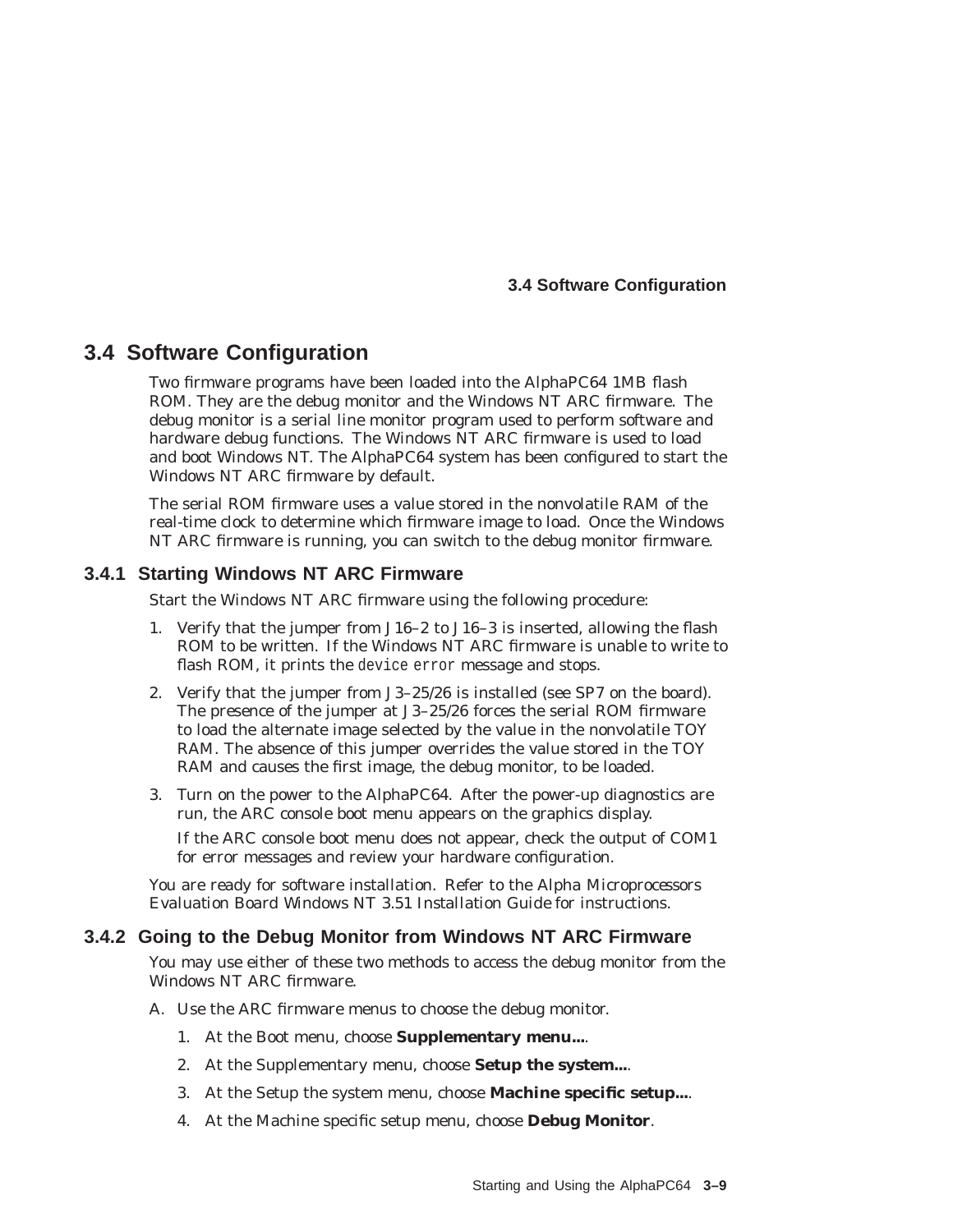#### **3.4 Software Configuration**

# **3.4 Software Configuration**

Two firmware programs have been loaded into the AlphaPC64 1MB flash ROM. They are the debug monitor and the Windows NT ARC firmware. The debug monitor is a serial line monitor program used to perform software and hardware debug functions. The Windows NT ARC firmware is used to load and boot Windows NT. The AlphaPC64 system has been configured to start the Windows NT ARC firmware by default.

The serial ROM firmware uses a value stored in the nonvolatile RAM of the real-time clock to determine which firmware image to load. Once the Windows NT ARC firmware is running, you can switch to the debug monitor firmware.

#### **3.4.1 Starting Windows NT ARC Firmware**

Start the Windows NT ARC firmware using the following procedure:

- 1. Verify that the jumper from J16–2 to J16–3 is inserted, allowing the flash ROM to be written. If the Windows NT ARC firmware is unable to write to flash ROM, it prints the device error message and stops.
- 2. Verify that the jumper from J3–25/26 is installed (see SP7 on the board). The presence of the jumper at J3–25/26 forces the serial ROM firmware to load the alternate image selected by the value in the nonvolatile TOY RAM. The absence of this jumper overrides the value stored in the TOY RAM and causes the first image, the debug monitor, to be loaded.
- 3. Turn on the power to the AlphaPC64. After the power-up diagnostics are run, the ARC console boot menu appears on the graphics display.

If the ARC console boot menu does not appear, check the output of COM1 for error messages and review your hardware configuration.

You are ready for software installation. Refer to the *Alpha Microprocessors Evaluation Board Windows NT 3.51 Installation Guide* for instructions.

#### **3.4.2 Going to the Debug Monitor from Windows NT ARC Firmware**

You may use either of these two methods to access the debug monitor from the Windows NT ARC firmware.

- A. Use the ARC firmware menus to choose the debug monitor.
	- 1. At the Boot menu, choose **Supplementary menu...**.
	- 2. At the Supplementary menu, choose **Setup the system...**.
	- 3. At the Setup the system menu, choose **Machine specific setup...**.
	- 4. At the Machine specific setup menu, choose **Debug Monitor**.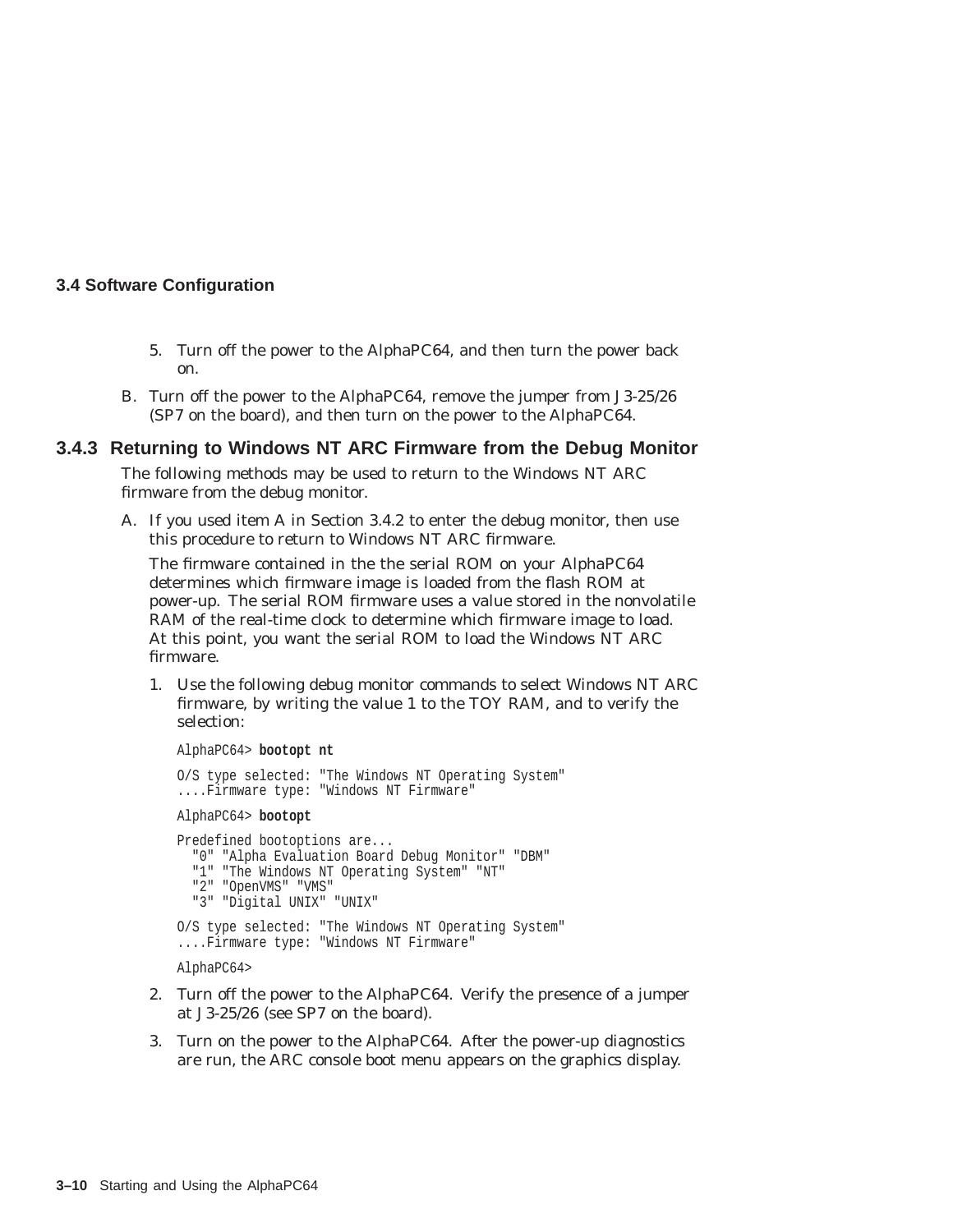#### **3.4 Software Configuration**

- 5. Turn off the power to the AlphaPC64, and then turn the power back on.
- B. Turn off the power to the AlphaPC64, remove the jumper from J3-25/26 (SP7 on the board), and then turn on the power to the AlphaPC64.

#### **3.4.3 Returning to Windows NT ARC Firmware from the Debug Monitor**

The following methods may be used to return to the Windows NT ARC firmware from the debug monitor.

A. If you used item A in Section 3.4.2 to enter the debug monitor, then use this procedure to return to Windows NT ARC firmware.

The firmware contained in the the serial ROM on your AlphaPC64 determines which firmware image is loaded from the flash ROM at power-up. The serial ROM firmware uses a value stored in the nonvolatile RAM of the real-time clock to determine which firmware image to load. At this point, you want the serial ROM to load the Windows NT ARC firmware.

1. Use the following debug monitor commands to select Windows NT ARC firmware, by writing the value 1 to the TOY RAM, and to verify the selection:

AlphaPC64> **bootopt nt**

```
O/S type selected: "The Windows NT Operating System"
....Firmware type: "Windows NT Firmware"
AlphaPC64> bootopt
Predefined bootoptions are...
  "0" "Alpha Evaluation Board Debug Monitor" "DBM"
  "1" "The Windows NT Operating System" "NT"
  "2" "OpenVMS" "VMS"
  "3" "Digital UNIX" "UNIX"
O/S type selected: "The Windows NT Operating System"
....Firmware type: "Windows NT Firmware"
AlphaPC64>
```
- 2. Turn off the power to the AlphaPC64. Verify the presence of a jumper at J3-25/26 (see SP7 on the board).
- 3. Turn on the power to the AlphaPC64. After the power-up diagnostics are run, the ARC console boot menu appears on the graphics display.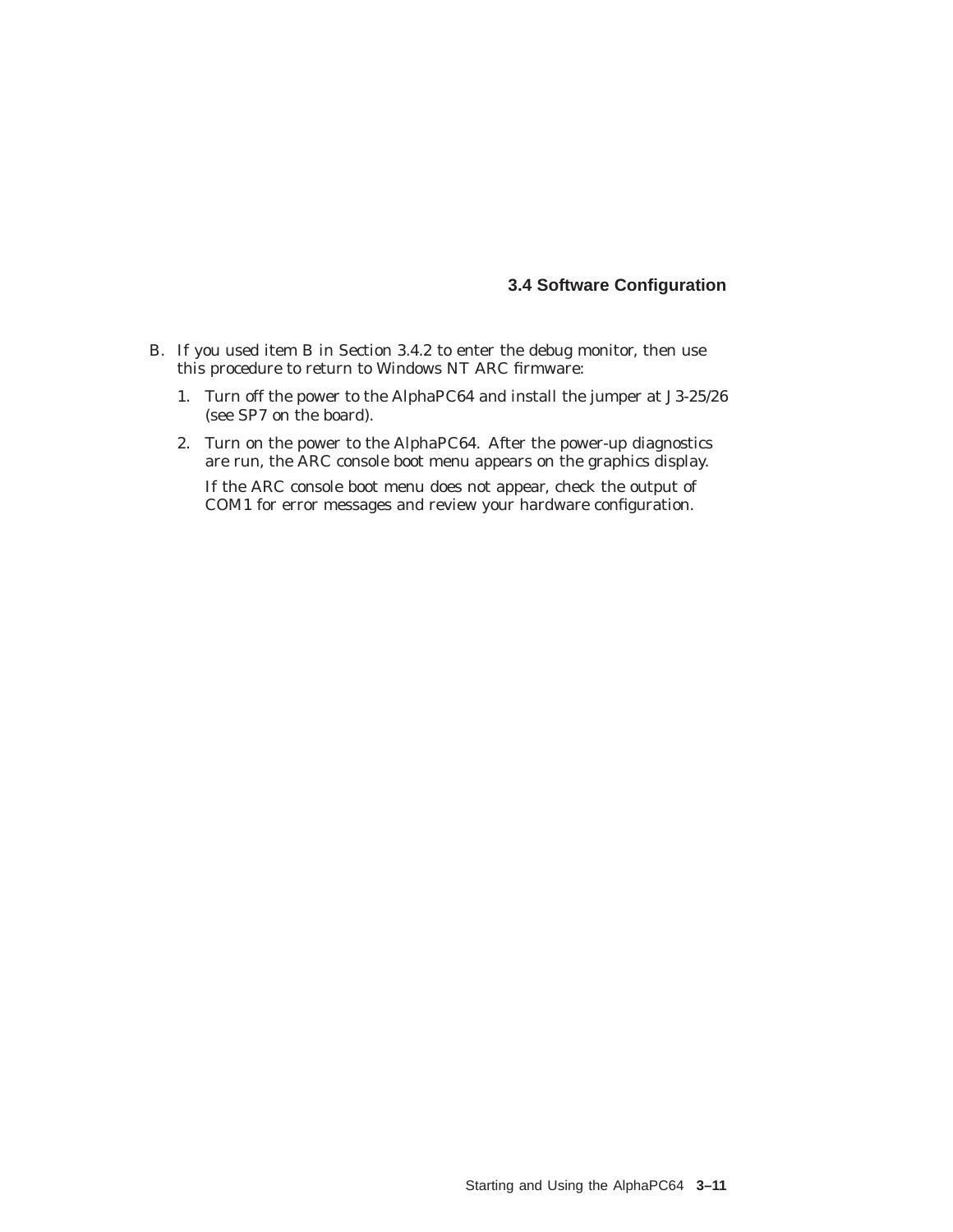#### **3.4 Software Configuration**

- B. If you used item B in Section 3.4.2 to enter the debug monitor, then use this procedure to return to Windows NT ARC firmware:
	- 1. Turn off the power to the AlphaPC64 and install the jumper at J3-25/26 (see SP7 on the board).
	- 2. Turn on the power to the AlphaPC64. After the power-up diagnostics are run, the ARC console boot menu appears on the graphics display. If the ARC console boot menu does not appear, check the output of COM1 for error messages and review your hardware configuration.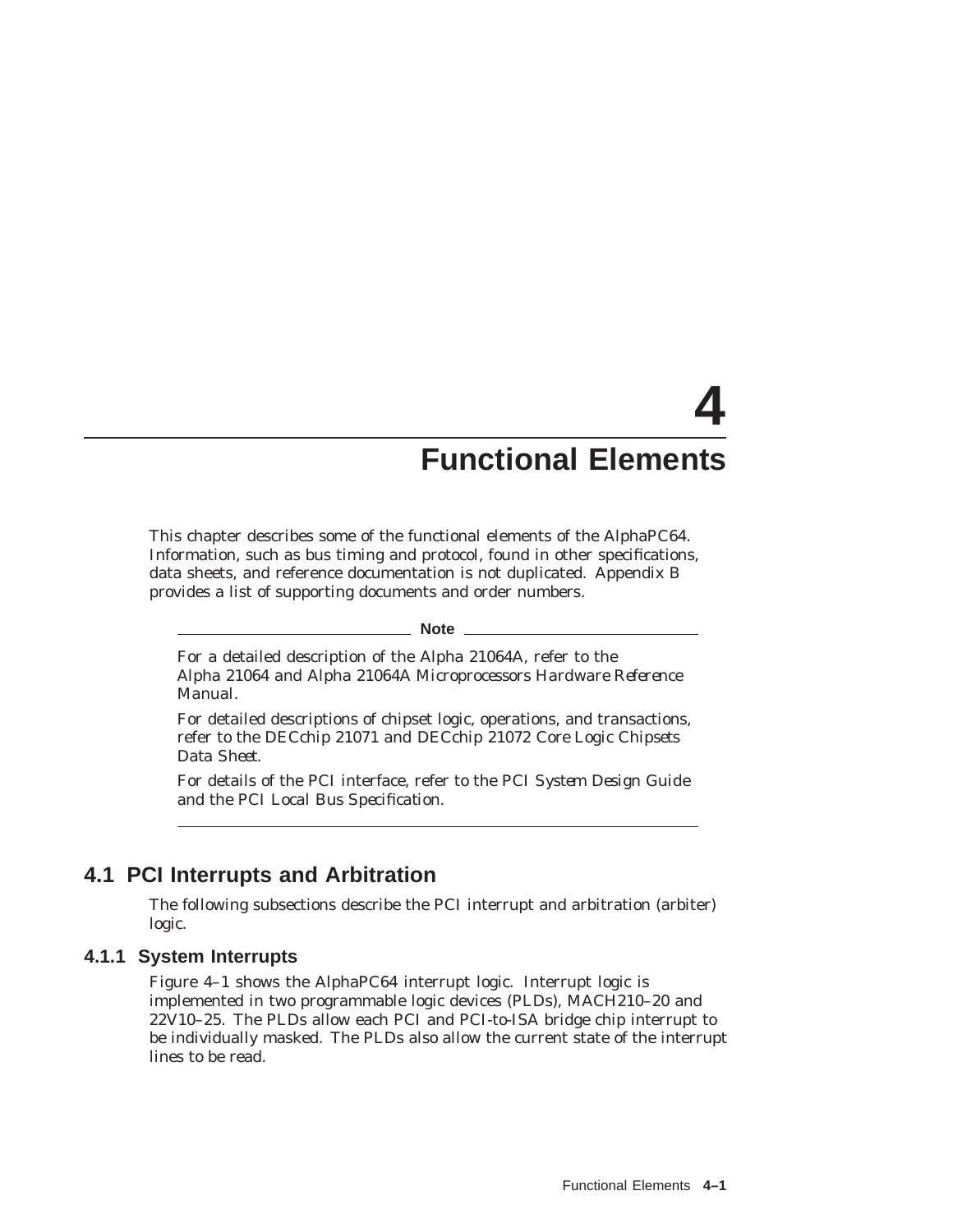# **4 Functional Elements**

This chapter describes some of the functional elements of the AlphaPC64. Information, such as bus timing and protocol, found in other specifications, data sheets, and reference documentation is not duplicated. Appendix B provides a list of supporting documents and order numbers.

**Note**

For a detailed description of the Alpha 21064A, refer to the *Alpha 21064 and Alpha 21064A Microprocessors Hardware Reference Manual*.

For detailed descriptions of chipset logic, operations, and transactions, refer to the *DECchip 21071 and DECchip 21072 Core Logic Chipsets Data Sheet*.

For details of the PCI interface, refer to the *PCI System Design Guide* and the *PCI Local Bus Specification*.

# **4.1 PCI Interrupts and Arbitration**

The following subsections describe the PCI interrupt and arbitration (arbiter) logic.

#### **4.1.1 System Interrupts**

Figure 4–1 shows the AlphaPC64 interrupt logic. Interrupt logic is implemented in two programmable logic devices (PLDs), MACH210–20 and 22V10–25. The PLDs allow each PCI and PCI-to-ISA bridge chip interrupt to be individually masked. The PLDs also allow the current state of the interrupt lines to be read.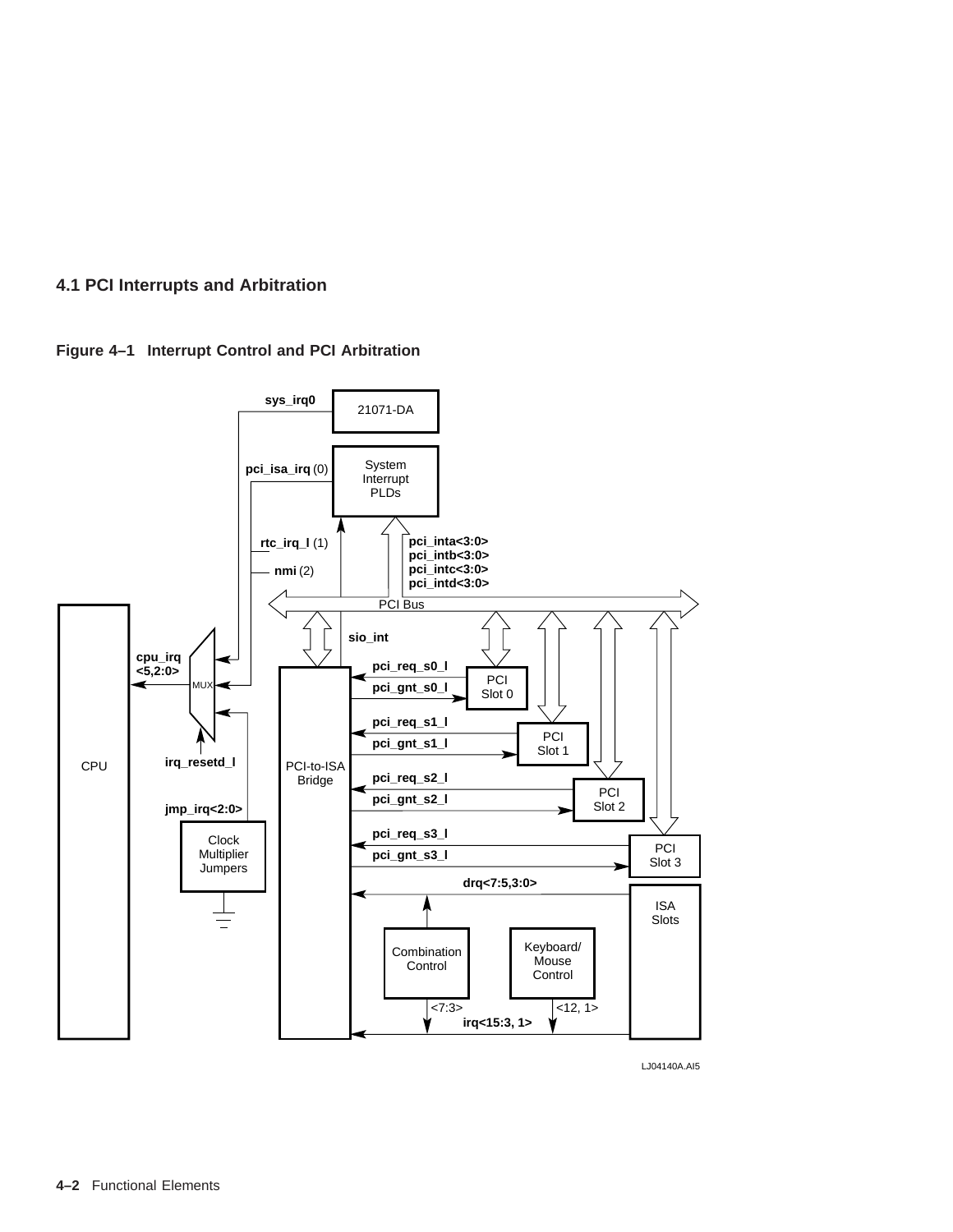



LJ04140A.AI5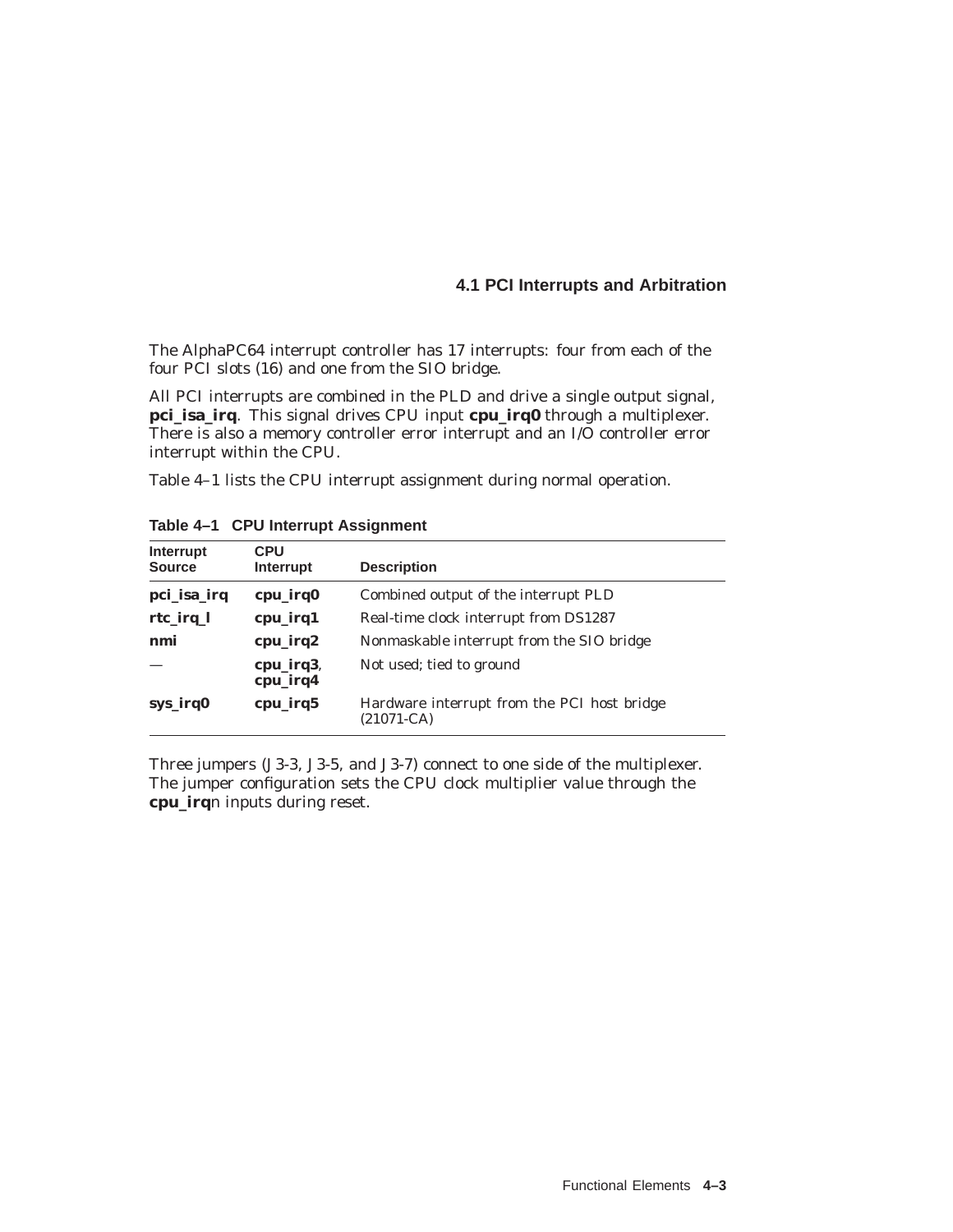The AlphaPC64 interrupt controller has 17 interrupts: four from each of the four PCI slots (16) and one from the SIO bridge.

All PCI interrupts are combined in the PLD and drive a single output signal, **pci\_isa\_irq**. This signal drives CPU input **cpu\_irq0** through a multiplexer. There is also a memory controller error interrupt and an I/O controller error interrupt within the CPU.

Table 4–1 lists the CPU interrupt assignment during normal operation.

| Interrupt<br><b>Source</b> | <b>CPU</b><br>Interrupt | <b>Description</b>                                            |
|----------------------------|-------------------------|---------------------------------------------------------------|
| pci_isa_irq                | cpu_irq0                | Combined output of the interrupt PLD                          |
| $rtc$ <sub>irq</sub> $l$   | cpu_irq1                | Real-time clock interrupt from DS1287                         |
| nmi                        | cpu_irq2                | Nonmaskable interrupt from the SIO bridge                     |
|                            | cpu_irq3,<br>cpu_irq4   | Not used; tied to ground                                      |
| sys_irq0                   | cpu_irq5                | Hardware interrupt from the PCI host bridge<br>$(21071 - CA)$ |

**Table 4–1 CPU Interrupt Assignment**

Three jumpers (J3-3, J3-5, and J3-7) connect to one side of the multiplexer. The jumper configuration sets the CPU clock multiplier value through the **cpu\_irq***n* inputs during reset.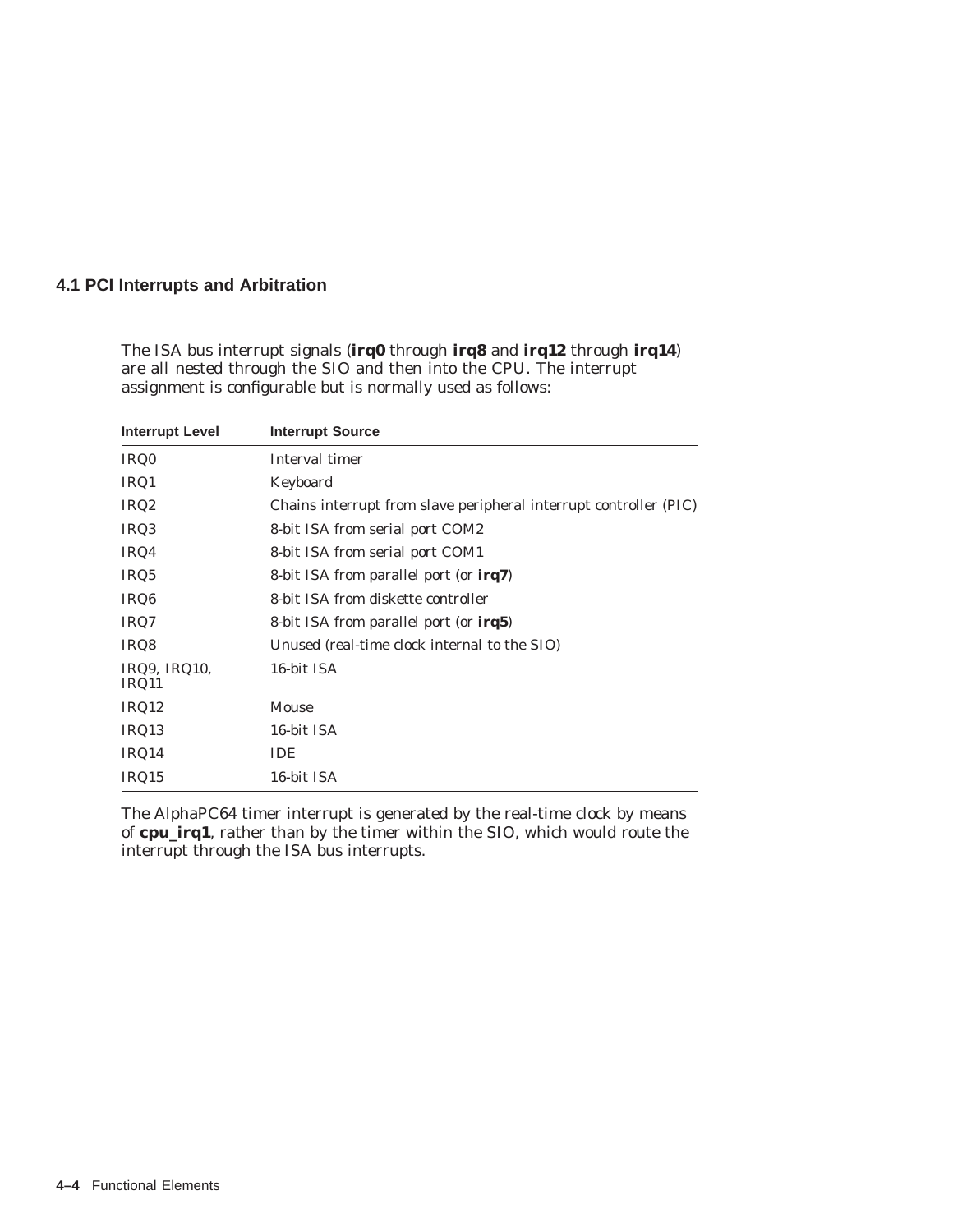The ISA bus interrupt signals (**irq0** through **irq8** and **irq12** through **irq14**) are all nested through the SIO and then into the CPU. The interrupt assignment is configurable but is normally used as follows:

| <b>Interrupt Level</b> | <b>Interrupt Source</b>                                           |  |
|------------------------|-------------------------------------------------------------------|--|
| IRQ0                   | Interval timer                                                    |  |
| IRQ1                   | Keyboard                                                          |  |
| IRQ <sub>2</sub>       | Chains interrupt from slave peripheral interrupt controller (PIC) |  |
| IRQ3                   | 8-bit ISA from serial port COM2                                   |  |
| IRQ4                   | 8-bit ISA from serial port COM1                                   |  |
| IRQ5                   | 8-bit ISA from parallel port (or <b>irg7</b> )                    |  |
| IRQ <sub>6</sub>       | 8-bit ISA from diskette controller                                |  |
| IRQ7                   | 8-bit ISA from parallel port (or <b>irg5</b> )                    |  |
| IRQ8                   | Unused (real-time clock internal to the SIO)                      |  |
| IRQ9, IRQ10,<br>IRQ11  | 16-bit ISA                                                        |  |
| IRQ12                  | Mouse                                                             |  |
| IRQ13                  | 16-bit ISA                                                        |  |
| IRQ14                  | <b>IDE</b>                                                        |  |
| IRQ15                  | 16-bit ISA                                                        |  |

The AlphaPC64 timer interrupt is generated by the real-time clock by means of **cpu\_irq1**, rather than by the timer within the SIO, which would route the interrupt through the ISA bus interrupts.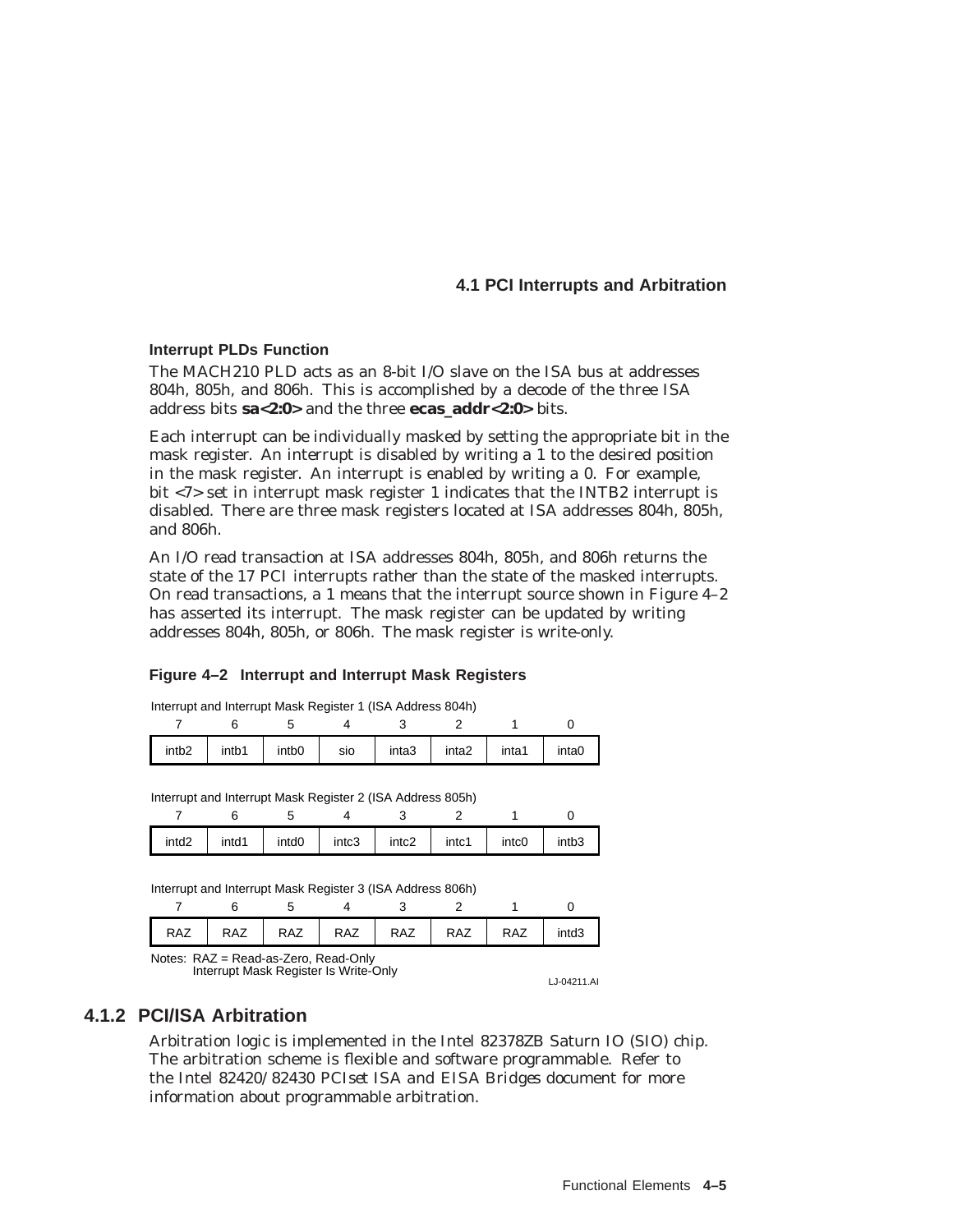#### **Interrupt PLDs Function**

The MACH210 PLD acts as an 8-bit I/O slave on the ISA bus at addresses 804h, 805h, and 806h. This is accomplished by a decode of the three ISA address bits **sa<2:0>** and the three **ecas\_addr<2:0>** bits.

Each interrupt can be individually masked by setting the appropriate bit in the mask register. An interrupt is disabled by writing a 1 to the desired position in the mask register. An interrupt is enabled by writing a 0. For example, bit <7> set in interrupt mask register 1 indicates that the INTB2 interrupt is disabled. There are three mask registers located at ISA addresses 804h, 805h, and 806h.

An I/O read transaction at ISA addresses 804h, 805h, and 806h returns the state of the 17 PCI interrupts rather than the state of the masked interrupts. On read transactions, a 1 means that the interrupt source shown in Figure 4–2 has asserted its interrupt. The mask register can be updated by writing addresses 804h, 805h, or 806h. The mask register is write-only.

#### **Figure 4–2 Interrupt and Interrupt Mask Registers**

| Interrupt and Interrupt Mask Register 1 (ISA Address 804h) |             |     |       |                   |       |       |
|------------------------------------------------------------|-------------|-----|-------|-------------------|-------|-------|
|                                                            |             |     |       |                   |       |       |
| intb <sub>2</sub>                                          | intb1 intb0 | sio | inta3 | inta <sub>2</sub> | inta1 | inta0 |

| Interrupt and Interrupt Mask Register 2 (ISA Address 805h) |  |  |
|------------------------------------------------------------|--|--|
|------------------------------------------------------------|--|--|

| intd <sub>2</sub> | intd1 | intd <sub>0</sub> | intc3 | intc2 | intc1 | intc0 | intb <sub>3</sub> |
|-------------------|-------|-------------------|-------|-------|-------|-------|-------------------|

Interrupt and Interrupt Mask Register 3 (ISA Address 806h)

| <b>RAZ</b><br>L | <b>RAZ</b> | <b>RAZ</b> | RAZ | <b>RAZ</b> | <b>RAZ</b> | <b>RAZ</b> | intd <sub>3</sub> |
|-----------------|------------|------------|-----|------------|------------|------------|-------------------|
| .               | .          |            |     |            |            |            |                   |

Notes: RAZ = Read-as-Zero, Read-Only Interrupt Mask Register Is Write-Only

LJ-04211.AI

#### **4.1.2 PCI/ISA Arbitration**

Arbitration logic is implemented in the Intel 82378ZB Saturn IO (SIO) chip. The arbitration scheme is flexible and software programmable. Refer to the Intel *82420/82430 PCIset ISA and EISA Bridges* document for more information about programmable arbitration.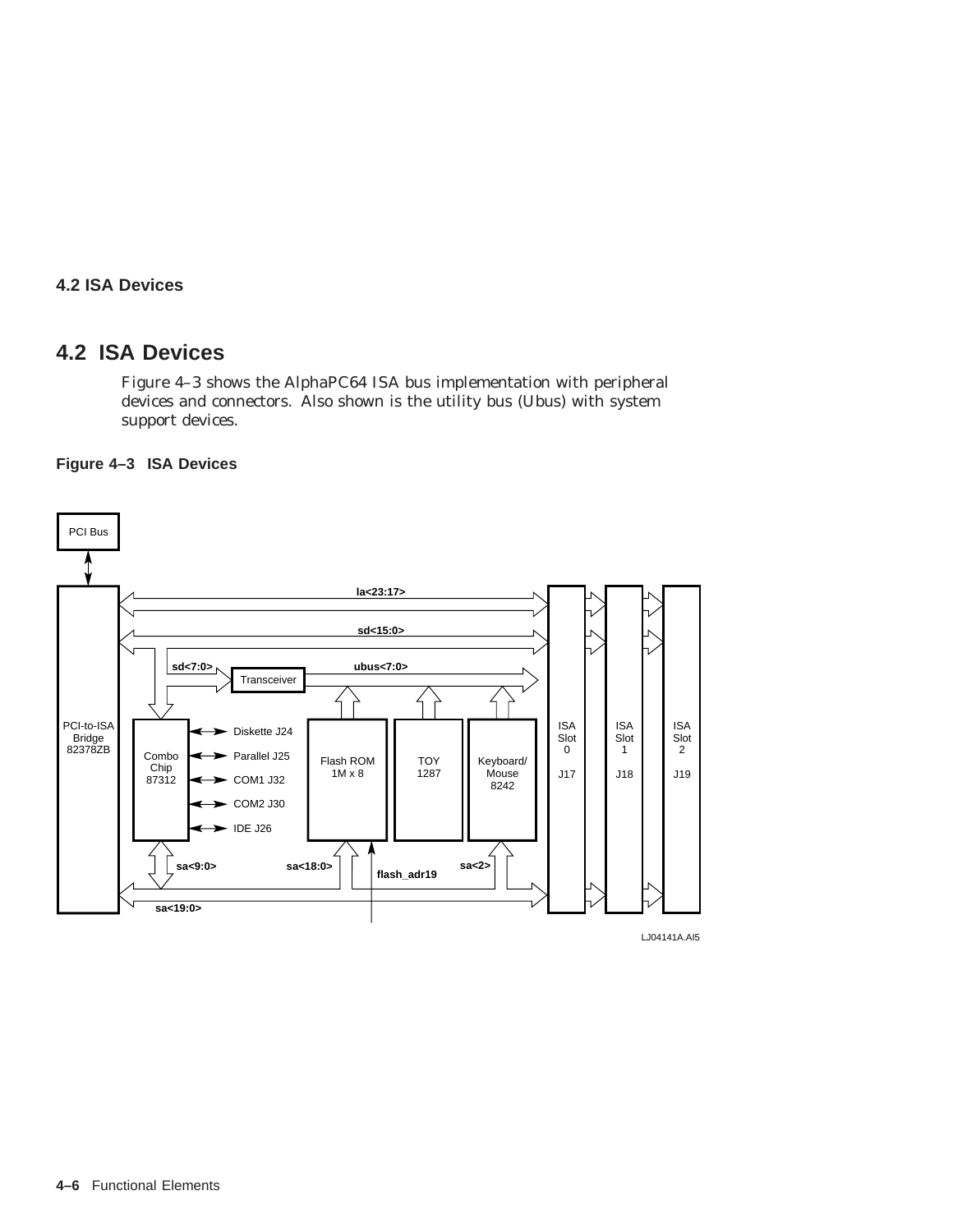#### **4.2 ISA Devices**

# **4.2 ISA Devices**

Figure 4–3 shows the AlphaPC64 ISA bus implementation with peripheral devices and connectors. Also shown is the utility bus (Ubus) with system support devices.



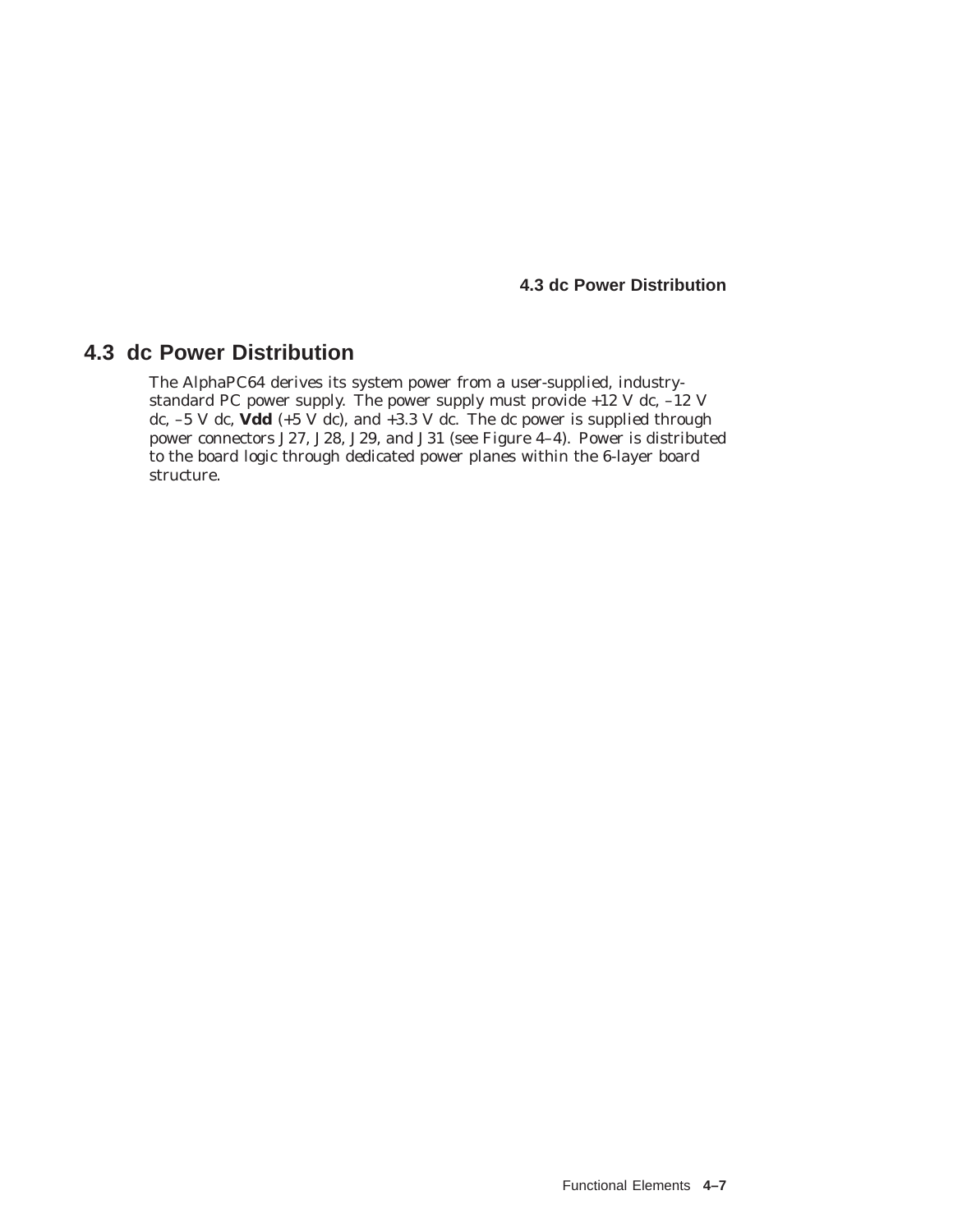**4.3 dc Power Distribution**

# **4.3 dc Power Distribution**

The AlphaPC64 derives its system power from a user-supplied, industrystandard PC power supply. The power supply must provide +12 V dc, –12 V dc,  $-5$  V dc,  $\vec{V}$ dd (+5  $\vec{V}$ dc), and  $+3.3$  V dc. The dc power is supplied through power connectors J27, J28, J29, and J31 (see Figure 4–4). Power is distributed to the board logic through dedicated power planes within the 6-layer board structure.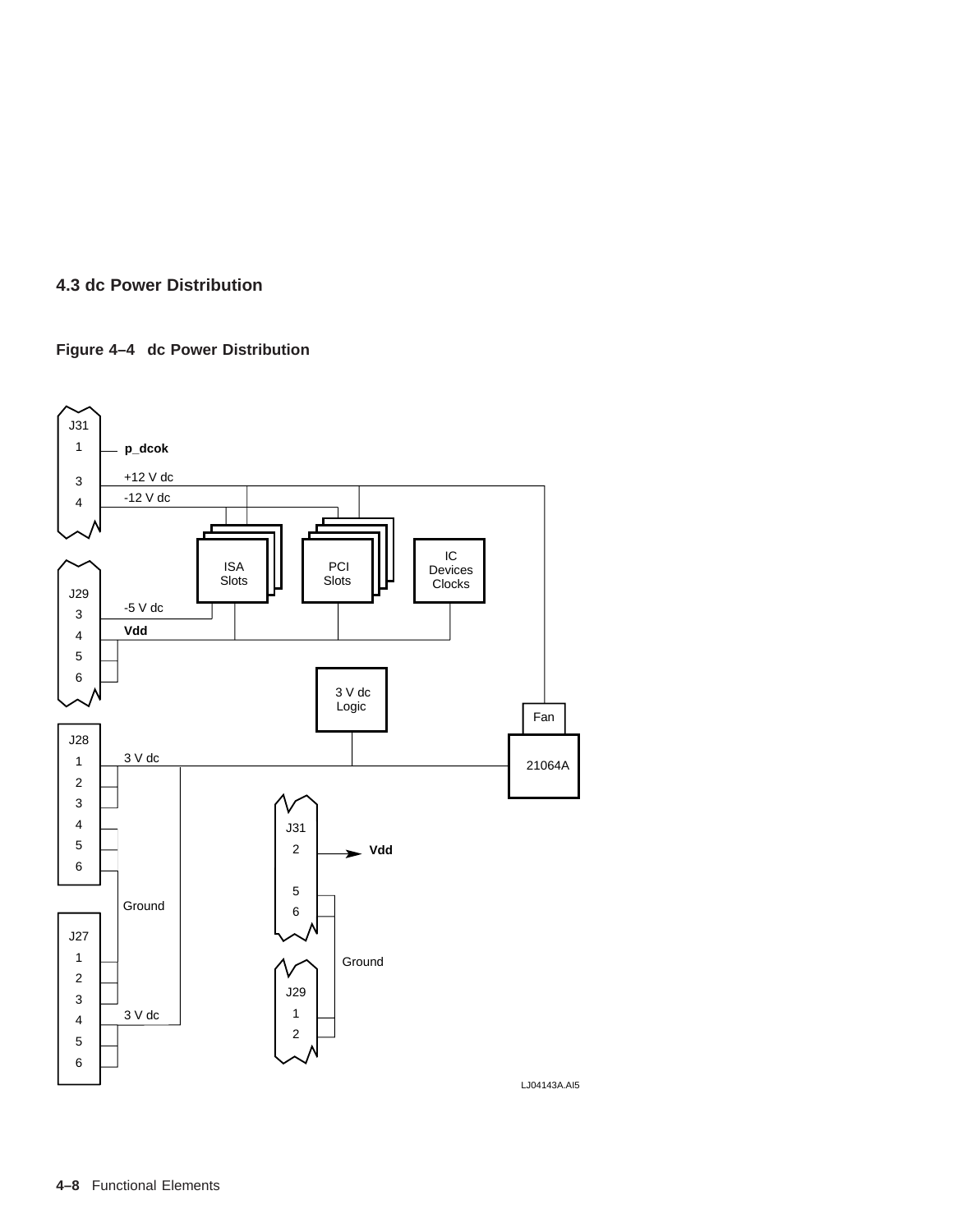#### **4.3 dc Power Distribution**

#### **Figure 4–4 dc Power Distribution**



**4–8** Functional Elements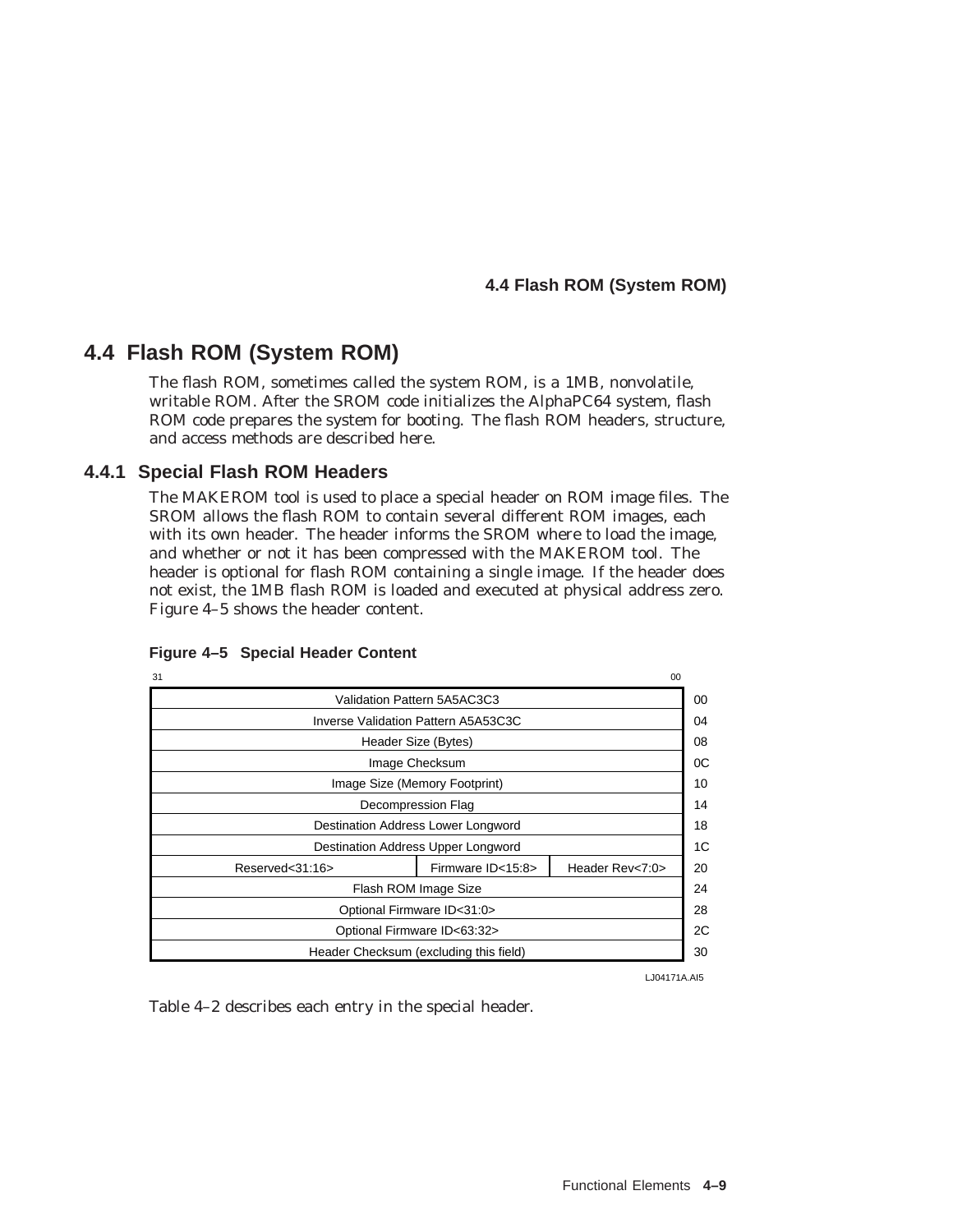# **4.4 Flash ROM (System ROM)**

The flash ROM, sometimes called the system ROM, is a 1MB, nonvolatile, writable ROM. After the SROM code initializes the AlphaPC64 system, flash ROM code prepares the system for booting. The flash ROM headers, structure, and access methods are described here.

#### **4.4.1 Special Flash ROM Headers**

The MAKEROM tool is used to place a special header on ROM image files. The SROM allows the flash ROM to contain several different ROM images, each with its own header. The header informs the SROM where to load the image, and whether or not it has been compressed with the MAKEROM tool. The header is optional for flash ROM containing a single image. If the header does not exist, the 1MB flash ROM is loaded and executed at physical address zero. Figure 4–5 shows the header content.

| 31                                 |                               |                                        |                 | 0 <sup>0</sup> |
|------------------------------------|-------------------------------|----------------------------------------|-----------------|----------------|
|                                    |                               | Validation Pattern 5A5AC3C3            |                 | 00             |
|                                    |                               | Inverse Validation Pattern A5A53C3C    |                 | 04             |
|                                    | Header Size (Bytes)           |                                        |                 | 08             |
|                                    |                               | Image Checksum                         |                 | 0C             |
|                                    | Image Size (Memory Footprint) |                                        |                 | 10             |
| Decompression Flag                 |                               |                                        |                 | 14             |
| Destination Address Lower Longword |                               |                                        |                 | 18             |
|                                    |                               | Destination Address Upper Longword     |                 | 1C             |
| Reserved<31:16>                    |                               | Firmware ID<15:8>                      | Header Rev<7:0> | 20             |
|                                    |                               | Flash ROM Image Size                   |                 | 24             |
| Optional Firmware ID<31:0>         |                               |                                        |                 |                |
| Optional Firmware ID<63:32>        |                               |                                        |                 | 2C             |
|                                    |                               | Header Checksum (excluding this field) |                 | 30             |

#### **Figure 4–5 Special Header Content**

LJ04171A.AI5

Table 4–2 describes each entry in the special header.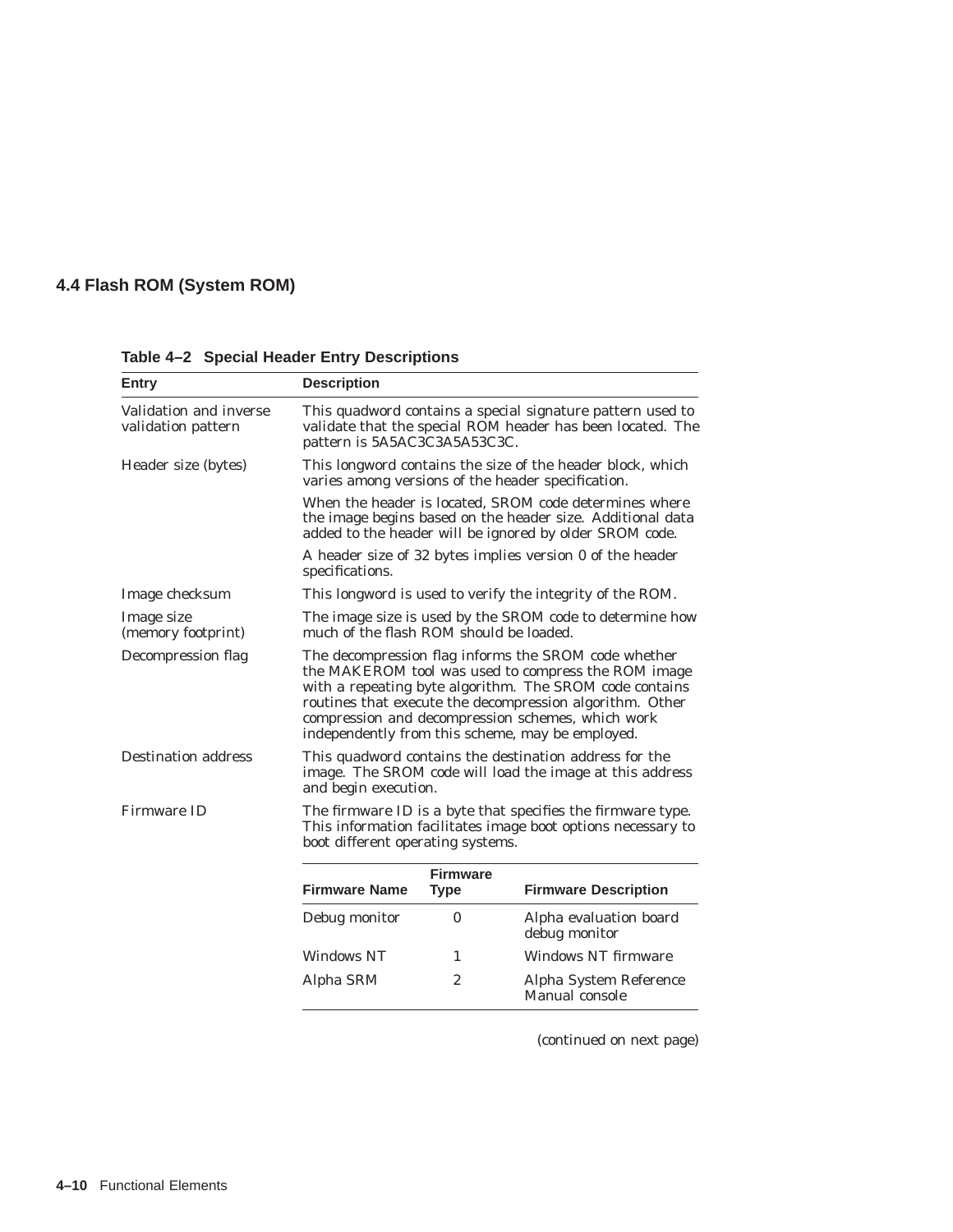| Entry                                        | <b>Description</b>                                                                                                                                                                                                                                                                                                                          |                                                                                                                                                          |                                                                                                                                                                                 |  |  |  |
|----------------------------------------------|---------------------------------------------------------------------------------------------------------------------------------------------------------------------------------------------------------------------------------------------------------------------------------------------------------------------------------------------|----------------------------------------------------------------------------------------------------------------------------------------------------------|---------------------------------------------------------------------------------------------------------------------------------------------------------------------------------|--|--|--|
| Validation and inverse<br>validation pattern |                                                                                                                                                                                                                                                                                                                                             | This quadword contains a special signature pattern used to<br>validate that the special ROM header has been located. The<br>pattern is 5A5AC3C3A5A53C3C. |                                                                                                                                                                                 |  |  |  |
| Header size (bytes)                          |                                                                                                                                                                                                                                                                                                                                             |                                                                                                                                                          | This longword contains the size of the header block, which<br>varies among versions of the header specification.                                                                |  |  |  |
|                                              |                                                                                                                                                                                                                                                                                                                                             |                                                                                                                                                          | When the header is located, SROM code determines where<br>the image begins based on the header size. Additional data<br>added to the header will be ignored by older SROM code. |  |  |  |
|                                              | specifications.                                                                                                                                                                                                                                                                                                                             |                                                                                                                                                          | A header size of 32 bytes implies version 0 of the header                                                                                                                       |  |  |  |
| Image checksum                               |                                                                                                                                                                                                                                                                                                                                             |                                                                                                                                                          | This longword is used to verify the integrity of the ROM.                                                                                                                       |  |  |  |
| Image size<br>(memory footprint)             | much of the flash ROM should be loaded.                                                                                                                                                                                                                                                                                                     |                                                                                                                                                          | The image size is used by the SROM code to determine how                                                                                                                        |  |  |  |
| Decompression flag                           | The decompression flag informs the SROM code whether<br>the MAKEROM tool was used to compress the ROM image<br>with a repeating byte algorithm. The SROM code contains<br>routines that execute the decompression algorithm. Other<br>compression and decompression schemes, which work<br>independently from this scheme, may be employed. |                                                                                                                                                          |                                                                                                                                                                                 |  |  |  |
| <b>Destination address</b>                   | This quadword contains the destination address for the<br>image. The SROM code will load the image at this address<br>and begin execution.                                                                                                                                                                                                  |                                                                                                                                                          |                                                                                                                                                                                 |  |  |  |
| <b>Firmware ID</b>                           | boot different operating systems.                                                                                                                                                                                                                                                                                                           |                                                                                                                                                          | The firmware ID is a byte that specifies the firmware type.<br>This information facilitates image boot options necessary to                                                     |  |  |  |
|                                              | <b>Firmware Name</b>                                                                                                                                                                                                                                                                                                                        | <b>Firmware</b><br><b>Type</b>                                                                                                                           | <b>Firmware Description</b>                                                                                                                                                     |  |  |  |
|                                              | Debug monitor                                                                                                                                                                                                                                                                                                                               | 0                                                                                                                                                        | Alpha evaluation board<br>debug monitor                                                                                                                                         |  |  |  |
|                                              | <b>Windows NT</b>                                                                                                                                                                                                                                                                                                                           | 1                                                                                                                                                        | Windows NT firmware                                                                                                                                                             |  |  |  |
|                                              | Alpha SRM                                                                                                                                                                                                                                                                                                                                   | $\overline{2}$                                                                                                                                           | Alpha System Reference<br>Manual console                                                                                                                                        |  |  |  |

**Table 4–2 Special Header Entry Descriptions**

(continued on next page)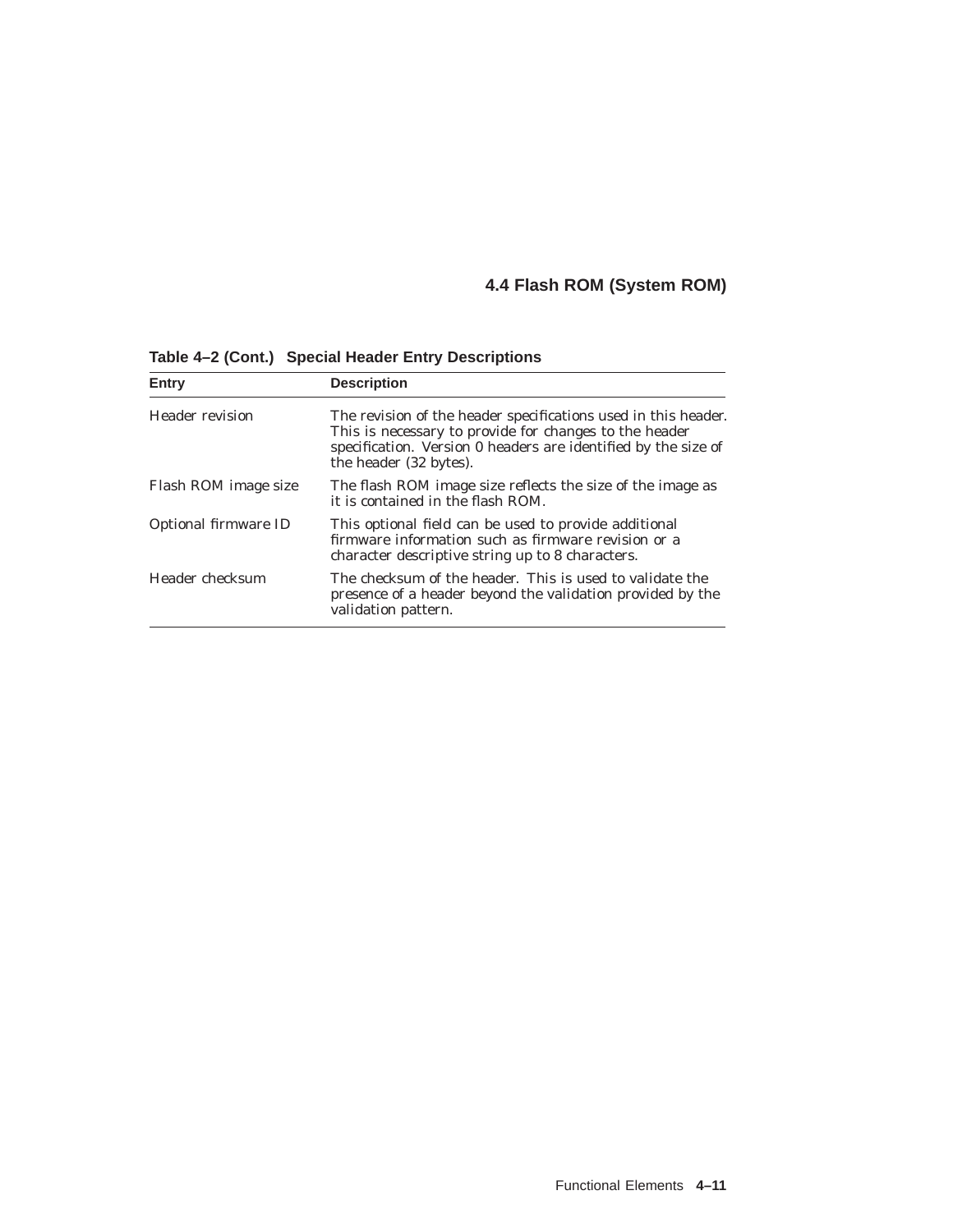| Entry                  | <b>Description</b>                                                                                                                                                                                                   |
|------------------------|----------------------------------------------------------------------------------------------------------------------------------------------------------------------------------------------------------------------|
| <b>Header revision</b> | The revision of the header specifications used in this header.<br>This is necessary to provide for changes to the header<br>specification. Version 0 headers are identified by the size of<br>the header (32 bytes). |
| Flash ROM image size   | The flash ROM image size reflects the size of the image as<br>it is contained in the flash ROM.                                                                                                                      |
| Optional firmware ID   | This optional field can be used to provide additional<br>firmware information such as firmware revision or a<br>character descriptive string up to 8 characters.                                                     |
| Header checksum        | The checksum of the header. This is used to validate the<br>presence of a header beyond the validation provided by the<br>validation pattern.                                                                        |

**Table 4–2 (Cont.) Special Header Entry Descriptions**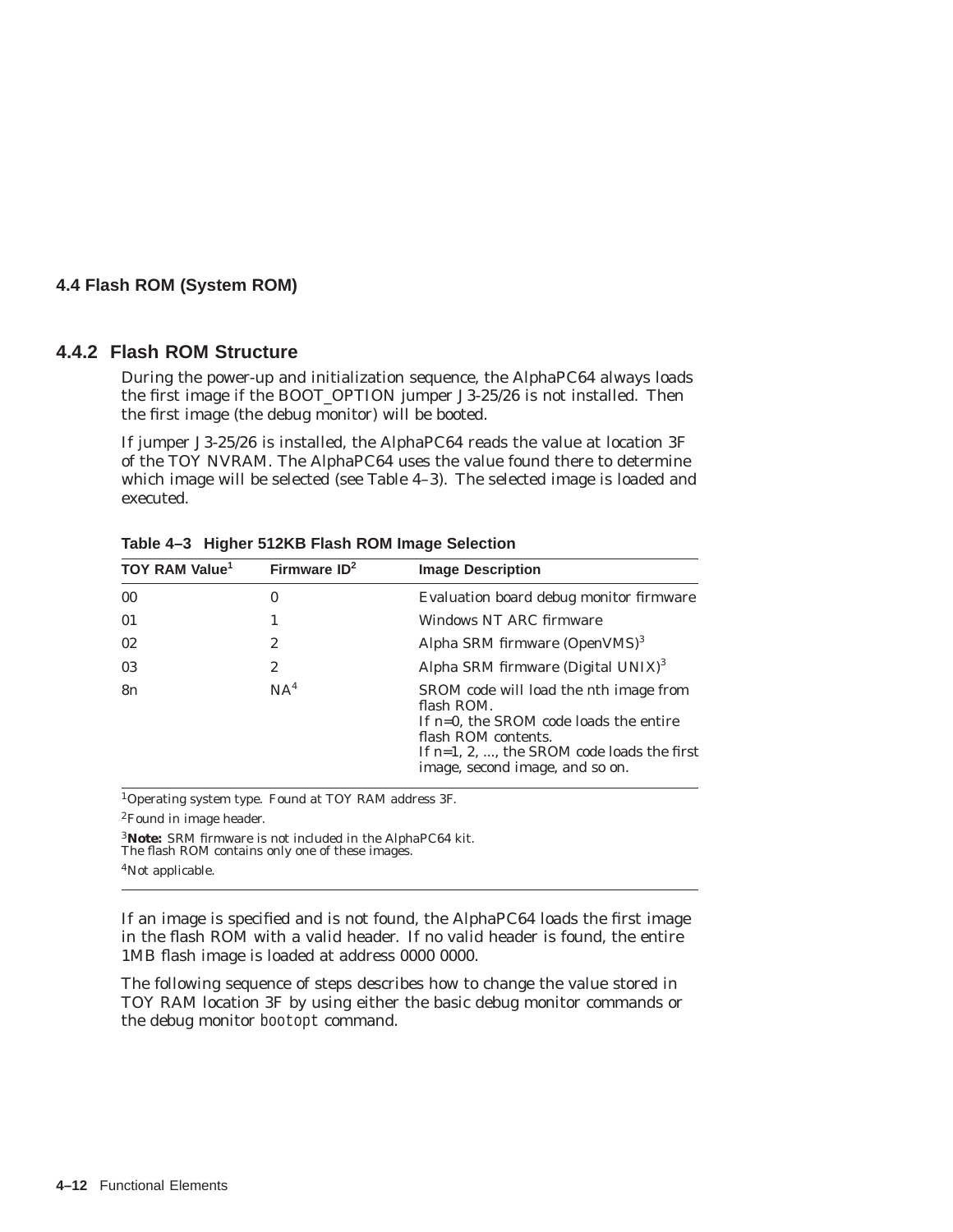#### **4.4.2 Flash ROM Structure**

During the power-up and initialization sequence, the AlphaPC64 always loads the first image if the BOOT\_OPTION jumper J3-25/26 is not installed. Then the first image (the debug monitor) will be booted.

If jumper J3-25/26 is installed, the AlphaPC64 reads the value at location 3F of the TOY NVRAM. The AlphaPC64 uses the value found there to determine which image will be selected (see Table 4–3). The selected image is loaded and executed.

| TOY RAM Value <sup>1</sup> | Firmware $ID2$  | <b>Image Description</b>                                                                                                                                                                                                   |
|----------------------------|-----------------|----------------------------------------------------------------------------------------------------------------------------------------------------------------------------------------------------------------------------|
| 0 <sub>0</sub>             | 0               | Evaluation board debug monitor firmware                                                                                                                                                                                    |
| 01                         |                 | Windows NT ARC firmware                                                                                                                                                                                                    |
| 02                         | 2               | Alpha SRM firmware $(OpenVMS)^3$                                                                                                                                                                                           |
| 03                         | 2               | Alpha SRM firmware (Digital $UNIX$ ) <sup>3</sup>                                                                                                                                                                          |
| 8n                         | NA <sup>4</sup> | SROM code will load the <i>n</i> th image from<br>flash ROM.<br>If $n=0$ , the SROM code loads the entire<br>flash ROM contents.<br>If $n=1, 2, \ldots$ , the SROM code loads the first<br>image, second image, and so on. |

**Table 4–3 Higher 512KB Flash ROM Image Selection**

1Operating system type. Found at TOY RAM address 3F.

2Found in image header.

<sup>3</sup> **Note:** SRM firmware is not included in the AlphaPC64 kit.<br>The flash ROM contains only one of these images.

4Not applicable.

If an image is specified and is not found, the AlphaPC64 loads the first image in the flash ROM with a valid header. If no valid header is found, the entire 1MB flash image is loaded at address 0000 0000.

The following sequence of steps describes how to change the value stored in TOY RAM location 3F by using either the basic debug monitor commands or the debug monitor bootopt command.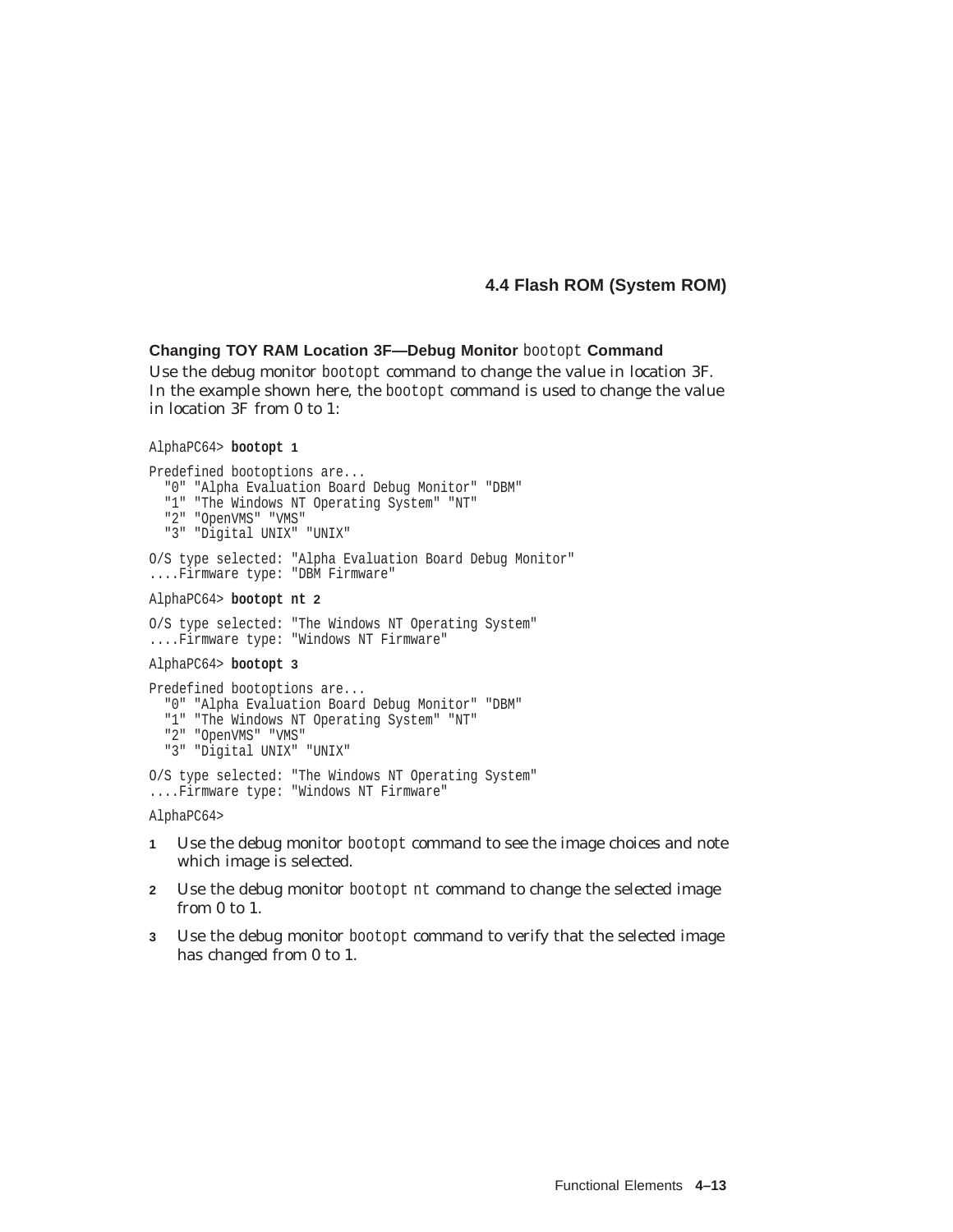#### **Changing TOY RAM Location 3F—Debug Monitor** bootopt **Command**

Use the debug monitor bootopt command to change the value in location 3F. In the example shown here, the bootopt command is used to change the value in location 3F from 0 to 1:

```
AlphaPC64> bootopt 1
```

```
Predefined bootoptions are...
  "0" "Alpha Evaluation Board Debug Monitor" "DBM"
  "1" "The Windows NT Operating System" "NT"
  "2" "OpenVMS" "VMS"
  "3" "Digital UNIX" "UNIX"
O/S type selected: "Alpha Evaluation Board Debug Monitor"
....Firmware type: "DBM Firmware"
AlphaPC64> bootopt nt 2
O/S type selected: "The Windows NT Operating System"
....Firmware type: "Windows NT Firmware"
AlphaPC64> bootopt 3
Predefined bootoptions are...
  "0" "Alpha Evaluation Board Debug Monitor" "DBM"
  "1" "The Windows NT Operating System" "NT"
 "2" "OpenVMS" "VMS"
 "3" "Digital UNIX" "UNIX"
O/S type selected: "The Windows NT Operating System"
```
....Firmware type: "Windows NT Firmware" AlphaPC64>

- **1** Use the debug monitor bootopt command to see the image choices and note which image is selected.
- **2** Use the debug monitor bootopt nt command to change the selected image from 0 to 1.
- **3** Use the debug monitor bootopt command to verify that the selected image has changed from 0 to 1.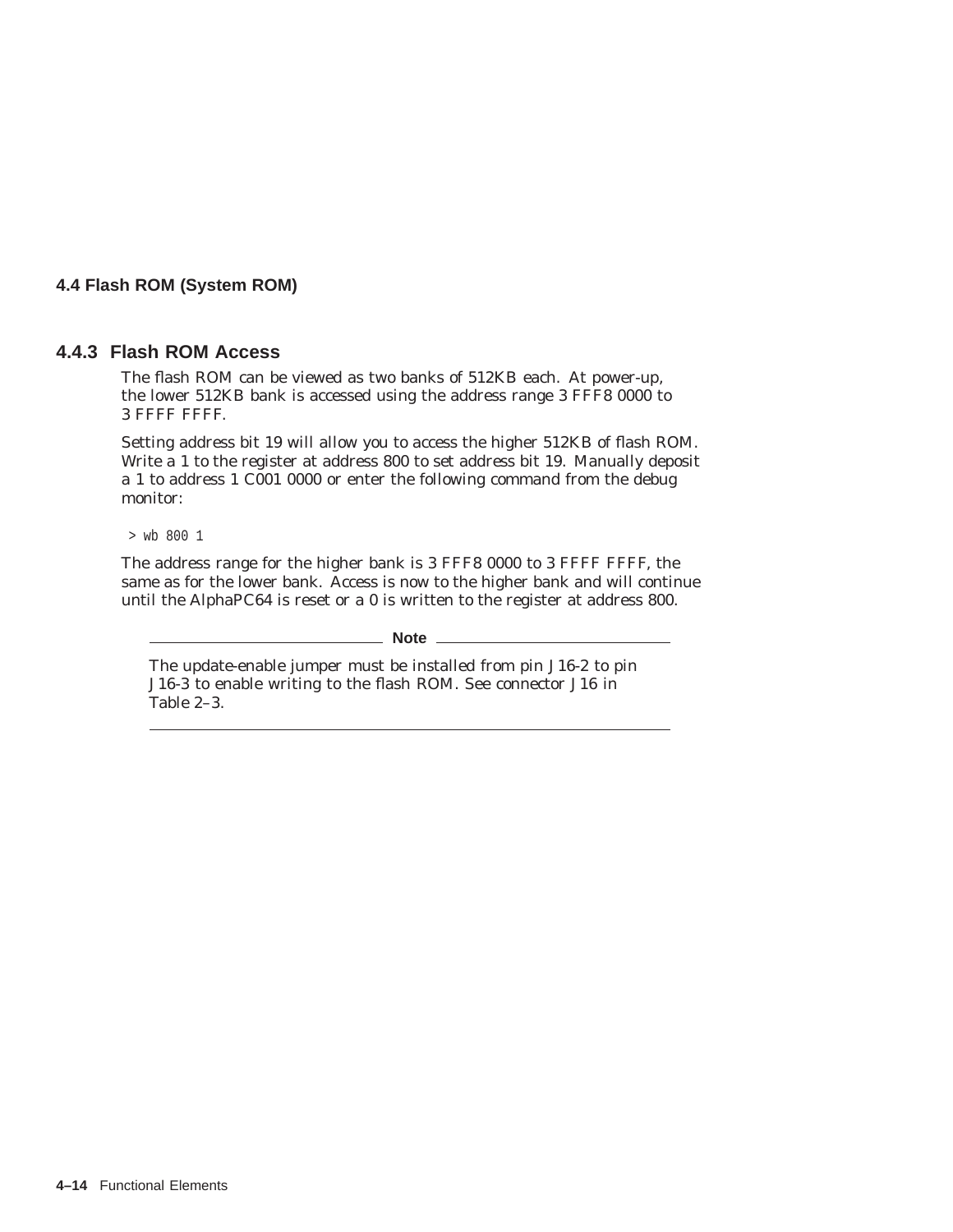#### **4.4.3 Flash ROM Access**

The flash ROM can be viewed as two banks of 512KB each. At power-up, the lower 512KB bank is accessed using the address range 3 FFF8 0000 to 3 FFFF FFFF.

Setting address bit 19 will allow you to access the higher 512KB of flash ROM. Write a 1 to the register at address 800 to set address bit 19. Manually deposit a 1 to address 1 C001 0000 or enter the following command from the debug monitor:

> wb 800 1

The address range for the higher bank is 3 FFF8 0000 to 3 FFFF FFFF, the same as for the lower bank. Access is now to the higher bank and will continue until the AlphaPC64 is reset or a 0 is written to the register at address 800.

#### **Note**

The update-enable jumper must be installed from pin J16-2 to pin J16-3 to enable writing to the flash ROM. See connector J16 in Table 2–3.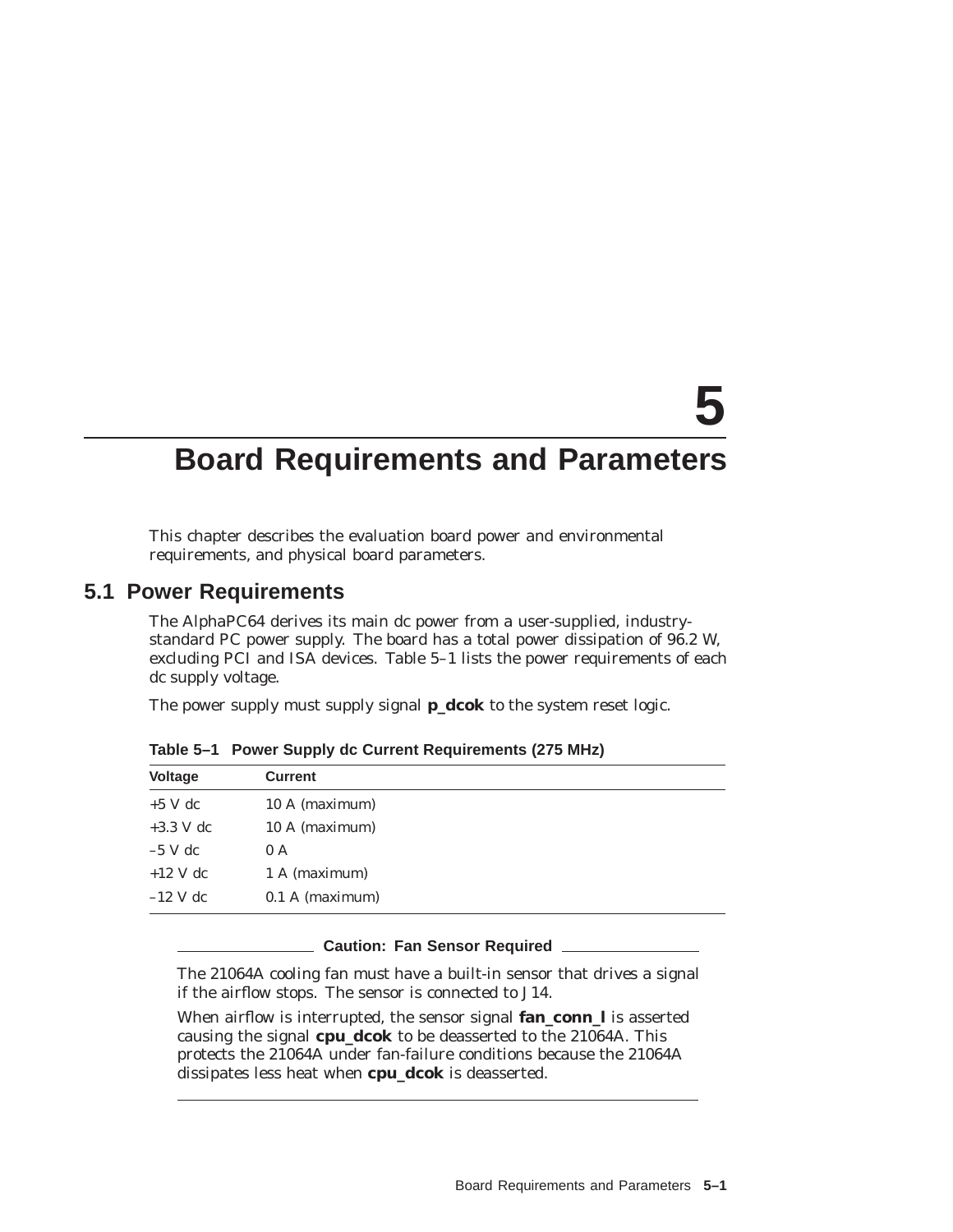# **5**

# **Board Requirements and Parameters**

This chapter describes the evaluation board power and environmental requirements, and physical board parameters.

#### **5.1 Power Requirements**

The AlphaPC64 derives its main dc power from a user-supplied, industrystandard PC power supply. The board has a total power dissipation of 96.2 W, excluding PCI and ISA devices. Table 5–1 lists the power requirements of each dc supply voltage.

The power supply must supply signal **p\_dcok** to the system reset logic.

| <b>Voltage</b> | <b>Current</b>    |  |
|----------------|-------------------|--|
| $+5$ V dc      | 10 A (maximum)    |  |
| $+3.3$ V dc    | 10 A (maximum)    |  |
| $-5$ V dc      | 0 A               |  |
| $+12$ V dc     | 1 A (maximum)     |  |
| $-12$ V dc     | $0.1$ A (maximum) |  |

**Table 5–1 Power Supply dc Current Requirements (275 MHz)**

#### **Caution: Fan Sensor Required**

The 21064A cooling fan *must* have a built-in sensor that drives a signal if the airflow stops. The sensor is connected to J14.

When airflow is interrupted, the sensor signal **fan\_conn\_l** is asserted causing the signal **cpu\_dcok** to be deasserted to the 21064A. This protects the 21064A under fan-failure conditions because the 21064A dissipates less heat when **cpu\_dcok** is deasserted.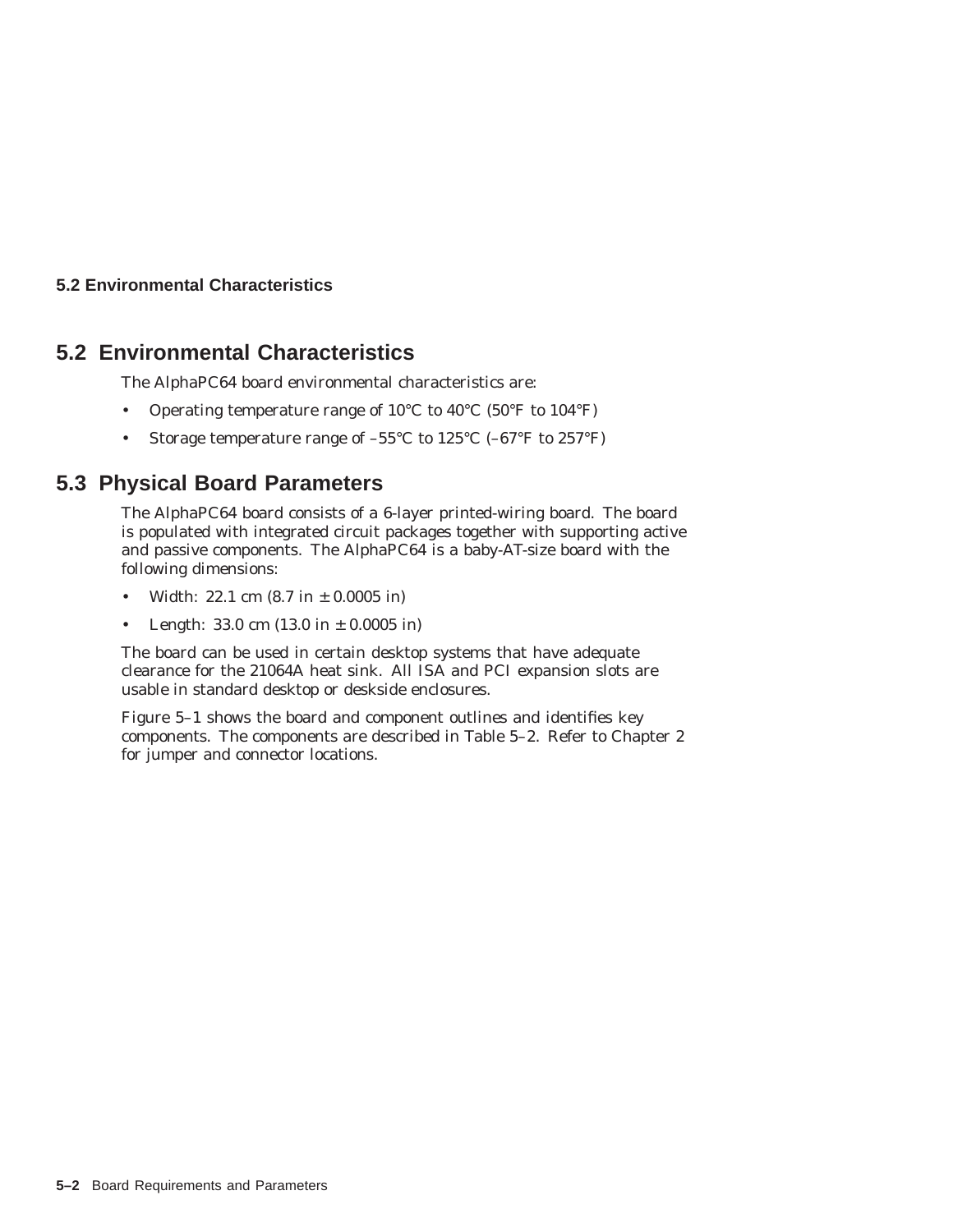#### **5.2 Environmental Characteristics**

## **5.2 Environmental Characteristics**

The AlphaPC64 board environmental characteristics are:

- Operating temperature range of 10°C to 40°C (50°F to 104°F)
- Storage temperature range of  $-55^{\circ}$ C to  $125^{\circ}$ C ( $-67^{\circ}$ F to  $257^{\circ}$ F)

## **5.3 Physical Board Parameters**

The AlphaPC64 board consists of a 6-layer printed-wiring board. The board is populated with integrated circuit packages together with supporting active and passive components. The AlphaPC64 is a baby-AT-size board with the following dimensions:

- Width: 22.1 cm  $(8.7 \text{ in } \pm 0.0005 \text{ in})$
- Length:  $33.0 \text{ cm} (13.0 \text{ in } \pm 0.0005 \text{ in})$

The board can be used in certain desktop systems that have adequate clearance for the 21064A heat sink. All ISA and PCI expansion slots are usable in standard desktop or deskside enclosures.

Figure 5–1 shows the board and component outlines and identifies key components. The components are described in Table 5–2. Refer to Chapter 2 for jumper and connector locations.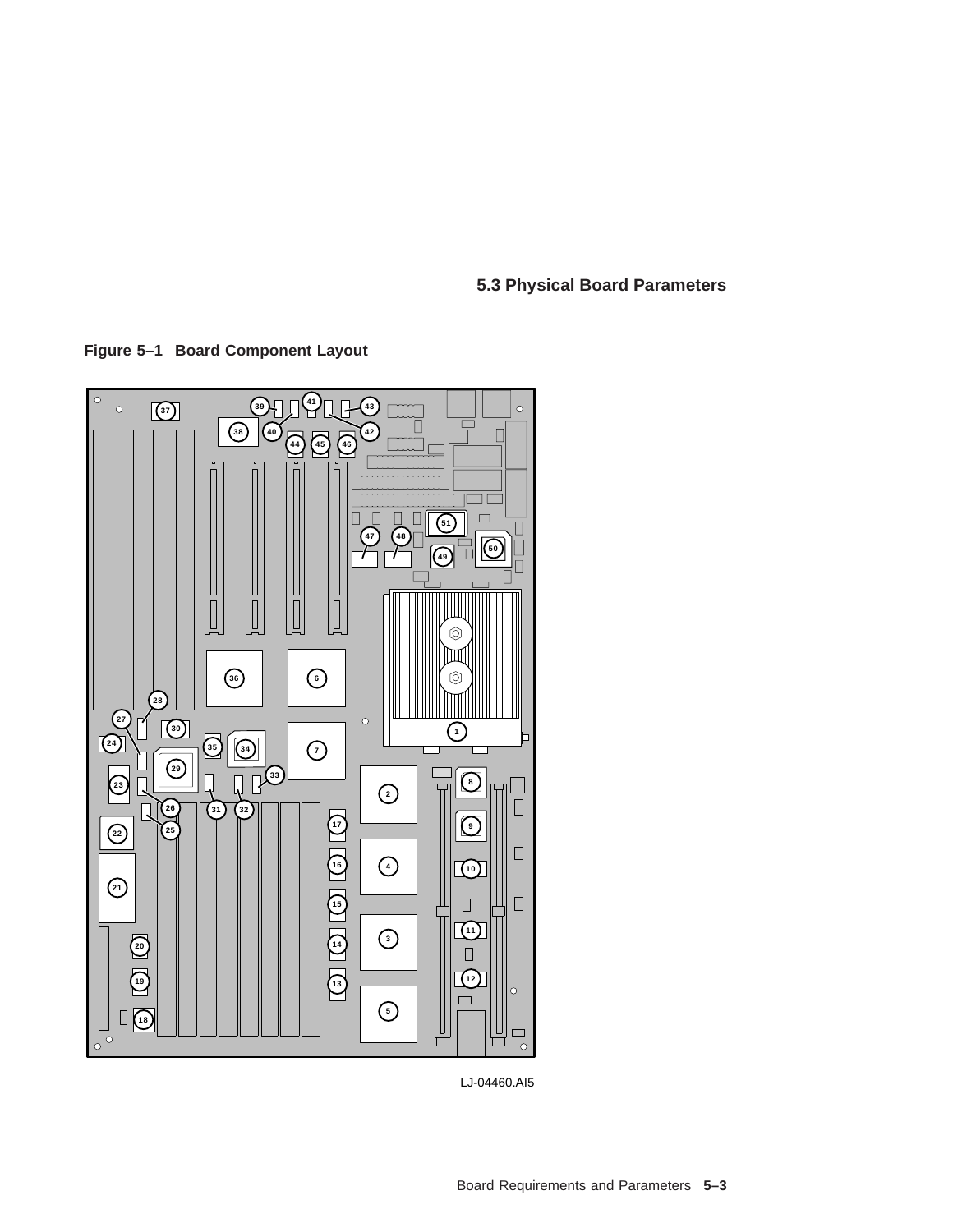# **5.3 Physical Board Parameters**

**Figure 5–1 Board Component Layout**



LJ-04460.AI5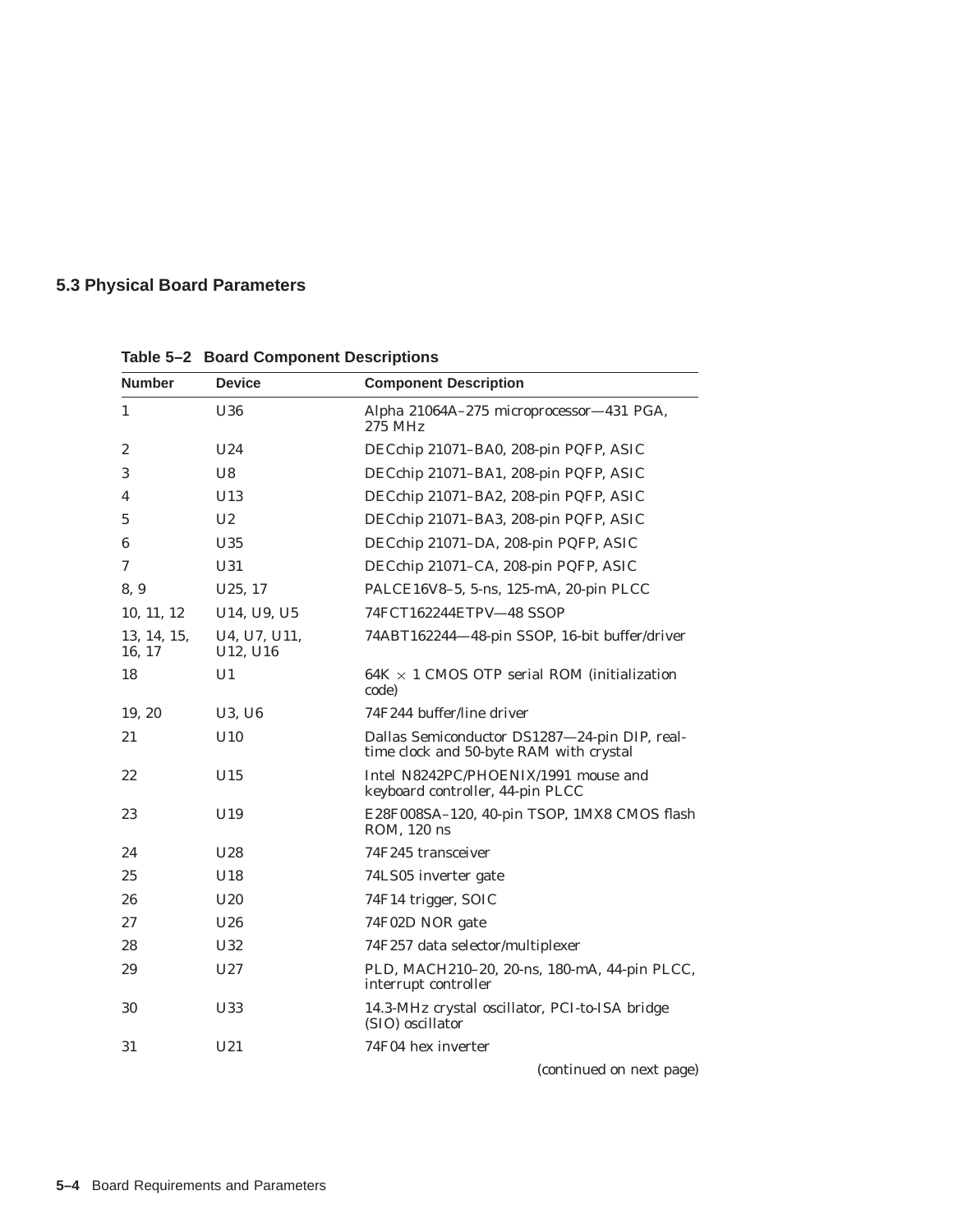# **5.3 Physical Board Parameters**

| <b>Number</b>         | <b>Device</b>                                     | <b>Component Description</b>                                                             |
|-----------------------|---------------------------------------------------|------------------------------------------------------------------------------------------|
| $\mathbf{1}$          | U36                                               | Alpha 21064A-275 microprocessor-431 PGA,<br>275 MHz                                      |
| 2                     | U <sub>24</sub>                                   | DECchip 21071-BA0, 208-pin PQFP, ASIC                                                    |
| 3                     | U <sub>8</sub>                                    | DECchip 21071-BA1, 208-pin PQFP, ASIC                                                    |
| 4                     | U13                                               | DECchip 21071-BA2, 208-pin PQFP, ASIC                                                    |
| 5                     | U <sub>2</sub>                                    | DECchip 21071-BA3, 208-pin PQFP, ASIC                                                    |
| 6                     | U35                                               | DECchip 21071-DA, 208-pin PQFP, ASIC                                                     |
| 7                     | U31                                               | DECchip 21071-CA, 208-pin PQFP, ASIC                                                     |
| 8, 9                  | U <sub>25</sub> , 17                              | PALCE16V8-5, 5-ns, 125-mA, 20-pin PLCC                                                   |
| 10, 11, 12            | U <sub>14</sub> , U <sub>9</sub> , U <sub>5</sub> | 74FCT162244ETPV-48 SSOP                                                                  |
| 13, 14, 15,<br>16, 17 | U4, U7, U11,<br>U12, U16                          | 74ABT162244-48-pin SSOP, 16-bit buffer/driver                                            |
| 18                    | U1                                                | $64K \times 1$ CMOS OTP serial ROM (initialization<br>code)                              |
| 19, 20                | U3, U6                                            | 74F244 buffer/line driver                                                                |
| 21                    | U10                                               | Dallas Semiconductor DS1287-24-pin DIP, real-<br>time clock and 50-byte RAM with crystal |
| 22                    | U15                                               | Intel N8242PC/PHOENIX/1991 mouse and<br>keyboard controller, 44-pin PLCC                 |
| 23                    | U19                                               | E28F008SA-120, 40-pin TSOP, 1MX8 CMOS flash<br>ROM, 120 ns                               |
| 24                    | U <sub>28</sub>                                   | 74F245 transceiver                                                                       |
| 25                    | U18                                               | 74LS05 inverter gate                                                                     |
| 26                    | U20                                               | 74F14 trigger, SOIC                                                                      |
| 27                    | U26                                               | 74F02D NOR gate                                                                          |
| 28                    | U32                                               | 74F257 data selector/multiplexer                                                         |
| 29                    | U27                                               | PLD, MACH210-20, 20-ns, 180-mA, 44-pin PLCC,<br>interrupt controller                     |
| 30                    | U33                                               | 14.3-MHz crystal oscillator, PCI-to-ISA bridge<br>(SIO) oscillator                       |
| 31                    | U21                                               | 74F04 hex inverter                                                                       |
|                       |                                                   |                                                                                          |

**Table 5–2 Board Component Descriptions**

(continued on next page)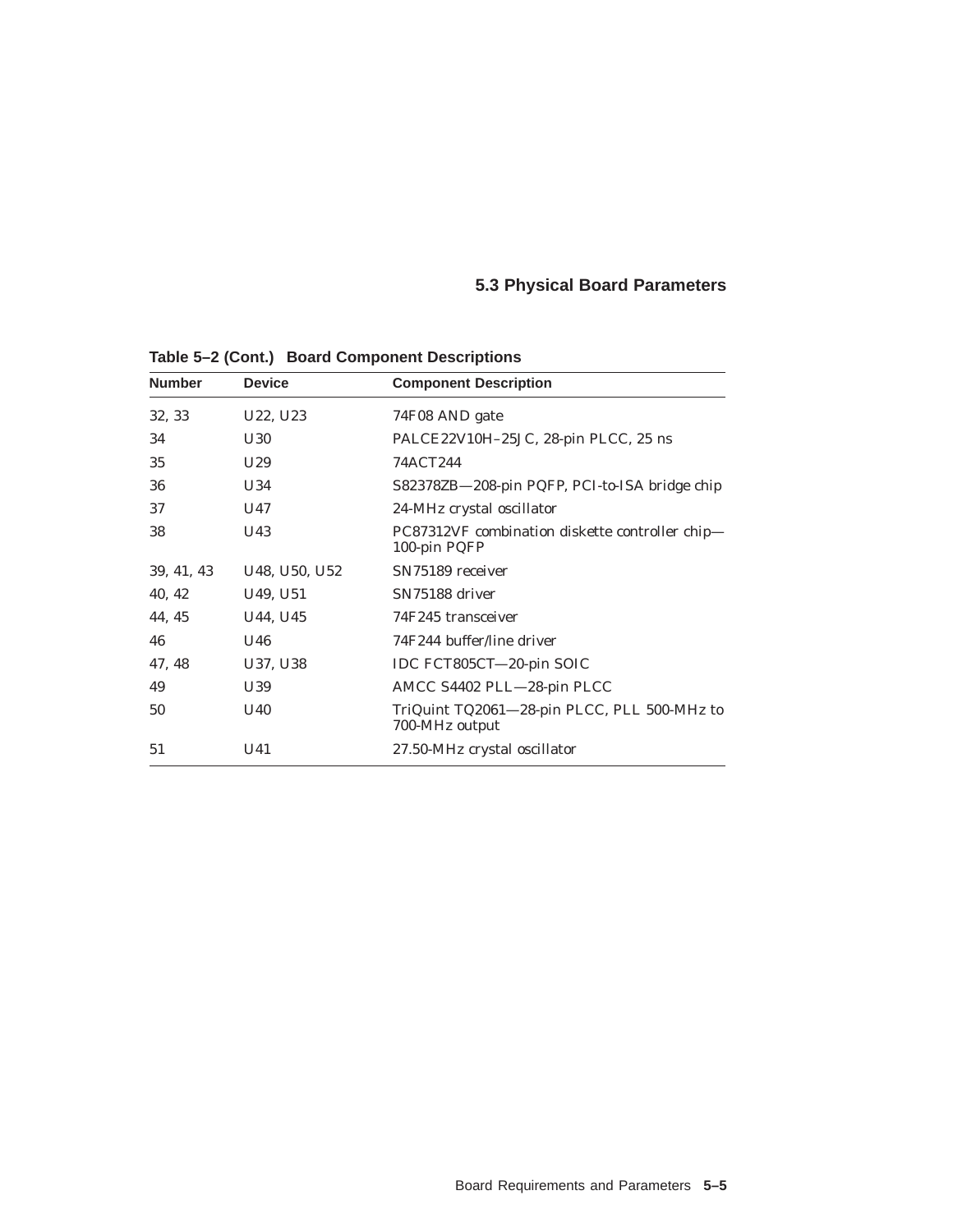# **5.3 Physical Board Parameters**

| <b>Number</b> | <b>Device</b>                     | <b>Component Description</b>                                    |
|---------------|-----------------------------------|-----------------------------------------------------------------|
| 32, 33        | U22, U23                          | 74F08 AND gate                                                  |
| 34            | U30                               | PALCE22V10H-25JC, 28-pin PLCC, 25 ns                            |
| 35            | U <sub>29</sub>                   | 74ACT244                                                        |
| 36            | U34                               | S82378ZB-208-pin PQFP, PCI-to-ISA bridge chip                   |
| 37            | U47                               | 24-MHz crystal oscillator                                       |
| 38            | U <sub>43</sub>                   | PC87312VF combination diskette controller chip-<br>100-pin PQFP |
| 39, 41, 43    | U48, U50, U52                     | SN75189 receiver                                                |
| 40, 42        | U <sub>49</sub> , U <sub>51</sub> | SN75188 driver                                                  |
| 44, 45        | U44, U45                          | 74F245 transceiver                                              |
| 46            | U46                               | 74F244 buffer/line driver                                       |
| 47, 48        | U37, U38                          | IDC FCT805CT-20-pin SOIC                                        |
| 49            | U39                               | AMCC S4402 PLL-28-pin PLCC                                      |
| 50            | U40                               | TriQuint TQ2061-28-pin PLCC, PLL 500-MHz to<br>700-MHz output   |
| 51            | U <sub>41</sub>                   | 27.50-MHz crystal oscillator                                    |

**Table 5–2 (Cont.) Board Component Descriptions**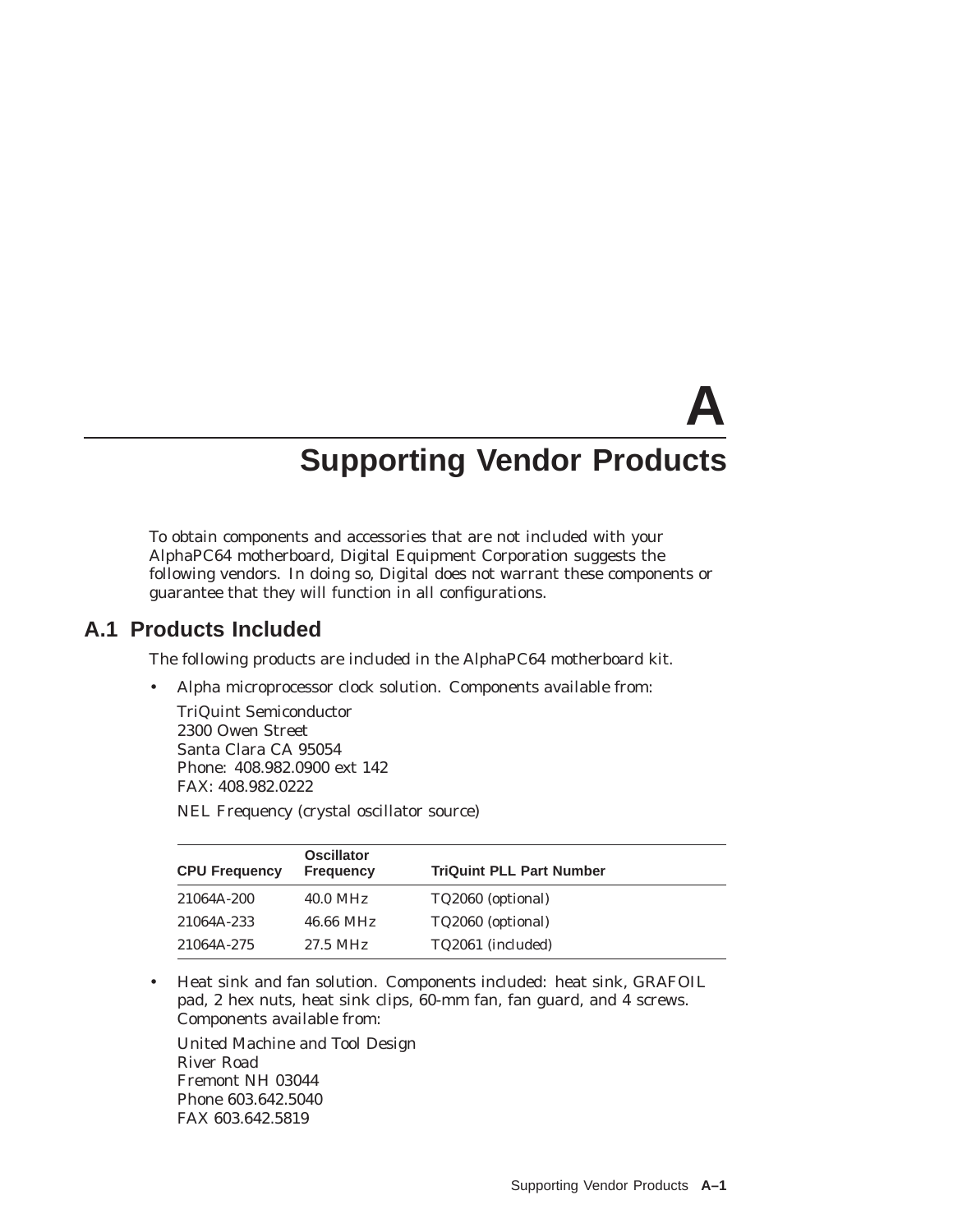# **A Supporting Vendor Products**

To obtain components and accessories that are not included with your AlphaPC64 motherboard, Digital Equipment Corporation suggests the following vendors. In doing so, Digital does not warrant these components or guarantee that they will function in all configurations.

## **A.1 Products Included**

The following products are included in the AlphaPC64 motherboard kit.

• Alpha microprocessor clock solution. Components available from:

TriQuint Semiconductor 2300 Owen Street Santa Clara CA 95054 Phone: 408.982.0900 ext 142 FAX: 408.982.0222

NEL Frequency (crystal oscillator source)

| <b>CPU Frequency</b> | <b>Oscillator</b><br><b>Frequency</b> | <b>TriQuint PLL Part Number</b> |
|----------------------|---------------------------------------|---------------------------------|
| 21064A-200           | $40.0$ MHz                            | TQ2060 (optional)               |
| 21064A-233           | 46.66 MHz                             | TQ2060 (optional)               |
| 21064A-275           | 27.5 MHz                              | TQ2061 (included)               |

• Heat sink and fan solution. Components included: heat sink, GRAFOIL pad, 2 hex nuts, heat sink clips, 60-mm fan, fan guard, and 4 screws. Components available from:

United Machine and Tool Design River Road Fremont NH 03044 Phone 603.642.5040 FAX 603.642.5819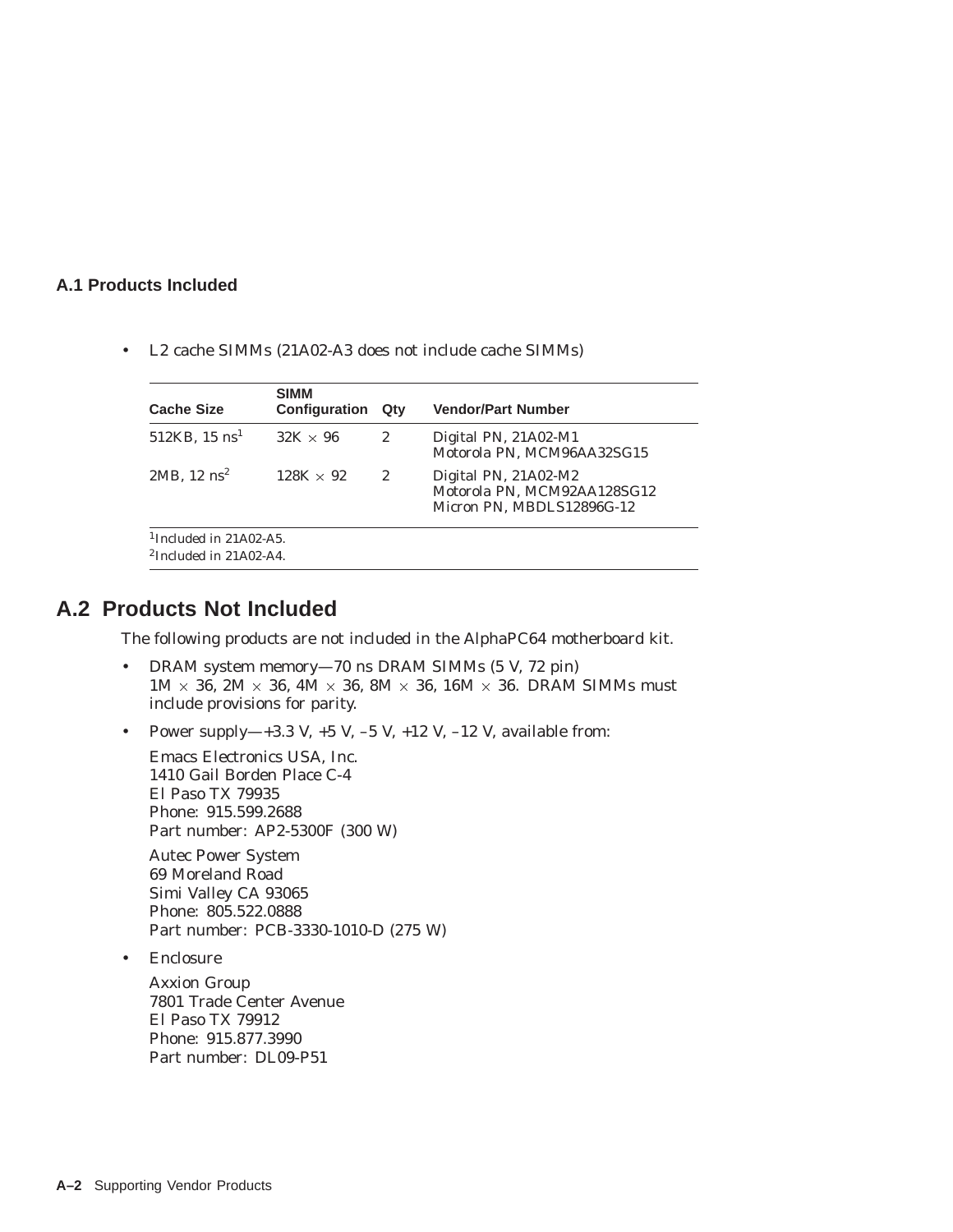#### **A.1 Products Included**

• L2 cache SIMMs (21A02-A3 does not include cache SIMMs)

| <b>Cache Size</b>                                                  | <b>SIMM</b><br><b>Configuration</b> | Qtv | <b>Vendor/Part Number</b>                                                        |
|--------------------------------------------------------------------|-------------------------------------|-----|----------------------------------------------------------------------------------|
| $512KB$ , 15 $ns1$                                                 | $32K \times 96$                     | 2   | Digital PN, 21A02-M1<br>Motorola PN, MCM96AA32SG15                               |
| $2MB$ , 12 $ns^2$                                                  | $128K \times 92$                    | 2   | Digital PN, 21A02-M2<br>Motorola PN, MCM92AA128SG12<br>Micron PN, MBDLS12896G-12 |
| <sup>1</sup> Included in $21A02-A5$ .<br>$2$ Included in 21A02-A4. |                                     |     |                                                                                  |

## **A.2 Products Not Included**

The following products are not included in the AlphaPC64 motherboard kit.

- DRAM system memory—70 ns DRAM SIMMs (5 V, 72 pin)  $1M \times 36$ ,  $2M \times 36$ ,  $4M \times 36$ ,  $8M \times 36$ ,  $16M \times 36$ . DRAM SIMMs must include provisions for parity.
- Power supply—+3.3 V,  $+5$  V,  $-5$  V,  $+12$  V,  $-12$  V, available from:

Emacs Electronics USA, Inc. 1410 Gail Borden Place C-4 El Paso TX 79935 Phone: 915.599.2688 Part number: AP2-5300F (300 W)

Autec Power System 69 Moreland Road Simi Valley CA 93065 Phone: 805.522.0888 Part number: PCB-3330-1010-D (275 W)

• Enclosure

Axxion Group 7801 Trade Center Avenue El Paso TX 79912 Phone: 915.877.3990 Part number: DL09-P51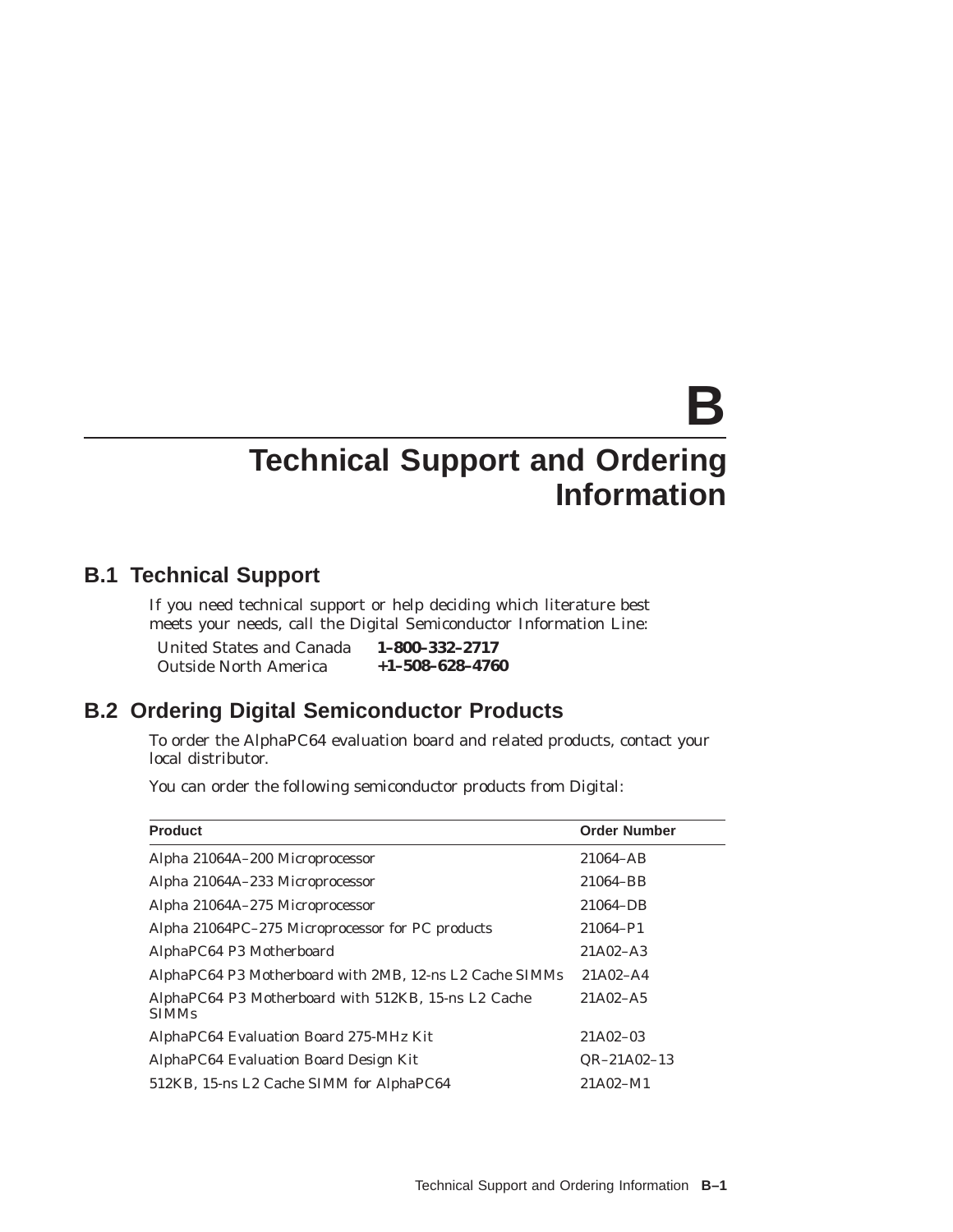# **B**

# **Technical Support and Ordering Information**

# **B.1 Technical Support**

If you need technical support or help deciding which literature best meets your needs, call the Digital Semiconductor Information Line:

| United States and Canada     | 1-800-332-2717          |
|------------------------------|-------------------------|
| <b>Outside North America</b> | $+1 - 508 - 628 - 4760$ |

# **B.2 Ordering Digital Semiconductor Products**

To order the AlphaPC64 evaluation board and related products, contact your local distributor.

You can order the following semiconductor products from Digital:

| <b>Product</b>                                                      | <b>Order Number</b> |
|---------------------------------------------------------------------|---------------------|
| Alpha 21064A-200 Microprocessor                                     | 21064-AB            |
| Alpha 21064A-233 Microprocessor                                     | 21064-BB            |
| Alpha 21064A-275 Microprocessor                                     | 21064-DB            |
| Alpha 21064PC-275 Microprocessor for PC products                    | 21064-P1            |
| AlphaPC64 P3 Motherboard                                            | $21A02 - A3$        |
| AlphaPC64 P3 Motherboard with 2MB, 12-ns L2 Cache SIMMs             | $21A02 - A4$        |
| AlphaPC64 P3 Motherboard with 512KB, 15-ns L2 Cache<br><b>SIMMs</b> | $21A02 - A5$        |
| AlphaPC64 Evaluation Board 275-MHz Kit                              | 21A02-03            |
| AlphaPC64 Evaluation Board Design Kit                               | $QR-21A02-13$       |
| 512KB, 15-ns L2 Cache SIMM for AlphaPC64                            | 21A02-M1            |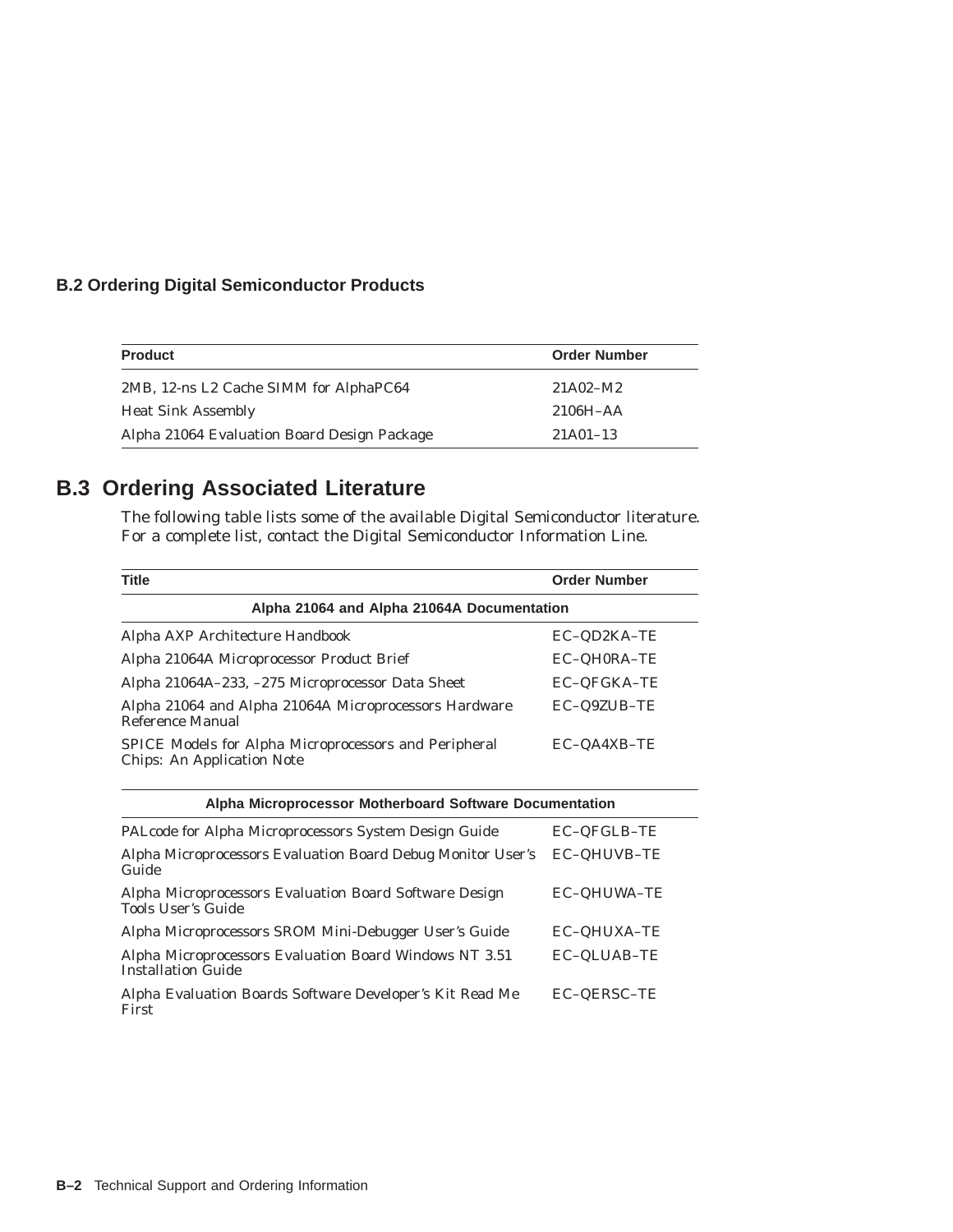#### **B.2 Ordering Digital Semiconductor Products**

| <b>Product</b>                              | <b>Order Number</b> |
|---------------------------------------------|---------------------|
| 2MB, 12-ns L2 Cache SIMM for AlphaPC64      | 21A02-M2            |
| <b>Heat Sink Assembly</b>                   | $2106H - AA$        |
| Alpha 21064 Evaluation Board Design Package | $21A01-13$          |

# **B.3 Ordering Associated Literature**

The following table lists some of the available Digital Semiconductor literature. For a complete list, contact the Digital Semiconductor Information Line.

| <b>Title</b>                                                                               | <b>Order Number</b> |  |
|--------------------------------------------------------------------------------------------|---------------------|--|
| Alpha 21064 and Alpha 21064A Documentation                                                 |                     |  |
| Alpha AXP Architecture Handbook                                                            | EC-QD2KA-TE         |  |
| Alpha 21064A Microprocessor Product Brief                                                  | EC-QH0RA-TE         |  |
| Alpha 21064A-233, -275 Microprocessor Data Sheet                                           | EC-QFGKA-TE         |  |
| Alpha 21064 and Alpha 21064A Microprocessors Hardware<br>Reference Manual                  | EC-Q9ZUB-TE         |  |
| SPICE Models for Alpha Microprocessors and Peripheral<br><b>Chips: An Application Note</b> | EC-QA4XB-TE         |  |
| Alpha Microprocessor Motherboard Software Documentation                                    |                     |  |
| PALcode for Alpha Microprocessors System Design Guide                                      | EC-QFGLB-TE         |  |
| Alpha Microprocessors Evaluation Board Debug Monitor User's<br>Guide                       | EC-QHUVB-TE         |  |
| Alpha Microprocessors Evaluation Board Software Design<br>Tools User's Guide               | EC-QHUWA-TE         |  |
| Alpha Microprocessors SROM Mini-Debugger User's Guide                                      | <b>EC-QHUXA-TE</b>  |  |
| Alpha Microprocessors Evaluation Board Windows NT 3.51<br><b>Installation Guide</b>        | EC-QLUAB-TE         |  |
| Alpha Evaluation Boards Software Developer's Kit Read Me<br>First                          | EC-QERSC-TE         |  |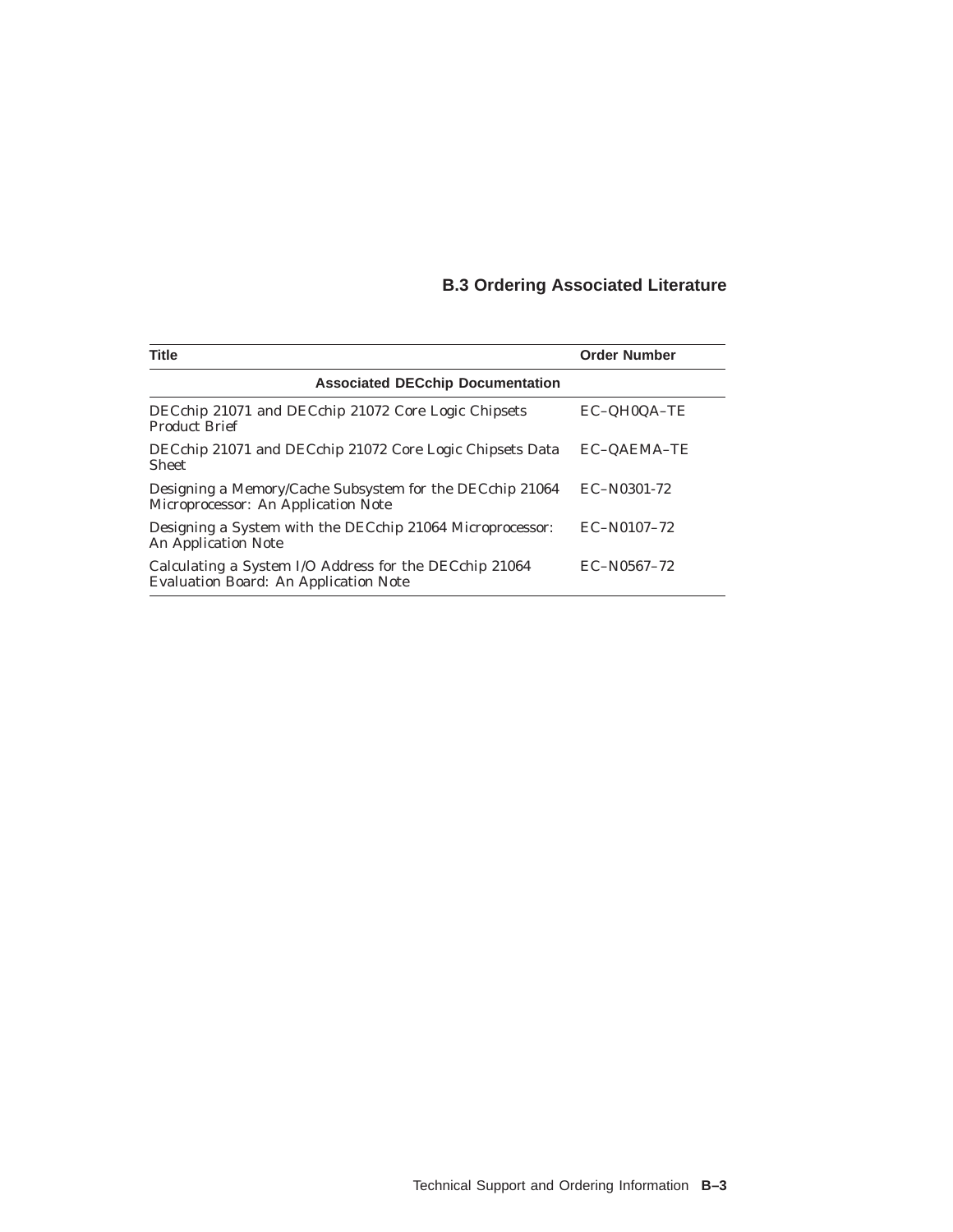# **B.3 Ordering Associated Literature**

| <b>Title</b>                                                                                    | <b>Order Number</b> |
|-------------------------------------------------------------------------------------------------|---------------------|
| <b>Associated DECchip Documentation</b>                                                         |                     |
| DECchip 21071 and DECchip 21072 Core Logic Chipsets<br><b>Product Brief</b>                     | EC-QH0QA-TE         |
| DECchip 21071 and DECchip 21072 Core Logic Chipsets Data<br><b>Sheet</b>                        | <b>EC-OAEMA-TE</b>  |
| Designing a Memory/Cache Subsystem for the DECchip 21064<br>Microprocessor: An Application Note | EC-N0301-72         |
| Designing a System with the DECchip 21064 Microprocessor:<br><b>An Application Note</b>         | $EC-N0107-72$       |
| Calculating a System I/O Address for the DECchip 21064<br>Evaluation Board: An Application Note | $EC-N0567-72$       |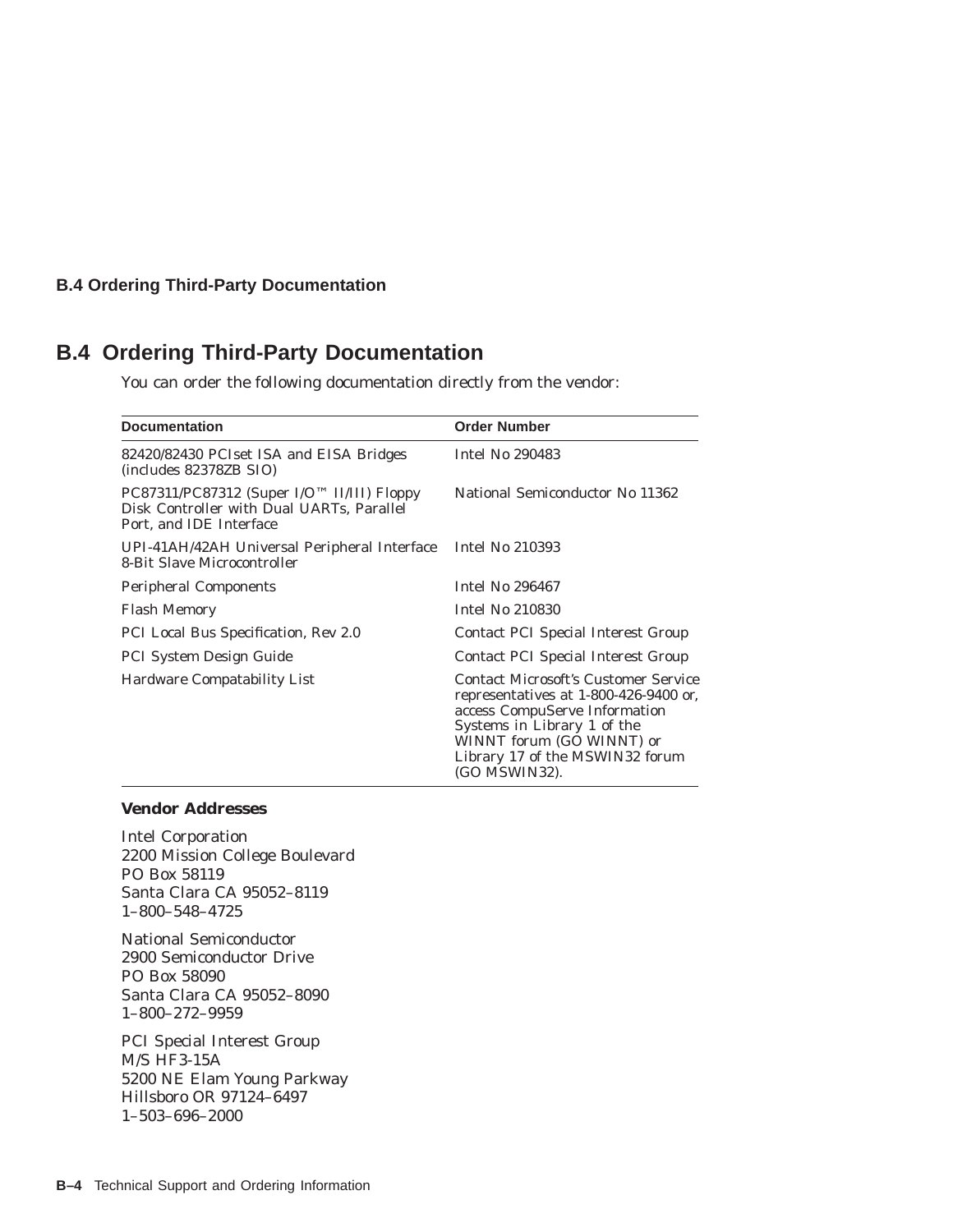#### **B.4 Ordering Third-Party Documentation**

# **B.4 Ordering Third-Party Documentation**

You can order the following documentation directly from the vendor:

| <b>Documentation</b>                                                                                                              | <b>Order Number</b>                                                                                                                                                                                                                   |
|-----------------------------------------------------------------------------------------------------------------------------------|---------------------------------------------------------------------------------------------------------------------------------------------------------------------------------------------------------------------------------------|
| 82420/82430 PCIset ISA and EISA Bridges<br>(includes 82378ZB SIO)                                                                 | Intel No 290483                                                                                                                                                                                                                       |
| $PC87311/PC87312$ (Super I/O <sup>TM</sup> II/III) Floppy<br>Disk Controller with Dual UARTs, Parallel<br>Port, and IDE Interface | National Semiconductor No 11362                                                                                                                                                                                                       |
| UPI-41AH/42AH Universal Peripheral Interface<br>8-Bit Slave Microcontroller                                                       | Intel No 210393                                                                                                                                                                                                                       |
| <b>Peripheral Components</b>                                                                                                      | <b>Intel No 296467</b>                                                                                                                                                                                                                |
| <b>Flash Memory</b>                                                                                                               | <b>Intel No 210830</b>                                                                                                                                                                                                                |
| PCI Local Bus Specification, Rev 2.0                                                                                              | <b>Contact PCI Special Interest Group</b>                                                                                                                                                                                             |
| <b>PCI System Design Guide</b>                                                                                                    | Contact PCI Special Interest Group                                                                                                                                                                                                    |
| <b>Hardware Compatability List</b>                                                                                                | <b>Contact Microsoft's Customer Service</b><br>representatives at 1-800-426-9400 or,<br>access CompuServe Information<br>Systems in Library 1 of the<br>WINNT forum (GO WINNT) or<br>Library 17 of the MSWIN32 forum<br>(GO MSWIN32). |

#### **Vendor Addresses**

Intel Corporation 2200 Mission College Boulevard PO Box 58119 Santa Clara CA 95052–8119 1–800–548–4725

National Semiconductor 2900 Semiconductor Drive PO Box 58090 Santa Clara CA 95052–8090 1–800–272–9959

PCI Special Interest Group M/S HF3-15A 5200 NE Elam Young Parkway Hillsboro OR 97124–6497 1–503–696–2000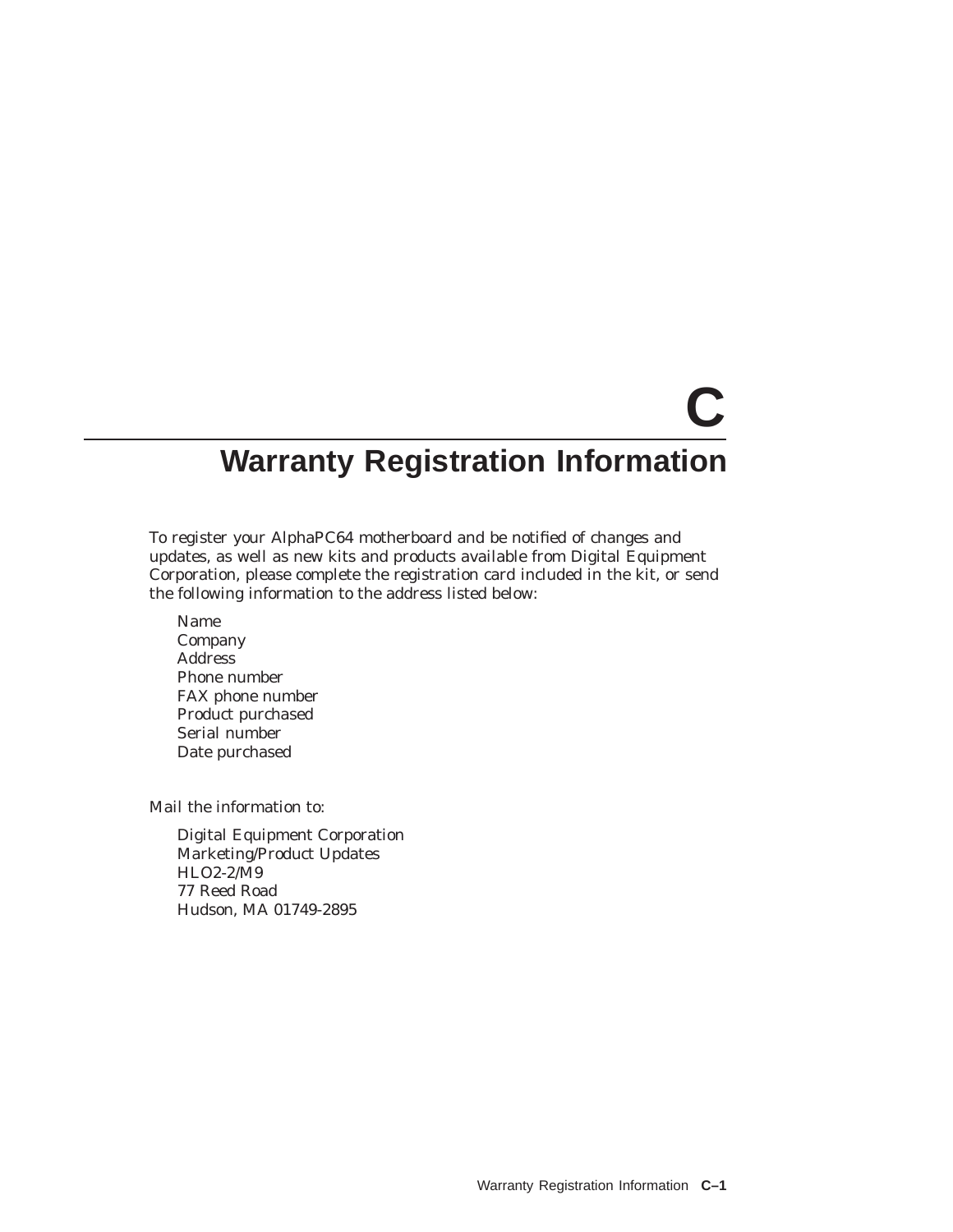# **C Warranty Registration Information**

To register your AlphaPC64 motherboard and be notified of changes and updates, as well as new kits and products available from Digital Equipment Corporation, please complete the registration card included in the kit, or send the following information to the address listed below:

Name Company Address Phone number FAX phone number Product purchased Serial number Date purchased

Mail the information to:

Digital Equipment Corporation Marketing/Product Updates HLO2-2/M9 77 Reed Road Hudson, MA 01749-2895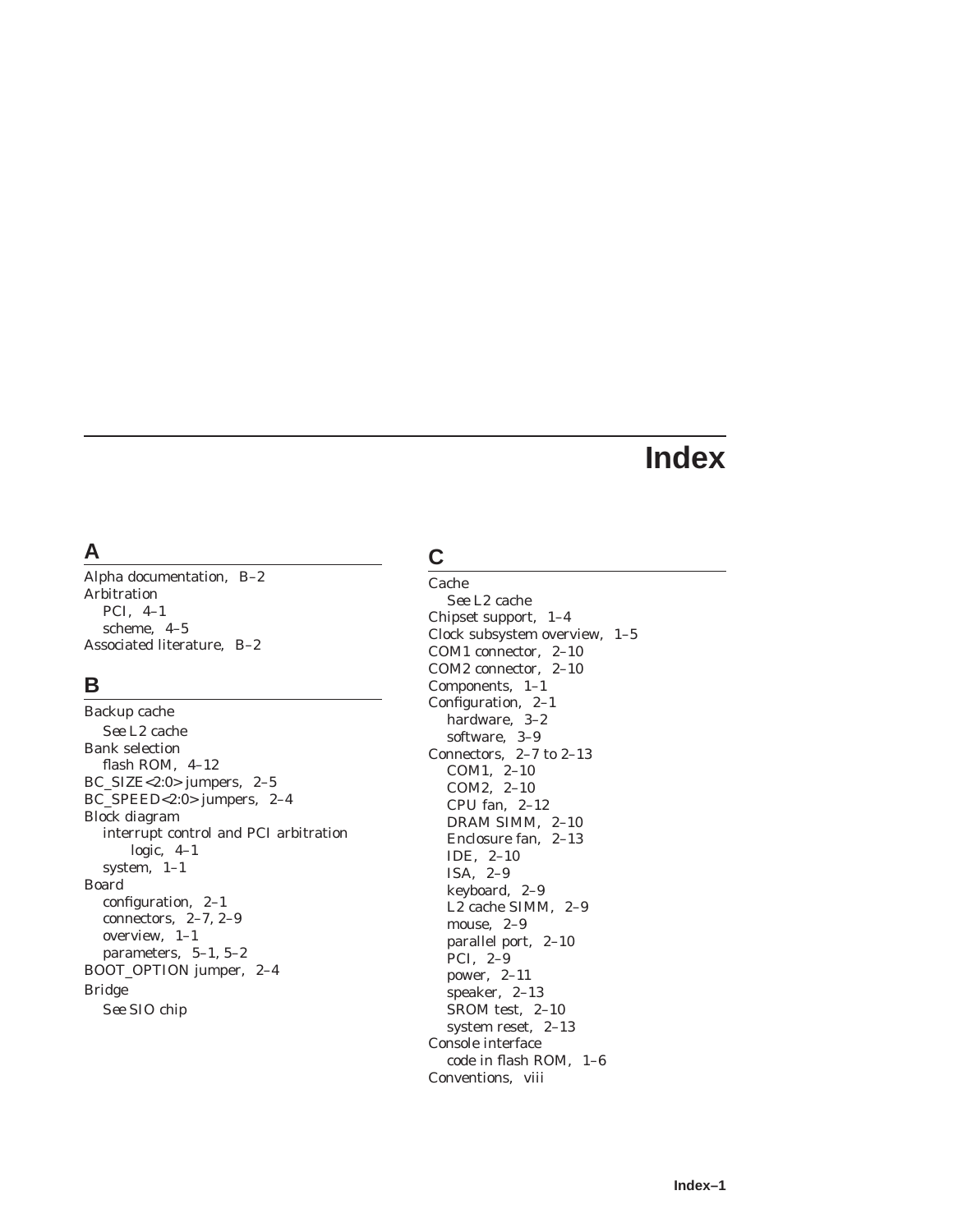# **Index**

# **A**

Alpha documentation, B–2 Arbitration PCI, 4–1 scheme, 4–5 Associated literature, B–2

## **B**

Backup cache *See* L2 cache Bank selection flash ROM, 4–12 BC\_SIZE<2:0> jumpers, 2–5 BC\_SPEED<2:0> jumpers, 2–4 Block diagram interrupt control and PCI arbitration logic, 4–1 system, 1–1 Board configuration, 2–1 connectors, 2–7, 2–9 overview, 1–1 parameters, 5–1, 5–2 BOOT\_OPTION jumper, 2–4 Bridge *See* SIO chip

# **C**

Cache *See* L2 cache Chipset support, 1–4 Clock subsystem overview, 1–5 COM1 connector, 2–10 COM2 connector, 2–10 Components, 1–1 Configuration, 2–1 hardware, 3–2 software, 3–9 Connectors, 2–7 to 2–13 COM1, 2–10 COM2, 2–10 CPU fan, 2–12 DRAM SIMM, 2–10 Enclosure fan, 2–13 IDE, 2–10 ISA, 2–9 keyboard, 2–9 L2 cache SIMM, 2–9 mouse, 2–9 parallel port, 2–10 PCI, 2–9 power, 2–11 speaker, 2–13 SROM test, 2–10 system reset, 2–13 Console interface code in flash ROM, 1–6 Conventions, viii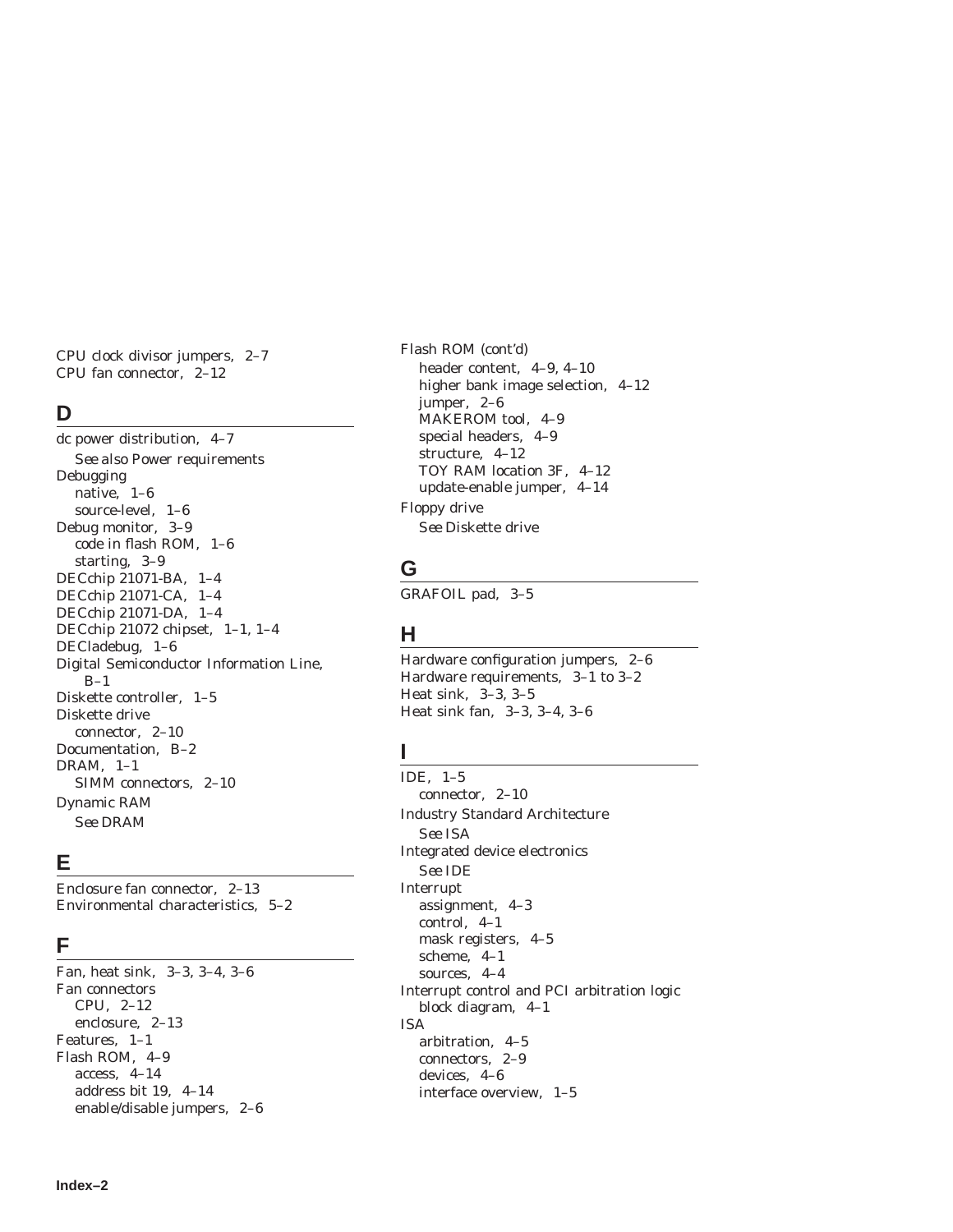CPU clock divisor jumpers, 2–7 CPU fan connector, 2–12

#### **D**

dc power distribution, 4–7 *See also* Power requirements Debugging native, 1–6 source-level, 1–6 Debug monitor, 3–9 code in flash ROM, 1–6 starting, 3–9 DECchip 21071-BA, 1–4 DECchip 21071-CA, 1–4 DECchip 21071-DA, 1–4 DECchip 21072 chipset, 1–1, 1–4 DECladebug, 1–6 Digital Semiconductor Information Line,  $B-1$ Diskette controller, 1–5 Diskette drive connector, 2–10 Documentation, B–2 DRAM, 1–1 SIMM connectors, 2–10 Dynamic RAM *See* DRAM

# **E**

Enclosure fan connector, 2–13 Environmental characteristics, 5–2

### **F**

Fan, heat sink, 3–3, 3–4, 3–6 Fan connectors CPU, 2–12 enclosure, 2–13 Features, 1–1 Flash ROM, 4–9 access, 4–14 address bit 19, 4–14 enable/disable jumpers, 2–6 Flash ROM (cont'd) header content, 4–9, 4–10 higher bank image selection, 4–12 jumper, 2–6 MAKEROM tool, 4–9 special headers, 4–9 structure, 4–12 TOY RAM location 3F, 4–12 update-enable jumper, 4–14 Floppy drive *See* Diskette drive

### **G**

GRAFOIL pad, 3–5

# **H**

Hardware configuration jumpers, 2–6 Hardware requirements, 3–1 to 3–2 Heat sink, 3–3, 3–5 Heat sink fan, 3–3, 3–4, 3–6

## **I**

IDE, 1–5 connector, 2–10 Industry Standard Architecture *See* ISA Integrated device electronics *See* IDE Interrupt assignment, 4–3 control, 4–1 mask registers, 4–5 scheme, 4–1 sources, 4–4 Interrupt control and PCI arbitration logic block diagram, 4–1 ISA arbitration, 4–5 connectors, 2–9 devices, 4–6 interface overview, 1–5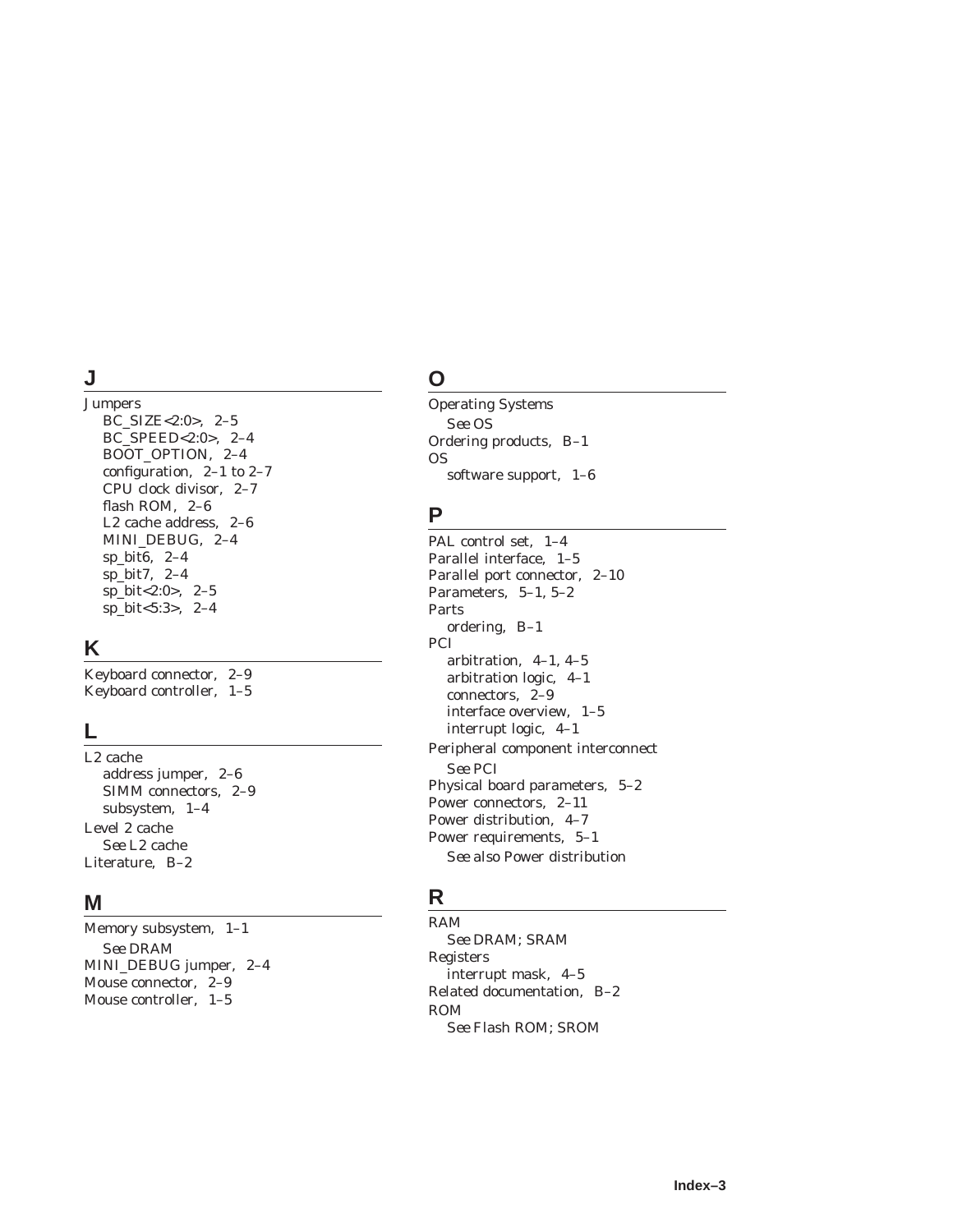#### **J**

Jumpers BC\_SIZE<2:0>, 2–5 BC\_SPEED<2:0>, 2–4 BOOT\_OPTION, 2–4 configuration, 2–1 to 2–7 CPU clock divisor, 2–7 flash ROM, 2–6 L2 cache address, 2–6 MINI\_DEBUG, 2–4 sp\_bit6, 2–4 sp\_bit7, 2–4 sp\_bit<2:0>, 2–5 sp\_bit<5:3>, 2–4

#### **K**

Keyboard connector, 2–9 Keyboard controller, 1–5

#### **L**

L2 cache address jumper, 2–6 SIMM connectors, 2–9 subsystem, 1–4 Level 2 cache *See* L2 cache Literature, B–2

#### **M**

Memory subsystem, 1–1 *See* DRAM MINI\_DEBUG jumper, 2–4 Mouse connector, 2–9 Mouse controller, 1–5

# **O**

Operating Systems *See* OS Ordering products, B–1 OS software support, 1–6

### **P**

PAL control set, 1–4 Parallel interface, 1–5 Parallel port connector, 2–10 Parameters, 5–1, 5–2 Parts ordering, B–1 PCI arbitration, 4–1, 4–5 arbitration logic, 4–1 connectors, 2–9 interface overview, 1–5 interrupt logic, 4–1 Peripheral component interconnect *See* PCI Physical board parameters, 5–2 Power connectors, 2–11 Power distribution, 4–7 Power requirements, 5–1 *See also* Power distribution

## **R**

RAM *See* DRAM; SRAM Registers interrupt mask, 4–5 Related documentation, B–2 ROM *See* Flash ROM; SROM